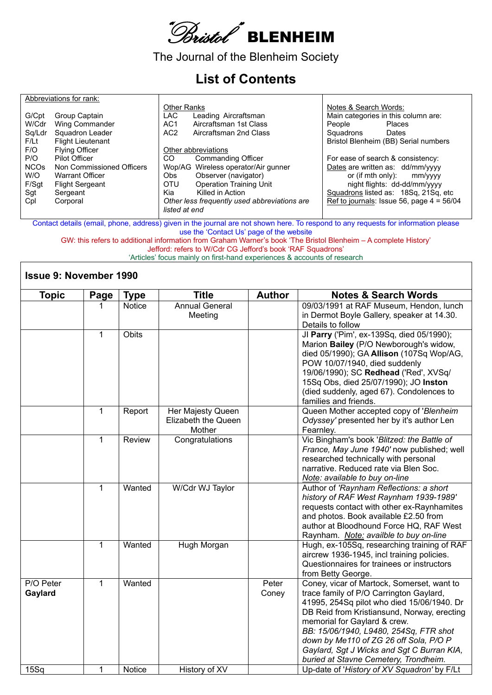

The Journal of the Blenheim Society

## **List of Contents**

|                  | Abbreviations for rank:   |                    |                                              |                       |                                             |
|------------------|---------------------------|--------------------|----------------------------------------------|-----------------------|---------------------------------------------|
|                  |                           | <b>Other Ranks</b> |                                              | Notes & Search Words: |                                             |
| G/Cpt            | Group Captain             | LAC.               | Leading Aircraftsman                         |                       | Main categories in this column are:         |
| W/Cdr            | Wing Commander            | AC <sub>1</sub>    | Aircraftsman 1st Class                       | People                | Places                                      |
| Sq/Ldr           | Squadron Leader           | AC <sub>2</sub>    | Aircraftsman 2nd Class                       | Squadrons             | Dates                                       |
| F/Lt             | <b>Flight Lieutenant</b>  |                    |                                              |                       | Bristol Blenheim (BB) Serial numbers        |
| F/O              | <b>Flying Officer</b>     |                    | Other abbreviations                          |                       |                                             |
| P/O              | Pilot Officer             | <sub>CO</sub>      | Commanding Officer                           |                       | For ease of search & consistency:           |
| NCO <sub>s</sub> | Non Commissioned Officers |                    | Wop/AG Wireless operator/Air gunner          |                       | Dates are written as: dd/mm/yyyy            |
| W/O              | <b>Warrant Officer</b>    | Obs.               | Observer (navigator)                         | or (if mth only):     | mm/yyyy                                     |
| F/Sgt            | <b>Flight Sergeant</b>    | <b>OTU</b>         | <b>Operation Training Unit</b>               |                       | night flights: dd-dd/mm/vyyy                |
| Sgt              | Sergeant                  | Kia                | Killed in Action                             |                       | Squadrons listed as: 18Sq, 21Sq, etc        |
| Cpl              | Corporal                  |                    | Other less frequently used abbreviations are |                       | Ref to journals: Issue 56, page $4 = 56/04$ |
|                  |                           | listed at end      |                                              |                       |                                             |
|                  |                           |                    |                                              |                       |                                             |

Contact details (email, phone, address) given in the journal are not shown here. To respond to any requests for information please use the 'Contact Us' page of the website

GW: this refers to additional information from Graham Warner's book 'The Bristol Blenheim – A complete History' Jefford: refers to W/Cdr CG Jefford's book 'RAF Squadrons'

'Articles' focus mainly on first-hand experiences & accounts of research

## **Issue 9: November 1990**

| <b>Topic</b>         | Page         | <b>Type</b>  | <b>Title</b>                                       | <b>Author</b>  | <b>Notes &amp; Search Words</b>                                                                                                                                                                                                                                                                                                                                                               |
|----------------------|--------------|--------------|----------------------------------------------------|----------------|-----------------------------------------------------------------------------------------------------------------------------------------------------------------------------------------------------------------------------------------------------------------------------------------------------------------------------------------------------------------------------------------------|
|                      |              | Notice       | <b>Annual General</b><br>Meeting                   |                | 09/03/1991 at RAF Museum, Hendon, lunch<br>in Dermot Boyle Gallery, speaker at 14.30.<br>Details to follow                                                                                                                                                                                                                                                                                    |
|                      | $\mathbf 1$  | <b>Obits</b> |                                                    |                | Jl Parry ('Pim', ex-139Sq, died 05/1990);<br>Marion Bailey (P/O Newborough's widow,<br>died 05/1990); GA Allison (107Sq Wop/AG,<br>POW 10/07/1940, died suddenly<br>19/06/1990); SC Redhead ('Red', XVSq/<br>15Sq Obs, died 25/07/1990); JO Inston<br>(died suddenly, aged 67). Condolences to<br>families and friends.                                                                       |
|                      | $\mathbf{1}$ | Report       | Her Majesty Queen<br>Elizabeth the Queen<br>Mother |                | Queen Mother accepted copy of 'Blenheim<br>Odyssey' presented her by it's author Len<br>Fearnley.                                                                                                                                                                                                                                                                                             |
|                      | $\mathbf{1}$ | Review       | Congratulations                                    |                | Vic Bingham's book 'Blitzed: the Battle of<br>France, May June 1940' now published; well<br>researched technically with personal<br>narrative. Reduced rate via Blen Soc.<br>Note: available to buy on-line                                                                                                                                                                                   |
|                      | $\mathbf{1}$ | Wanted       | W/Cdr WJ Taylor                                    |                | Author of 'Raynham Reflections: a short<br>history of RAF West Raynham 1939-1989'<br>requests contact with other ex-Raynhamites<br>and photos. Book available £2.50 from<br>author at Bloodhound Force HQ, RAF West<br>Raynham. Note: availble to buy on-line                                                                                                                                 |
|                      | 1            | Wanted       | Hugh Morgan                                        |                | Hugh, ex-105Sq, researching training of RAF<br>aircrew 1936-1945, incl training policies.<br>Questionnaires for trainees or instructors<br>from Betty George.                                                                                                                                                                                                                                 |
| P/O Peter<br>Gaylard | $\mathbf{1}$ | Wanted       |                                                    | Peter<br>Coney | Coney, vicar of Martock, Somerset, want to<br>trace family of P/O Carrington Gaylard,<br>41995, 254Sq pilot who died 15/06/1940. Dr<br>DB Reid from Kristiansund, Norway, erecting<br>memorial for Gaylard & crew.<br>BB: 15/06/1940, L9480, 254Sq, FTR shot<br>down by Me110 of ZG 26 off Sola, P/O P<br>Gaylard, Sgt J Wicks and Sgt C Burran KIA,<br>buried at Stavne Cemetery, Trondheim. |
| 15Sq                 | 1            | Notice       | History of XV                                      |                | Up-date of 'History of XV Squadron' by F/Lt                                                                                                                                                                                                                                                                                                                                                   |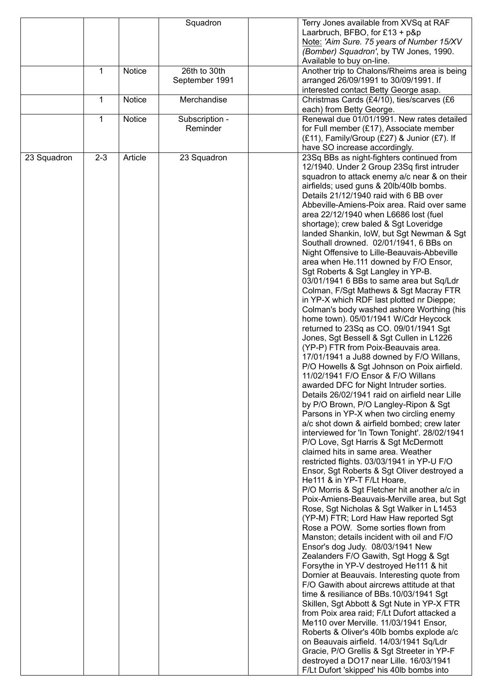|             |         |         | Squadron       | Terry Jones available from XVSq at RAF                                                    |
|-------------|---------|---------|----------------|-------------------------------------------------------------------------------------------|
|             |         |         |                | Laarbruch, BFBO, for £13 + $p$ &p                                                         |
|             |         |         |                | Note: 'Aim Sure. 75 years of Number 15/XV                                                 |
|             |         |         |                | (Bomber) Squadron', by TW Jones, 1990.                                                    |
|             |         |         |                | Available to buy on-line.                                                                 |
|             | 1       | Notice  | 26th to 30th   | Another trip to Chalons/Rheims area is being                                              |
|             |         |         | September 1991 | arranged 26/09/1991 to 30/09/1991. If                                                     |
|             | 1       | Notice  | Merchandise    | interested contact Betty George asap.<br>Christmas Cards (£4/10), ties/scarves (£6        |
|             |         |         |                | each) from Betty George.                                                                  |
|             | 1       | Notice  | Subscription - | Renewal due 01/01/1991. New rates detailed                                                |
|             |         |         | Reminder       | for Full member (£17), Associate member                                                   |
|             |         |         |                | (£11), Family/Group (£27) & Junior (£7). If                                               |
|             |         |         |                | have SO increase accordingly.                                                             |
| 23 Squadron | $2 - 3$ | Article | 23 Squadron    | 23Sq BBs as night-fighters continued from                                                 |
|             |         |         |                | 12/1940. Under 2 Group 23Sq first intruder                                                |
|             |         |         |                | squadron to attack enemy a/c near & on their                                              |
|             |         |         |                | airfields; used guns & 20lb/40lb bombs.                                                   |
|             |         |         |                | Details 21/12/1940 raid with 6 BB over                                                    |
|             |         |         |                | Abbeville-Amiens-Poix area. Raid over same                                                |
|             |         |         |                | area 22/12/1940 when L6686 lost (fuel<br>shortage); crew baled & Sgt Loveridge            |
|             |         |         |                | landed Shankin, IoW, but Sgt Newman & Sgt                                                 |
|             |         |         |                | Southall drowned. 02/01/1941, 6 BBs on                                                    |
|             |         |         |                | Night Offensive to Lille-Beauvais-Abbeville                                               |
|             |         |         |                | area when He.111 downed by F/O Ensor,                                                     |
|             |         |         |                | Sgt Roberts & Sgt Langley in YP-B.                                                        |
|             |         |         |                | 03/01/1941 6 BBs to same area but Sq/Ldr                                                  |
|             |         |         |                | Colman, F/Sgt Mathews & Sgt Macray FTR                                                    |
|             |         |         |                | in YP-X which RDF last plotted nr Dieppe;                                                 |
|             |         |         |                | Colman's body washed ashore Worthing (his                                                 |
|             |         |         |                | home town). 05/01/1941 W/Cdr Heycock                                                      |
|             |         |         |                | returned to 23Sq as CO. 09/01/1941 Sgt                                                    |
|             |         |         |                | Jones, Sgt Bessell & Sgt Cullen in L1226<br>(YP-P) FTR from Poix-Beauvais area.           |
|             |         |         |                | 17/01/1941 a Ju88 downed by F/O Willans,                                                  |
|             |         |         |                | P/O Howells & Sgt Johnson on Poix airfield.                                               |
|             |         |         |                | 11/02/1941 F/O Ensor & F/O Willans                                                        |
|             |         |         |                | awarded DFC for Night Intruder sorties.                                                   |
|             |         |         |                | Details 26/02/1941 raid on airfield near Lille                                            |
|             |         |         |                | by P/O Brown, P/O Langley-Ripon & Sgt                                                     |
|             |         |         |                | Parsons in YP-X when two circling enemy                                                   |
|             |         |         |                | a/c shot down & airfield bombed; crew later                                               |
|             |         |         |                | interviewed for 'In Town Tonight'. 28/02/1941                                             |
|             |         |         |                | P/O Love, Sgt Harris & Sgt McDermott                                                      |
|             |         |         |                | claimed hits in same area. Weather                                                        |
|             |         |         |                | restricted flights. 03/03/1941 in YP-U F/O                                                |
|             |         |         |                | Ensor, Sgt Roberts & Sgt Oliver destroyed a<br>He111 & in YP-T F/Lt Hoare,                |
|             |         |         |                | P/O Morris & Sgt Fletcher hit another a/c in                                              |
|             |         |         |                | Poix-Amiens-Beauvais-Merville area, but Sgt                                               |
|             |         |         |                | Rose, Sgt Nicholas & Sgt Walker in L1453                                                  |
|             |         |         |                | (YP-M) FTR; Lord Haw Haw reported Sgt                                                     |
|             |         |         |                | Rose a POW. Some sorties flown from                                                       |
|             |         |         |                | Manston; details incident with oil and F/O                                                |
|             |         |         |                | Ensor's dog Judy. 08/03/1941 New                                                          |
|             |         |         |                | Zealanders F/O Gawith, Sgt Hogg & Sgt                                                     |
|             |         |         |                | Forsythe in YP-V destroyed He111 & hit                                                    |
|             |         |         |                | Dornier at Beauvais. Interesting quote from                                               |
|             |         |         |                | F/O Gawith about aircrews attitude at that                                                |
|             |         |         |                | time & resiliance of BBs.10/03/1941 Sgt                                                   |
|             |         |         |                | Skillen, Sgt Abbott & Sgt Nute in YP-X FTR<br>from Poix area raid; F/Lt Dufort attacked a |
|             |         |         |                | Me110 over Merville. 11/03/1941 Ensor,                                                    |
|             |         |         |                | Roberts & Oliver's 40lb bombs explode a/c                                                 |
|             |         |         |                | on Beauvais airfield. 14/03/1941 Sq/Ldr                                                   |
|             |         |         |                | Gracie, P/O Grellis & Sgt Streeter in YP-F                                                |
|             |         |         |                | destroyed a DO17 near Lille. 16/03/1941                                                   |
|             |         |         |                | F/Lt Dufort 'skipped' his 40lb bombs into                                                 |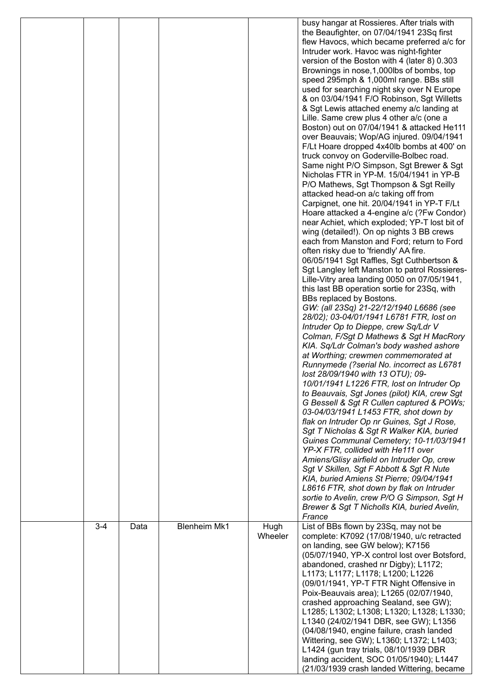|         |      |                     |                 | busy hangar at Rossieres. After trials with<br>the Beaufighter, on 07/04/1941 23Sq first<br>flew Havocs, which became preferred a/c for<br>Intruder work. Havoc was night-fighter<br>version of the Boston with 4 (later 8) 0.303<br>Brownings in nose, 1,000lbs of bombs, top<br>speed 295mph & 1,000ml range. BBs still<br>used for searching night sky over N Europe<br>& on 03/04/1941 F/O Robinson, Sgt Willetts<br>& Sgt Lewis attached enemy a/c landing at<br>Lille. Same crew plus 4 other a/c (one a<br>Boston) out on 07/04/1941 & attacked He111<br>over Beauvais; Wop/AG injured. 09/04/1941<br>F/Lt Hoare dropped 4x40lb bombs at 400' on<br>truck convoy on Goderville-Bolbec road.<br>Same night P/O Simpson, Sgt Brewer & Sgt<br>Nicholas FTR in YP-M. 15/04/1941 in YP-B<br>P/O Mathews, Sgt Thompson & Sgt Reilly<br>attacked head-on a/c taking off from<br>Carpignet, one hit. 20/04/1941 in YP-T F/Lt<br>Hoare attacked a 4-engine a/c (?Fw Condor)<br>near Achiet, which exploded; YP-T lost bit of<br>wing (detailed!). On op nights 3 BB crews<br>each from Manston and Ford; return to Ford<br>often risky due to 'friendly' AA fire.<br>06/05/1941 Sgt Raffles, Sgt Cuthbertson &<br>Sgt Langley left Manston to patrol Rossieres-<br>Lille-Vitry area landing 0050 on 07/05/1941,<br>this last BB operation sortie for 23Sq, with<br>BBs replaced by Bostons.<br>GW: (all 23Sq) 21-22/12/1940 L6686 (see<br>28/02); 03-04/01/1941 L6781 FTR, lost on<br>Intruder Op to Dieppe, crew Sq/Ldr V<br>Colman, F/Sgt D Mathews & Sgt H MacRory<br>KIA. Sq/Ldr Colman's body washed ashore<br>at Worthing; crewmen commemorated at<br>Runnymede (?serial No. incorrect as L6781<br>lost 28/09/1940 with 13 OTU); 09-<br>10/01/1941 L1226 FTR, lost on Intruder Op<br>to Beauvais, Sgt Jones (pilot) KIA, crew Sgt<br>G Bessell & Sgt R Cullen captured & POWs;<br>03-04/03/1941 L1453 FTR, shot down by<br>flak on Intruder Op nr Guines, Sgt J Rose,<br>Sgt T Nicholas & Sgt R Walker KIA, buried<br>Guines Communal Cemetery; 10-11/03/1941<br>YP-X FTR, collided with He111 over<br>Amiens/Glisy airfield on Intruder Op, crew<br>Sgt V Skillen, Sgt F Abbott & Sgt R Nute<br>KIA, buried Amiens St Pierre; 09/04/1941<br>L8616 FTR, shot down by flak on Intruder<br>sortie to Avelin, crew P/O G Simpson, Sgt H |
|---------|------|---------------------|-----------------|------------------------------------------------------------------------------------------------------------------------------------------------------------------------------------------------------------------------------------------------------------------------------------------------------------------------------------------------------------------------------------------------------------------------------------------------------------------------------------------------------------------------------------------------------------------------------------------------------------------------------------------------------------------------------------------------------------------------------------------------------------------------------------------------------------------------------------------------------------------------------------------------------------------------------------------------------------------------------------------------------------------------------------------------------------------------------------------------------------------------------------------------------------------------------------------------------------------------------------------------------------------------------------------------------------------------------------------------------------------------------------------------------------------------------------------------------------------------------------------------------------------------------------------------------------------------------------------------------------------------------------------------------------------------------------------------------------------------------------------------------------------------------------------------------------------------------------------------------------------------------------------------------------------------------------------------------------------------------------------------------------------------------------------------------------------------------------------------------------------------------------------------------------------------------------------------------------------------------------------------------------------------------------------------------------------------------------------|
|         |      |                     |                 | Brewer & Sgt T Nicholls KIA, buried Avelin,<br>France                                                                                                                                                                                                                                                                                                                                                                                                                                                                                                                                                                                                                                                                                                                                                                                                                                                                                                                                                                                                                                                                                                                                                                                                                                                                                                                                                                                                                                                                                                                                                                                                                                                                                                                                                                                                                                                                                                                                                                                                                                                                                                                                                                                                                                                                                    |
| $3 - 4$ | Data | <b>Blenheim Mk1</b> | Hugh<br>Wheeler | List of BBs flown by 23Sq, may not be<br>complete: K7092 (17/08/1940, u/c retracted<br>on landing, see GW below); K7156<br>(05/07/1940, YP-X control lost over Botsford,<br>abandoned, crashed nr Digby); L1172;<br>L1173; L1177; L1178; L1200; L1226<br>(09/01/1941, YP-T FTR Night Offensive in<br>Poix-Beauvais area); L1265 (02/07/1940,<br>crashed approaching Sealand, see GW);<br>L1285; L1302; L1308; L1320; L1328; L1330;<br>L1340 (24/02/1941 DBR, see GW); L1356<br>(04/08/1940, engine failure, crash landed<br>Wittering, see GW); L1360; L1372; L1403;<br>L1424 (gun tray trials, 08/10/1939 DBR<br>landing accident, SOC 01/05/1940); L1447<br>(21/03/1939 crash landed Wittering, became                                                                                                                                                                                                                                                                                                                                                                                                                                                                                                                                                                                                                                                                                                                                                                                                                                                                                                                                                                                                                                                                                                                                                                                                                                                                                                                                                                                                                                                                                                                                                                                                                                 |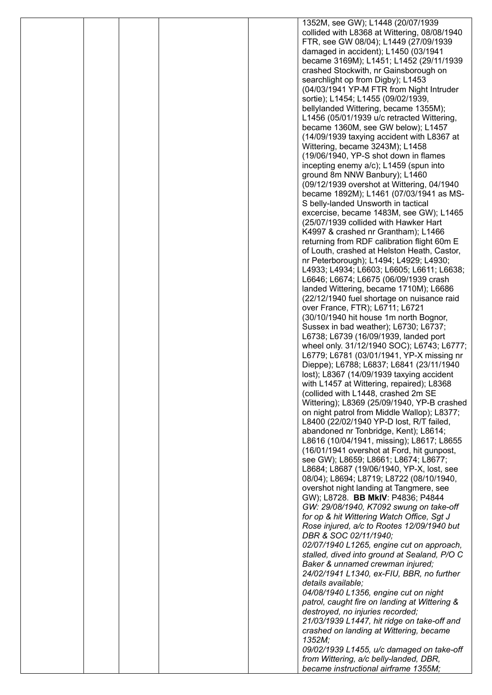|  |  | 1352M, see GW); L1448 (20/07/1939                                                   |
|--|--|-------------------------------------------------------------------------------------|
|  |  | collided with L8368 at Wittering, 08/08/1940                                        |
|  |  | FTR, see GW 08/04); L1449 (27/09/1939                                               |
|  |  | damaged in accident); L1450 (03/1941                                                |
|  |  | became 3169M); L1451; L1452 (29/11/1939                                             |
|  |  | crashed Stockwith, nr Gainsborough on                                               |
|  |  | searchlight op from Digby); L1453                                                   |
|  |  | (04/03/1941 YP-M FTR from Night Intruder                                            |
|  |  | sortie); L1454; L1455 (09/02/1939,                                                  |
|  |  | bellylanded Wittering, became 1355M);<br>L1456 (05/01/1939 u/c retracted Wittering, |
|  |  | became 1360M, see GW below); L1457                                                  |
|  |  | (14/09/1939 taxying accident with L8367 at                                          |
|  |  | Wittering, became 3243M); L1458                                                     |
|  |  | (19/06/1940, YP-S shot down in flames                                               |
|  |  | incepting enemy a/c); L1459 (spun into                                              |
|  |  | ground 8m NNW Banbury); L1460                                                       |
|  |  | (09/12/1939 overshot at Wittering, 04/1940)                                         |
|  |  | became 1892M); L1461 (07/03/1941 as MS-                                             |
|  |  | S belly-landed Unsworth in tactical                                                 |
|  |  | excercise, became 1483M, see GW); L1465                                             |
|  |  | (25/07/1939 collided with Hawker Hart                                               |
|  |  | K4997 & crashed nr Grantham); L1466                                                 |
|  |  | returning from RDF calibration flight 60m E                                         |
|  |  | of Louth, crashed at Helston Heath, Castor,                                         |
|  |  | nr Peterborough); L1494; L4929; L4930;<br>L4933; L4934; L6603; L6605; L6611; L6638; |
|  |  | L6646; L6674; L6675 (06/09/1939 crash                                               |
|  |  | landed Wittering, became 1710M); L6686                                              |
|  |  | (22/12/1940 fuel shortage on nuisance raid                                          |
|  |  | over France, FTR); L6711; L6721                                                     |
|  |  | (30/10/1940 hit house 1m north Bognor,                                              |
|  |  | Sussex in bad weather); L6730; L6737;                                               |
|  |  | L6738; L6739 (16/09/1939, landed port                                               |
|  |  | wheel only. 31/12/1940 SOC); L6743; L6777;                                          |
|  |  | L6779; L6781 (03/01/1941, YP-X missing nr                                           |
|  |  | Dieppe); L6788; L6837; L6841 (23/11/1940)                                           |
|  |  | lost); L8367 (14/09/1939 taxying accident                                           |
|  |  | with L1457 at Wittering, repaired); L8368                                           |
|  |  | (collided with L1448, crashed 2m SE                                                 |
|  |  | Wittering); L8369 (25/09/1940, YP-B crashed                                         |
|  |  | on night patrol from Middle Wallop); L8377;                                         |
|  |  | L8400 (22/02/1940 YP-D lost, R/T failed,<br>abandoned nr Tonbridge, Kent); L8614;   |
|  |  | L8616 (10/04/1941, missing); L8617; L8655                                           |
|  |  | (16/01/1941 overshot at Ford, hit gunpost,                                          |
|  |  | see GW); L8659; L8661; L8674; L8677;                                                |
|  |  | L8684; L8687 (19/06/1940, YP-X, lost, see                                           |
|  |  | 08/04); L8694; L8719; L8722 (08/10/1940,                                            |
|  |  | overshot night landing at Tangmere, see                                             |
|  |  | GW); L8728. BB MkIV: P4836; P4844                                                   |
|  |  | GW: 29/08/1940, K7092 swung on take-off                                             |
|  |  | for op & hit Wittering Watch Office, Sgt J                                          |
|  |  | Rose injured, a/c to Rootes 12/09/1940 but                                          |
|  |  | DBR & SOC 02/11/1940;                                                               |
|  |  | 02/07/1940 L1265, engine cut on approach,                                           |
|  |  | stalled, dived into ground at Sealand, P/O C                                        |
|  |  | Baker & unnamed crewman injured;<br>24/02/1941 L1340, ex-FIU, BBR, no further       |
|  |  | details available;                                                                  |
|  |  | 04/08/1940 L1356, engine cut on night                                               |
|  |  | patrol, caught fire on landing at Wittering &                                       |
|  |  | destroyed, no injuries recorded;                                                    |
|  |  | 21/03/1939 L1447, hit ridge on take-off and                                         |
|  |  | crashed on landing at Wittering, became                                             |
|  |  | 1352M;                                                                              |
|  |  | 09/02/1939 L1455, u/c damaged on take-off                                           |
|  |  | from Wittering, a/c belly-landed, DBR,                                              |
|  |  | became instructional airframe 1355M;                                                |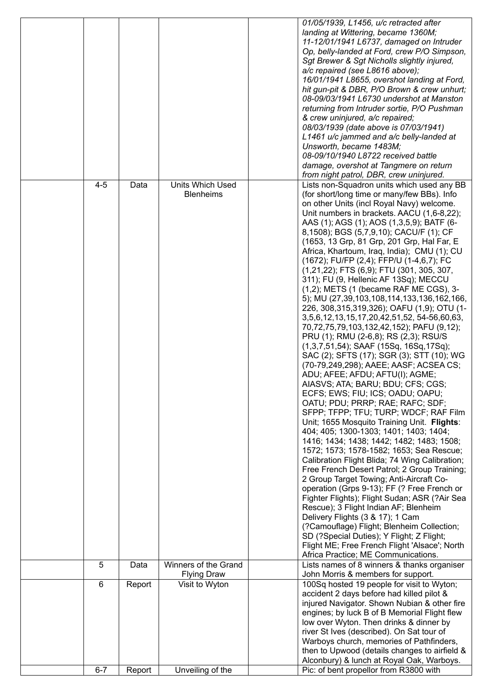|         |        |                                      | 01/05/1939, L1456, u/c retracted after         |
|---------|--------|--------------------------------------|------------------------------------------------|
|         |        |                                      | landing at Wittering, became 1360M;            |
|         |        |                                      | 11-12/01/1941 L6737, damaged on Intruder       |
|         |        |                                      | Op, belly-landed at Ford, crew P/O Simpson,    |
|         |        |                                      | Sgt Brewer & Sgt Nicholls slightly injured,    |
|         |        |                                      |                                                |
|         |        |                                      | a/c repaired (see L8616 above);                |
|         |        |                                      | 16/01/1941 L8655, overshot landing at Ford,    |
|         |        |                                      | hit gun-pit & DBR, P/O Brown & crew unhurt;    |
|         |        |                                      | 08-09/03/1941 L6730 undershot at Manston       |
|         |        |                                      | returning from Intruder sortie, P/O Pushman    |
|         |        |                                      | & crew uninjured, a/c repaired;                |
|         |        |                                      | 08/03/1939 (date above is 07/03/1941)          |
|         |        |                                      |                                                |
|         |        |                                      | L1461 u/c jammed and a/c belly-landed at       |
|         |        |                                      | Unsworth, became 1483M;                        |
|         |        |                                      | 08-09/10/1940 L8722 received battle            |
|         |        |                                      | damage, overshot at Tangmere on return         |
|         |        |                                      | from night patrol, DBR, crew uninjured.        |
| $4 - 5$ | Data   | <b>Units Which Used</b>              | Lists non-Squadron units which used any BB     |
|         |        | <b>Blenheims</b>                     | (for short/long time or many/few BBs). Info    |
|         |        |                                      | on other Units (incl Royal Navy) welcome.      |
|         |        |                                      |                                                |
|         |        |                                      | Unit numbers in brackets. AACU (1,6-8,22);     |
|         |        |                                      | AAS (1); AGS (1); AOS (1,3,5,9); BATF (6-      |
|         |        |                                      | 8,1508); BGS (5,7,9,10); CACU/F (1); CF        |
|         |        |                                      | (1653, 13 Grp, 81 Grp, 201 Grp, Hal Far, E     |
|         |        |                                      | Africa, Khartoum, Iraq, India); CMU (1); CU    |
|         |        |                                      | (1672); FU/FP (2,4); FFP/U (1-4,6,7); FC       |
|         |        |                                      | (1,21,22); FTS (6,9); FTU (301, 305, 307,      |
|         |        |                                      |                                                |
|         |        |                                      | 311); FU (9, Hellenic AF 13Sq); MECCU          |
|         |        |                                      | $(1,2)$ ; METS $(1$ (became RAF ME CGS), 3-    |
|         |        |                                      | 5); MU (27,39,103,108,114,133,136,162,166,     |
|         |        |                                      | 226, 308, 315, 319, 326); OAFU (1,9); OTU (1-  |
|         |        |                                      | 3,5,6,12,13,15,17,20,42,51,52, 54-56,60,63,    |
|         |        |                                      | 70,72,75,79,103,132,42,152); PAFU (9,12);      |
|         |        |                                      | PRU (1); RMU (2-6,8); RS (2,3); RSU/S          |
|         |        |                                      | $(1,3,7,51,54)$ ; SAAF (15Sq, 16Sq, 17Sq);     |
|         |        |                                      |                                                |
|         |        |                                      | SAC (2); SFTS (17); SGR (3); STT (10); WG      |
|         |        |                                      | (70-79,249,298); AAEE; AASF; ACSEA CS;         |
|         |        |                                      | ADU; AFEE; AFDU; AFTU(I); AGME;                |
|         |        |                                      | AIASVS; ATA; BARU; BDU; CFS; CGS;              |
|         |        |                                      | ECFS; EWS; FIU; ICS; OADU; OAPU;               |
|         |        |                                      | OATU; PDU; PRRP; RAE; RAFC; SDF;               |
|         |        |                                      | SFPP; TFPP; TFU; TURP; WDCF; RAF Film          |
|         |        |                                      |                                                |
|         |        |                                      | Unit; 1655 Mosquito Training Unit. Flights:    |
|         |        |                                      | 404; 405; 1300-1303; 1401; 1403; 1404;         |
|         |        |                                      | 1416; 1434; 1438; 1442; 1482; 1483; 1508;      |
|         |        |                                      | 1572; 1573; 1578-1582; 1653; Sea Rescue;       |
|         |        |                                      | Calibration Flight Blida; 74 Wing Calibration; |
|         |        |                                      | Free French Desert Patrol; 2 Group Training;   |
|         |        |                                      | 2 Group Target Towing; Anti-Aircraft Co-       |
|         |        |                                      | operation (Grps 9-13); FF (? Free French or    |
|         |        |                                      |                                                |
|         |        |                                      | Fighter Flights); Flight Sudan; ASR (?Air Sea  |
|         |        |                                      | Rescue); 3 Flight Indian AF; Blenheim          |
|         |        |                                      | Delivery Flights (3 & 17); 1 Cam               |
|         |        |                                      | (?Camouflage) Flight; Blenheim Collection;     |
|         |        |                                      | SD (?Special Duties); Y Flight; Z Flight;      |
|         |        |                                      | Flight ME; Free French Flight 'Alsace'; North  |
|         |        |                                      | Africa Practice; ME Communications.            |
| 5       | Data   | Winners of the Grand                 | Lists names of 8 winners & thanks organiser    |
|         |        |                                      | John Morris & members for support.             |
| 6       |        | <b>Flying Draw</b><br>Visit to Wyton | 100Sq hosted 19 people for visit to Wyton;     |
|         | Report |                                      |                                                |
|         |        |                                      | accident 2 days before had killed pilot &      |
|         |        |                                      | injured Navigator. Shown Nubian & other fire   |
|         |        |                                      | engines; by luck B of B Memorial Flight flew   |
|         |        |                                      | low over Wyton. Then drinks & dinner by        |
|         |        |                                      | river St Ives (described). On Sat tour of      |
|         |        |                                      | Warboys church, memories of Pathfinders,       |
|         |        |                                      | then to Upwood (details changes to airfield &  |
|         |        |                                      | Alconbury) & lunch at Royal Oak, Warboys.      |
| $6 - 7$ | Report | Unveiling of the                     | Pic: of bent propellor from R3800 with         |
|         |        |                                      |                                                |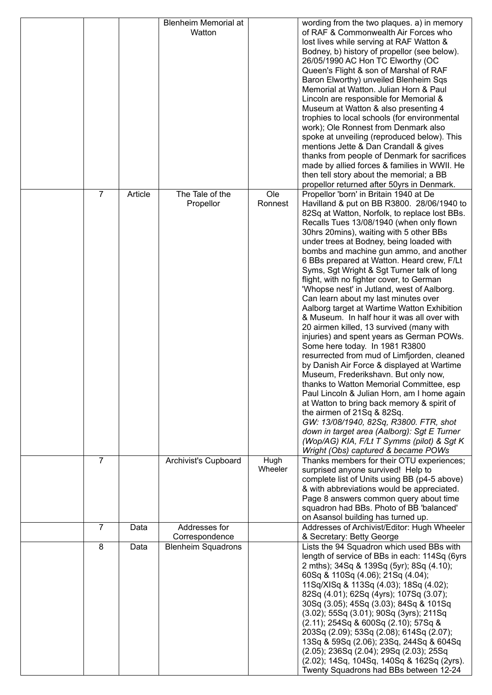|                |         | <b>Blenheim Memorial at</b><br>Watton       |                 | wording from the two plaques. a) in memory<br>of RAF & Commonwealth Air Forces who<br>lost lives while serving at RAF Watton &<br>Bodney, b) history of propellor (see below).<br>26/05/1990 AC Hon TC Elworthy (OC<br>Queen's Flight & son of Marshal of RAF<br>Baron Elworthy) unveiled Blenheim Sqs<br>Memorial at Watton. Julian Horn & Paul<br>Lincoln are responsible for Memorial &<br>Museum at Watton & also presenting 4<br>trophies to local schools (for environmental<br>work); Ole Ronnest from Denmark also<br>spoke at unveiling (reproduced below). This<br>mentions Jette & Dan Crandall & gives<br>thanks from people of Denmark for sacrifices<br>made by allied forces & families in WWII. He<br>then tell story about the memorial; a BB<br>propellor returned after 50yrs in Denmark.                                                                                                                                                                                                                                                                                                                                                                                                                  |
|----------------|---------|---------------------------------------------|-----------------|-------------------------------------------------------------------------------------------------------------------------------------------------------------------------------------------------------------------------------------------------------------------------------------------------------------------------------------------------------------------------------------------------------------------------------------------------------------------------------------------------------------------------------------------------------------------------------------------------------------------------------------------------------------------------------------------------------------------------------------------------------------------------------------------------------------------------------------------------------------------------------------------------------------------------------------------------------------------------------------------------------------------------------------------------------------------------------------------------------------------------------------------------------------------------------------------------------------------------------|
| $\overline{7}$ | Article | The Tale of the<br>Propellor                | Ole<br>Ronnest  | Propellor 'born' in Britain 1940 at De<br>Havilland & put on BB R3800. 28/06/1940 to<br>82Sq at Watton, Norfolk, to replace lost BBs.<br>Recalls Tues 13/08/1940 (when only flown<br>30hrs 20mins), waiting with 5 other BBs<br>under trees at Bodney, being loaded with<br>bombs and machine gun ammo, and another<br>6 BBs prepared at Watton. Heard crew, F/Lt<br>Syms, Sgt Wright & Sgt Turner talk of long<br>flight, with no fighter cover, to German<br>'Whopse nest' in Jutland, west of Aalborg.<br>Can learn about my last minutes over<br>Aalborg target at Wartime Watton Exhibition<br>& Museum. In half hour it was all over with<br>20 airmen killed, 13 survived (many with<br>injuries) and spent years as German POWs.<br>Some here today. In 1981 R3800<br>resurrected from mud of Limfjorden, cleaned<br>by Danish Air Force & displayed at Wartime<br>Museum, Frederikshavn. But only now,<br>thanks to Watton Memorial Committee, esp<br>Paul Lincoln & Julian Horn, am I home again<br>at Watton to bring back memory & spirit of<br>the airmen of 21Sq & 82Sq.<br>GW: 13/08/1940, 82Sq, R3800. FTR, shot<br>down in target area (Aalborg): Sgt E Turner<br>(Wop/AG) KIA, F/Lt T Symms (pilot) & Sgt K |
| $\overline{7}$ |         | Archivist's Cupboard                        | Hugh<br>Wheeler | Wright (Obs) captured & became POWs<br>Thanks members for their OTU experiences;<br>surprised anyone survived! Help to<br>complete list of Units using BB (p4-5 above)<br>& with abbreviations would be appreciated.<br>Page 8 answers common query about time<br>squadron had BBs. Photo of BB 'balanced'<br>on Asansol building has turned up.                                                                                                                                                                                                                                                                                                                                                                                                                                                                                                                                                                                                                                                                                                                                                                                                                                                                              |
| $\overline{7}$ | Data    | Addresses for                               |                 | Addresses of Archivist/Editor: Hugh Wheeler                                                                                                                                                                                                                                                                                                                                                                                                                                                                                                                                                                                                                                                                                                                                                                                                                                                                                                                                                                                                                                                                                                                                                                                   |
| 8              | Data    | Correspondence<br><b>Blenheim Squadrons</b> |                 | & Secretary: Betty George<br>Lists the 94 Squadron which used BBs with<br>length of service of BBs in each: 114Sq (6yrs<br>2 mths); 34Sq & 139Sq (5yr); 8Sq (4.10);<br>60Sq & 110Sq (4.06); 21Sq (4.04);                                                                                                                                                                                                                                                                                                                                                                                                                                                                                                                                                                                                                                                                                                                                                                                                                                                                                                                                                                                                                      |
|                |         |                                             |                 | 11Sq/XISq & 113Sq (4.03); 18Sq (4.02);<br>82Sq (4.01); 62Sq (4yrs); 107Sq (3.07);<br>30Sq (3.05); 45Sq (3.03); 84Sq & 101Sq<br>(3.02); 55Sq (3.01); 90Sq (3yrs); 211Sq<br>(2.11); 254Sq & 600Sq (2.10); 57Sq &<br>203Sq (2.09); 53Sq (2.08); 614Sq (2.07);<br>13Sq & 59Sq (2.06); 23Sq, 244Sq & 604Sq<br>(2.05); 236Sq (2.04); 29Sq (2.03); 25Sq<br>(2.02); 14Sq, 104Sq, 140Sq & 162Sq (2yrs).<br>Twenty Squadrons had BBs between 12-24                                                                                                                                                                                                                                                                                                                                                                                                                                                                                                                                                                                                                                                                                                                                                                                      |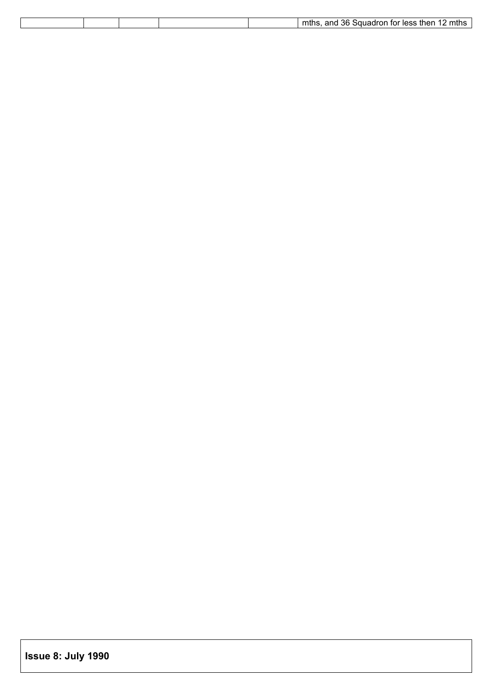|  |  | 36.<br>and<br>$\overline{\phantom{a}}$<br>`mthe<br>mths<br>$\sim$<br>less then<br>.<br>īО<br>. Sauaar<br>בו ווווי |
|--|--|-------------------------------------------------------------------------------------------------------------------|
|  |  |                                                                                                                   |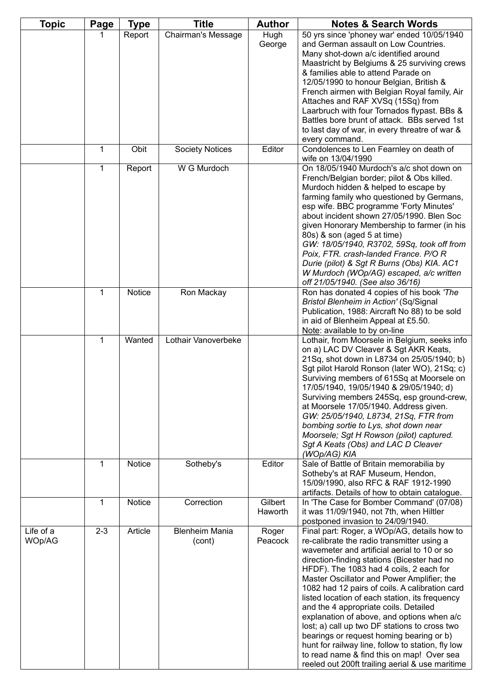| <b>Topic</b>        | Page        | <b>Type</b> | Title                           | <b>Author</b>      | <b>Notes &amp; Search Words</b>                                                                                                                                                                                                                                                                                                                                                                                                                                                                                                                                                                                                                                                                                               |
|---------------------|-------------|-------------|---------------------------------|--------------------|-------------------------------------------------------------------------------------------------------------------------------------------------------------------------------------------------------------------------------------------------------------------------------------------------------------------------------------------------------------------------------------------------------------------------------------------------------------------------------------------------------------------------------------------------------------------------------------------------------------------------------------------------------------------------------------------------------------------------------|
|                     |             | Report      | <b>Chairman's Message</b>       | Hugh<br>George     | 50 yrs since 'phoney war' ended 10/05/1940<br>and German assault on Low Countries.<br>Many shot-down a/c identified around<br>Maastricht by Belgiums & 25 surviving crews<br>& families able to attend Parade on<br>12/05/1990 to honour Belgian, British &<br>French airmen with Belgian Royal family, Air<br>Attaches and RAF XVSq (15Sq) from<br>Laarbruch with four Tornados flypast. BBs &<br>Battles bore brunt of attack. BBs served 1st<br>to last day of war, in every threatre of war &<br>every command.                                                                                                                                                                                                           |
|                     | 1           | Obit        | <b>Society Notices</b>          | Editor             | Condolences to Len Fearnley on death of<br>wife on 13/04/1990                                                                                                                                                                                                                                                                                                                                                                                                                                                                                                                                                                                                                                                                 |
|                     | 1           | Report      | W G Murdoch                     |                    | On 18/05/1940 Murdoch's a/c shot down on<br>French/Belgian border; pilot & Obs killed.<br>Murdoch hidden & helped to escape by<br>farming family who questioned by Germans,<br>esp wife. BBC programme 'Forty Minutes'<br>about incident shown 27/05/1990. Blen Soc<br>given Honorary Membership to farmer (in his<br>80s) & son (aged 5 at time)<br>GW: 18/05/1940, R3702, 59Sq, took off from<br>Poix, FTR. crash-landed France. P/O R<br>Durie (pilot) & Sgt R Burns (Obs) KIA. AC1<br>W Murdoch (WOp/AG) escaped, a/c written<br>off 21/05/1940. (See also 36/16)                                                                                                                                                         |
|                     | 1           | Notice      | Ron Mackay                      |                    | Ron has donated 4 copies of his book 'The<br>Bristol Blenheim in Action' (Sq/Signal<br>Publication, 1988: Aircraft No 88) to be sold<br>in aid of Blenheim Appeal at £5.50.<br>Note: available to by on-line                                                                                                                                                                                                                                                                                                                                                                                                                                                                                                                  |
|                     | $\mathbf 1$ | Wanted      | Lothair Vanoverbeke             |                    | Lothair, from Moorsele in Belgium, seeks info<br>on a) LAC DV Cleaver & Sgt AKR Keats,<br>21Sq, shot down in L8734 on 25/05/1940; b)<br>Sgt pilot Harold Ronson (later WO), 21Sq; c)<br>Surviving members of 615Sq at Moorsele on<br>17/05/1940, 19/05/1940 & 29/05/1940; d)<br>Surviving members 245Sq, esp ground-crew,<br>at Moorsele 17/05/1940. Address given.<br>GW: 25/05/1940, L8734, 21Sq, FTR from<br>bombing sortie to Lys, shot down near<br>Moorsele; Sgt H Rowson (pilot) captured.<br>Sgt A Keats (Obs) and LAC D Cleaver<br>(WOp/AG) KIA                                                                                                                                                                      |
|                     | $\mathbf 1$ | Notice      | Sotheby's                       | Editor             | Sale of Battle of Britain memorabilia by<br>Sotheby's at RAF Museum, Hendon,<br>15/09/1990, also RFC & RAF 1912-1990<br>artifacts. Details of how to obtain catalogue.                                                                                                                                                                                                                                                                                                                                                                                                                                                                                                                                                        |
|                     | $\mathbf 1$ | Notice      | Correction                      | Gilbert<br>Haworth | In 'The Case for Bomber Command' (07/08)<br>it was 11/09/1940, not 7th, when Hiltler<br>postponed invasion to 24/09/1940.                                                                                                                                                                                                                                                                                                                                                                                                                                                                                                                                                                                                     |
| Life of a<br>WOp/AG | $2 - 3$     | Article     | <b>Blenheim Mania</b><br>(cont) | Roger<br>Peacock   | Final part: Roger, a WOp/AG, details how to<br>re-calibrate the radio transmitter using a<br>wavemeter and artificial aerial to 10 or so<br>direction-finding stations (Bicester had no<br>HFDF). The 1083 had 4 coils, 2 each for<br>Master Oscillator and Power Amplifier; the<br>1082 had 12 pairs of coils. A calibration card<br>listed location of each station, its frequency<br>and the 4 appropriate coils. Detailed<br>explanation of above, and options when a/c<br>lost; a) call up two DF stations to cross two<br>bearings or request homing bearing or b)<br>hunt for railway line, follow to station, fly low<br>to read name & find this on map! Over sea<br>reeled out 200ft trailing aerial & use maritime |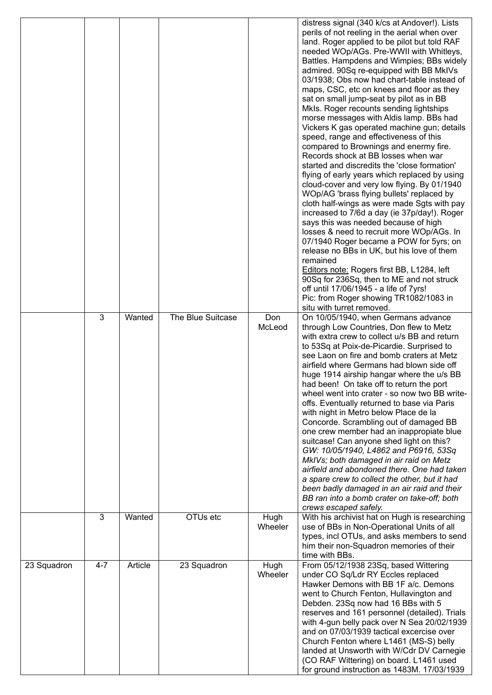|             |         |         |                   |                 | distress signal (340 k/cs at Andover!). Lists<br>perils of not reeling in the aerial when over<br>land. Roger applied to be pilot but told RAF<br>needed WOp/AGs. Pre-WWII with Whitleys,<br>Battles. Hampdens and Wimpies; BBs widely<br>admired. 90Sq re-equipped with BB MkIVs<br>03/1938; Obs now had chart-table instead of<br>maps, CSC, etc on knees and floor as they<br>sat on small jump-seat by pilot as in BB<br>Mkls. Roger recounts sending lightships<br>morse messages with Aldis lamp. BBs had<br>Vickers K gas operated machine gun; details<br>speed, range and effectiveness of this<br>compared to Brownings and enermy fire.<br>Records shock at BB losses when war<br>started and discredits the 'close formation'<br>flying of early years which replaced by using<br>cloud-cover and very low flying. By 01/1940<br>WOp/AG 'brass flying bullets' replaced by<br>cloth half-wings as were made Sgts with pay<br>increased to 7/6d a day (ie 37p/day!). Roger<br>says this was needed because of high<br>losses & need to recruit more WOp/AGs. In<br>07/1940 Roger became a POW for 5yrs; on<br>release no BBs in UK, but his love of them<br>remained<br>Editors note: Rogers first BB, L1284, left<br>90Sq for 236Sq, then to ME and not struck<br>off until 17/06/1945 - a life of 7yrs!<br>Pic: from Roger showing TR1082/1083 in<br>situ with turret removed. |
|-------------|---------|---------|-------------------|-----------------|---------------------------------------------------------------------------------------------------------------------------------------------------------------------------------------------------------------------------------------------------------------------------------------------------------------------------------------------------------------------------------------------------------------------------------------------------------------------------------------------------------------------------------------------------------------------------------------------------------------------------------------------------------------------------------------------------------------------------------------------------------------------------------------------------------------------------------------------------------------------------------------------------------------------------------------------------------------------------------------------------------------------------------------------------------------------------------------------------------------------------------------------------------------------------------------------------------------------------------------------------------------------------------------------------------------------------------------------------------------------------------------------|
|             | 3       | Wanted  | The Blue Suitcase | Don<br>McLeod   | On 10/05/1940, when Germans advance<br>through Low Countries, Don flew to Metz<br>with extra crew to collect u/s BB and return<br>to 53Sq at Poix-de-Picardie. Surprised to<br>see Laon on fire and bomb craters at Metz<br>airfield where Germans had blown side off<br>huge 1914 airship hangar where the u/s BB<br>had been! On take off to return the port<br>wheel went into crater - so now two BB write-<br>offs. Eventually returned to base via Paris<br>with night in Metro below Place de la<br>Concorde. Scrambling out of damaged BB<br>one crew member had an inappropiate blue<br>suitcase! Can anyone shed light on this?<br>GW: 10/05/1940, L4862 and P6916, 53Sq<br>MkIVs; both damaged in air raid on Metz<br>airfield and abondoned there. One had taken<br>a spare crew to collect the other, but it had<br>been badly damaged in an air raid and their<br>BB ran into a bomb crater on take-off; both<br>crews escaped safely.                                                                                                                                                                                                                                                                                                                                                                                                                                        |
|             | 3       | Wanted  | OTUs etc          | Hugh<br>Wheeler | With his archivist hat on Hugh is researching<br>use of BBs in Non-Operational Units of all<br>types, incl OTUs, and asks members to send<br>him their non-Squadron memories of their<br>time with BBs.                                                                                                                                                                                                                                                                                                                                                                                                                                                                                                                                                                                                                                                                                                                                                                                                                                                                                                                                                                                                                                                                                                                                                                                     |
| 23 Squadron | $4 - 7$ | Article | 23 Squadron       | Hugh<br>Wheeler | From 05/12/1938 23Sq, based Wittering<br>under CO Sq/Ldr RY Eccles replaced<br>Hawker Demons with BB 1F a/c. Demons<br>went to Church Fenton, Hullavington and<br>Debden. 23Sq now had 16 BBs with 5<br>reserves and 161 personnel (detailed). Trials<br>with 4-gun belly pack over N Sea 20/02/1939<br>and on 07/03/1939 tactical excercise over<br>Church Fenton where L1461 (MS-S) belly<br>landed at Unsworth with W/Cdr DV Carnegie<br>(CO RAF Wittering) on board. L1461 used<br>for ground instruction as 1483M. 17/03/1939                                                                                                                                                                                                                                                                                                                                                                                                                                                                                                                                                                                                                                                                                                                                                                                                                                                          |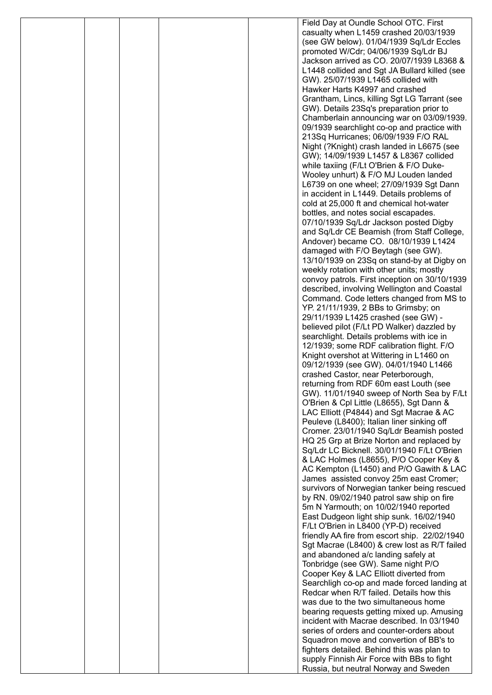|  |  | Field Day at Oundle School OTC. First                                                        |
|--|--|----------------------------------------------------------------------------------------------|
|  |  | casualty when L1459 crashed 20/03/1939                                                       |
|  |  | (see GW below). 01/04/1939 Sq/Ldr Eccles                                                     |
|  |  | promoted W/Cdr; 04/06/1939 Sq/Ldr BJ<br>Jackson arrived as CO. 20/07/1939 L8368 &            |
|  |  | L1448 collided and Sgt JA Bullard killed (see                                                |
|  |  | GW). 25/07/1939 L1465 collided with                                                          |
|  |  | Hawker Harts K4997 and crashed                                                               |
|  |  | Grantham, Lincs, killing Sgt LG Tarrant (see                                                 |
|  |  | GW). Details 23Sq's preparation prior to                                                     |
|  |  | Chamberlain announcing war on 03/09/1939.                                                    |
|  |  | 09/1939 searchlight co-op and practice with<br>213Sq Hurricanes; 06/09/1939 F/O RAL          |
|  |  | Night (?Knight) crash landed in L6675 (see                                                   |
|  |  | GW); 14/09/1939 L1457 & L8367 collided                                                       |
|  |  | while taxiing (F/Lt O'Brien & F/O Duke-                                                      |
|  |  | Wooley unhurt) & F/O MJ Louden landed                                                        |
|  |  | L6739 on one wheel; 27/09/1939 Sgt Dann                                                      |
|  |  | in accident in L1449. Details problems of                                                    |
|  |  | cold at 25,000 ft and chemical hot-water<br>bottles, and notes social escapades.             |
|  |  | 07/10/1939 Sq/Ldr Jackson posted Digby                                                       |
|  |  | and Sq/Ldr CE Beamish (from Staff College,                                                   |
|  |  | Andover) became CO. 08/10/1939 L1424                                                         |
|  |  | damaged with F/O Beytagh (see GW).                                                           |
|  |  | 13/10/1939 on 23Sq on stand-by at Digby on                                                   |
|  |  | weekly rotation with other units; mostly                                                     |
|  |  | convoy patrols. First inception on 30/10/1939<br>described, involving Wellington and Coastal |
|  |  | Command. Code letters changed from MS to                                                     |
|  |  | YP. 21/11/1939, 2 BBs to Grimsby; on                                                         |
|  |  | 29/11/1939 L1425 crashed (see GW) -                                                          |
|  |  | believed pilot (F/Lt PD Walker) dazzled by                                                   |
|  |  | searchlight. Details problems with ice in<br>12/1939; some RDF calibration flight. F/O       |
|  |  | Knight overshot at Wittering in L1460 on                                                     |
|  |  | 09/12/1939 (see GW). 04/01/1940 L1466                                                        |
|  |  | crashed Castor, near Peterborough,                                                           |
|  |  | returning from RDF 60m east Louth (see                                                       |
|  |  | GW). 11/01/1940 sweep of North Sea by F/Lt<br>O'Brien & Cpl Little (L8655), Sgt Dann &       |
|  |  | LAC Elliott (P4844) and Sgt Macrae & AC                                                      |
|  |  | Peuleve (L8400); Italian liner sinking off                                                   |
|  |  | Cromer. 23/01/1940 Sq/Ldr Beamish posted                                                     |
|  |  | HQ 25 Grp at Brize Norton and replaced by                                                    |
|  |  | Sq/Ldr LC Bicknell. 30/01/1940 F/Lt O'Brien                                                  |
|  |  | & LAC Holmes (L8655), P/O Cooper Key &<br>AC Kempton (L1450) and P/O Gawith & LAC            |
|  |  | James assisted convoy 25m east Cromer;                                                       |
|  |  | survivors of Norwegian tanker being rescued                                                  |
|  |  | by RN. 09/02/1940 patrol saw ship on fire                                                    |
|  |  | 5m N Yarmouth; on 10/02/1940 reported                                                        |
|  |  | East Dudgeon light ship sunk. 16/02/1940<br>F/Lt O'Brien in L8400 (YP-D) received            |
|  |  | friendly AA fire from escort ship. 22/02/1940                                                |
|  |  | Sgt Macrae (L8400) & crew lost as R/T failed                                                 |
|  |  | and abandoned a/c landing safely at                                                          |
|  |  | Tonbridge (see GW). Same night P/O                                                           |
|  |  | Cooper Key & LAC Elliott diverted from                                                       |
|  |  | Searchligh co-op and made forced landing at<br>Redcar when R/T failed. Details how this      |
|  |  | was due to the two simultaneous home                                                         |
|  |  | bearing requests getting mixed up. Amusing                                                   |
|  |  | incident with Macrae described. In 03/1940                                                   |
|  |  | series of orders and counter-orders about                                                    |
|  |  | Squadron move and convertion of BB's to<br>fighters detailed. Behind this was plan to        |
|  |  | supply Finnish Air Force with BBs to fight                                                   |
|  |  | Russia, but neutral Norway and Sweden                                                        |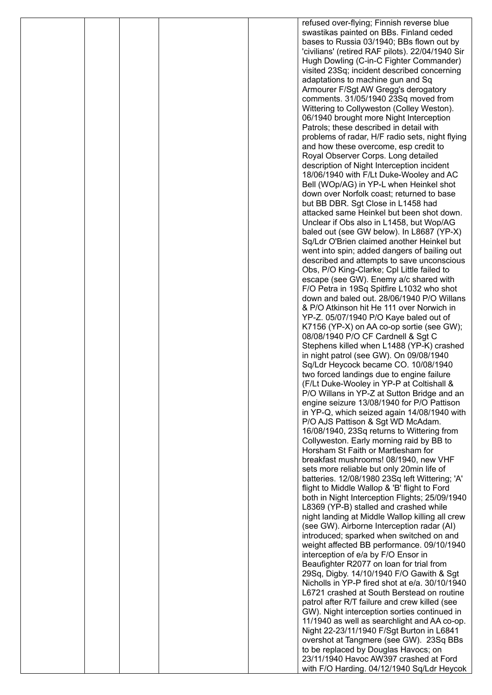|  |  | refused over-flying; Finnish reverse blue                                                     |
|--|--|-----------------------------------------------------------------------------------------------|
|  |  | swastikas painted on BBs. Finland ceded                                                       |
|  |  | bases to Russia 03/1940; BBs flown out by                                                     |
|  |  | 'civilians' (retired RAF pilots). 22/04/1940 Sir                                              |
|  |  | Hugh Dowling (C-in-C Fighter Commander)                                                       |
|  |  | visited 23Sq; incident described concerning                                                   |
|  |  | adaptations to machine gun and Sq<br>Armourer F/Sgt AW Gregg's derogatory                     |
|  |  | comments. 31/05/1940 23Sq moved from                                                          |
|  |  | Wittering to Collyweston (Colley Weston).                                                     |
|  |  | 06/1940 brought more Night Interception                                                       |
|  |  | Patrols; these described in detail with                                                       |
|  |  | problems of radar, H/F radio sets, night flying                                               |
|  |  | and how these overcome, esp credit to                                                         |
|  |  | Royal Observer Corps. Long detailed                                                           |
|  |  | description of Night Interception incident                                                    |
|  |  | 18/06/1940 with F/Lt Duke-Wooley and AC                                                       |
|  |  | Bell (WOp/AG) in YP-L when Heinkel shot                                                       |
|  |  | down over Norfolk coast; returned to base                                                     |
|  |  | but BB DBR. Sgt Close in L1458 had<br>attacked same Heinkel but been shot down.               |
|  |  | Unclear if Obs also in L1458, but Wop/AG                                                      |
|  |  | baled out (see GW below). In L8687 (YP-X)                                                     |
|  |  | Sq/Ldr O'Brien claimed another Heinkel but                                                    |
|  |  | went into spin; added dangers of bailing out                                                  |
|  |  | described and attempts to save unconscious                                                    |
|  |  | Obs, P/O King-Clarke; Cpl Little failed to                                                    |
|  |  | escape (see GW). Enemy a/c shared with                                                        |
|  |  | F/O Petra in 19Sq Spitfire L1032 who shot                                                     |
|  |  | down and baled out. 28/06/1940 P/O Willans                                                    |
|  |  | & P/O Atkinson hit He 111 over Norwich in                                                     |
|  |  | YP-Z. 05/07/1940 P/O Kaye baled out of<br>K7156 (YP-X) on AA co-op sortie (see GW);           |
|  |  | 08/08/1940 P/O CF Cardnell & Sgt C                                                            |
|  |  | Stephens killed when L1488 (YP-K) crashed                                                     |
|  |  | in night patrol (see GW). On 09/08/1940                                                       |
|  |  | Sq/Ldr Heycock became CO. 10/08/1940                                                          |
|  |  | two forced landings due to engine failure                                                     |
|  |  | (F/Lt Duke-Wooley in YP-P at Coltishall &                                                     |
|  |  | P/O Willans in YP-Z at Sutton Bridge and an                                                   |
|  |  | engine seizure 13/08/1940 for P/O Pattison                                                    |
|  |  | in YP-Q, which seized again 14/08/1940 with                                                   |
|  |  | P/O AJS Pattison & Sgt WD McAdam.<br>16/08/1940, 23Sq returns to Wittering from               |
|  |  | Collyweston. Early morning raid by BB to                                                      |
|  |  | Horsham St Faith or Martlesham for                                                            |
|  |  | breakfast mushrooms! 08/1940, new VHF                                                         |
|  |  | sets more reliable but only 20min life of                                                     |
|  |  | batteries. 12/08/1980 23Sq left Wittering; 'A'                                                |
|  |  | flight to Middle Wallop & 'B' flight to Ford                                                  |
|  |  | both in Night Interception Flights; 25/09/1940                                                |
|  |  | L8369 (YP-B) stalled and crashed while                                                        |
|  |  | night landing at Middle Wallop killing all crew<br>(see GW). Airborne Interception radar (AI) |
|  |  | introduced; sparked when switched on and                                                      |
|  |  | weight affected BB performance. 09/10/1940                                                    |
|  |  | interception of e/a by F/O Ensor in                                                           |
|  |  | Beaufighter R2077 on loan for trial from                                                      |
|  |  | 29Sq, Digby. 14/10/1940 F/O Gawith & Sgt                                                      |
|  |  | Nicholls in YP-P fired shot at e/a. 30/10/1940                                                |
|  |  | L6721 crashed at South Berstead on routine                                                    |
|  |  | patrol after R/T failure and crew killed (see                                                 |
|  |  | GW). Night interception sorties continued in                                                  |
|  |  | 11/1940 as well as searchlight and AA co-op.                                                  |
|  |  | Night 22-23/11/1940 F/Sgt Burton in L6841<br>overshot at Tangmere (see GW). 23Sq BBs          |
|  |  | to be replaced by Douglas Havocs; on                                                          |
|  |  | 23/11/1940 Havoc AW397 crashed at Ford                                                        |
|  |  | with F/O Harding. 04/12/1940 Sq/Ldr Heycok                                                    |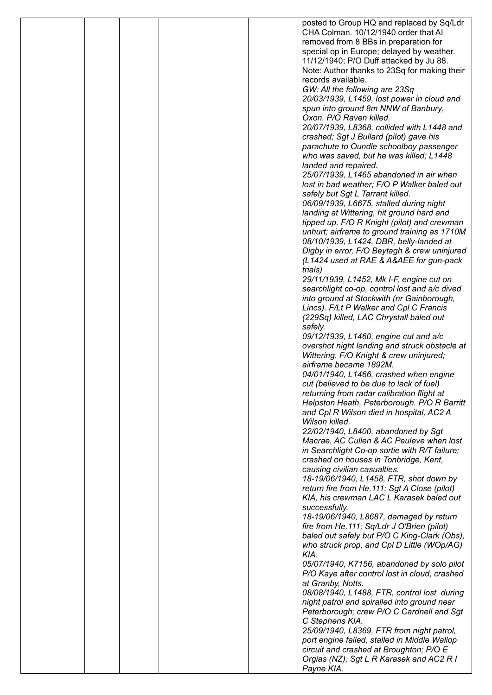|  |  | posted to Group HQ and replaced by Sq/Ldr                                                |
|--|--|------------------------------------------------------------------------------------------|
|  |  | CHA Colman. 10/12/1940 order that AI                                                     |
|  |  | removed from 8 BBs in preparation for                                                    |
|  |  | special op in Europe; delayed by weather.<br>11/12/1940; P/O Duff attacked by Ju 88.     |
|  |  | Note: Author thanks to 23Sq for making their                                             |
|  |  | records available.                                                                       |
|  |  | GW: All the following are 23Sq                                                           |
|  |  | 20/03/1939, L1459, lost power in cloud and                                               |
|  |  | spun into ground 8m NNW of Banbury,                                                      |
|  |  | Oxon. P/O Raven killed.                                                                  |
|  |  | 20/07/1939, L8368, collided with L1448 and                                               |
|  |  | crashed; Sgt J Bullard (pilot) gave his                                                  |
|  |  | parachute to Oundle schoolboy passenger<br>who was saved, but he was killed; L1448       |
|  |  | landed and repaired.                                                                     |
|  |  | 25/07/1939, L1465 abandoned in air when                                                  |
|  |  | lost in bad weather; F/O P Walker baled out                                              |
|  |  | safely but Sgt L Tarrant killed.                                                         |
|  |  | 06/09/1939, L6675, stalled during night                                                  |
|  |  | landing at Wittering, hit ground hard and                                                |
|  |  | tipped up. F/O R Knight (pilot) and crewman                                              |
|  |  | unhurt; airframe to ground training as 1710M                                             |
|  |  | 08/10/1939, L1424, DBR, belly-landed at<br>Digby in error, F/O Beytagh & crew uninjured  |
|  |  | (L1424 used at RAE & A&AEE for gun-pack                                                  |
|  |  | trials)                                                                                  |
|  |  | 29/11/1939, L1452, Mk I-F, engine cut on                                                 |
|  |  | searchlight co-op, control lost and a/c dived                                            |
|  |  | into ground at Stockwith (nr Gainborough,                                                |
|  |  | Lincs). F/Lt P Walker and Cpl C Francis                                                  |
|  |  | (229Sq) killed, LAC Chrystall baled out                                                  |
|  |  | safely.                                                                                  |
|  |  | 09/12/1939, L1460, engine cut and a/c<br>overshot night landing and struck obstacle at   |
|  |  | Wittering. F/O Knight & crew uninjured;                                                  |
|  |  | airframe became 1892M.                                                                   |
|  |  | 04/01/1940, L1466, crashed when engine                                                   |
|  |  | cut (believed to be due to lack of fuel)                                                 |
|  |  | returning from radar calibration flight at                                               |
|  |  | Helpston Heath, Peterborough. P/O R Barritt                                              |
|  |  | and Cpl R Wilson died in hospital, AC2 A                                                 |
|  |  | Wilson killed.<br>22/02/1940, L8400, abandoned by Sgt                                    |
|  |  | Macrae, AC Cullen & AC Peuleve when lost                                                 |
|  |  | in Searchlight Co-op sortie with R/T failure;                                            |
|  |  | crashed on houses in Tonbridge, Kent,                                                    |
|  |  | causing civilian casualties.                                                             |
|  |  | 18-19/06/1940, L1458, FTR, shot down by                                                  |
|  |  | return fire from He.111; Sgt A Close (pilot)                                             |
|  |  | KIA, his crewman LAC L Karasek baled out                                                 |
|  |  | successfully.<br>18-19/06/1940, L8687, damaged by return                                 |
|  |  | fire from He.111; Sq/Ldr J O'Brien (pilot)                                               |
|  |  | baled out safely but P/O C King-Clark (Obs),                                             |
|  |  | who struck prop, and Cpl D Little (WOp/AG)                                               |
|  |  | KIA.                                                                                     |
|  |  | 05/07/1940, K7156, abandoned by solo pilot                                               |
|  |  | P/O Kaye after control lost in cloud, crashed                                            |
|  |  | at Granby, Notts.                                                                        |
|  |  | 08/08/1940, L1488, FTR, control lost during                                              |
|  |  | night patrol and spiralled into ground near<br>Peterborough; crew P/O C Cardnell and Sgt |
|  |  | C Stephens KIA.                                                                          |
|  |  | 25/09/1940, L8369, FTR from night patrol,                                                |
|  |  | port engine failed, stalled in Middle Wallop                                             |
|  |  | circuit and crashed at Broughton; P/O E                                                  |
|  |  | Orgias (NZ), Sgt L R Karasek and AC2 R I                                                 |
|  |  | Payne KIA.                                                                               |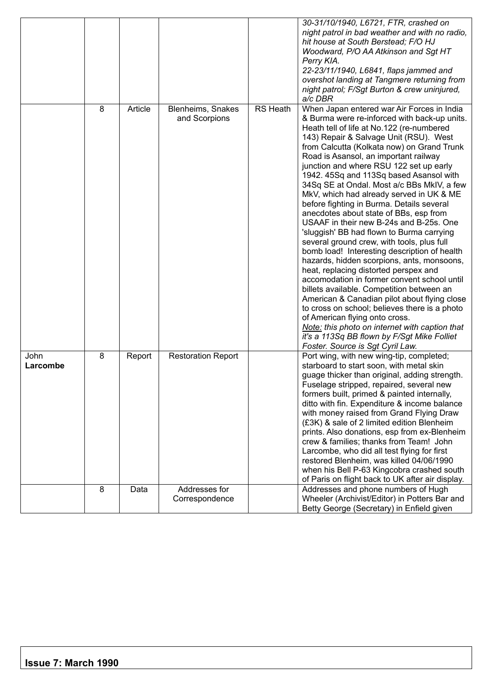|                  |   |         |                                    |                              | 30-31/10/1940, L6721, FTR, crashed on<br>night patrol in bad weather and with no radio,<br>hit house at South Berstead; F/O HJ<br>Woodward, P/O AA Atkinson and Sgt HT<br>Perry KIA.<br>22-23/11/1940, L6841, flaps jammed and<br>overshot landing at Tangmere returning from<br>night patrol; F/Sgt Burton & crew uninjured,<br>a/c DBR                                                                                                                                                                                                                                                                                                                                                                                                                                                                                                                                                                                                                                                                                                                                                                                                                                                         |
|------------------|---|---------|------------------------------------|------------------------------|--------------------------------------------------------------------------------------------------------------------------------------------------------------------------------------------------------------------------------------------------------------------------------------------------------------------------------------------------------------------------------------------------------------------------------------------------------------------------------------------------------------------------------------------------------------------------------------------------------------------------------------------------------------------------------------------------------------------------------------------------------------------------------------------------------------------------------------------------------------------------------------------------------------------------------------------------------------------------------------------------------------------------------------------------------------------------------------------------------------------------------------------------------------------------------------------------|
|                  | 8 | Article | Blenheims, Snakes<br>and Scorpions | $\overline{\text{RS}}$ Heath | When Japan entered war Air Forces in India<br>& Burma were re-inforced with back-up units.<br>Heath tell of life at No.122 (re-numbered<br>143) Repair & Salvage Unit (RSU). West<br>from Calcutta (Kolkata now) on Grand Trunk<br>Road is Asansol, an important railway<br>junction and where RSU 122 set up early<br>1942. 45Sq and 113Sq based Asansol with<br>34Sq SE at Ondal. Most a/c BBs MkIV, a few<br>MkV, which had already served in UK & ME<br>before fighting in Burma. Details several<br>anecdotes about state of BBs, esp from<br>USAAF in their new B-24s and B-25s. One<br>'sluggish' BB had flown to Burma carrying<br>several ground crew, with tools, plus full<br>bomb load! Interesting description of health<br>hazards, hidden scorpions, ants, monsoons,<br>heat, replacing distorted perspex and<br>accomodation in former convent school until<br>billets available. Competition between an<br>American & Canadian pilot about flying close<br>to cross on school; believes there is a photo<br>of American flying onto cross.<br>Note: this photo on internet with caption that<br>it's a 113Sq BB flown by F/Sgt Mike Folliet<br>Foster. Source is Sgt Cyril Law. |
| John<br>Larcombe | 8 | Report  | <b>Restoration Report</b>          |                              | Port wing, with new wing-tip, completed;<br>starboard to start soon, with metal skin<br>guage thicker than original, adding strength.<br>Fuselage stripped, repaired, several new<br>formers built, primed & painted internally,<br>ditto with fin. Expenditure & income balance<br>with money raised from Grand Flying Draw<br>(£3K) & sale of 2 limited edition Blenheim<br>prints. Also donations, esp from ex-Blenheim<br>crew & families; thanks from Team! John<br>Larcombe, who did all test flying for first<br>restored Blenheim, was killed 04/06/1990<br>when his Bell P-63 Kingcobra crashed south<br>of Paris on flight back to UK after air display.                                                                                                                                                                                                                                                                                                                                                                                                                                                                                                                               |
|                  | 8 | Data    | Addresses for<br>Correspondence    |                              | Addresses and phone numbers of Hugh<br>Wheeler (Archivist/Editor) in Potters Bar and<br>Betty George (Secretary) in Enfield given                                                                                                                                                                                                                                                                                                                                                                                                                                                                                                                                                                                                                                                                                                                                                                                                                                                                                                                                                                                                                                                                |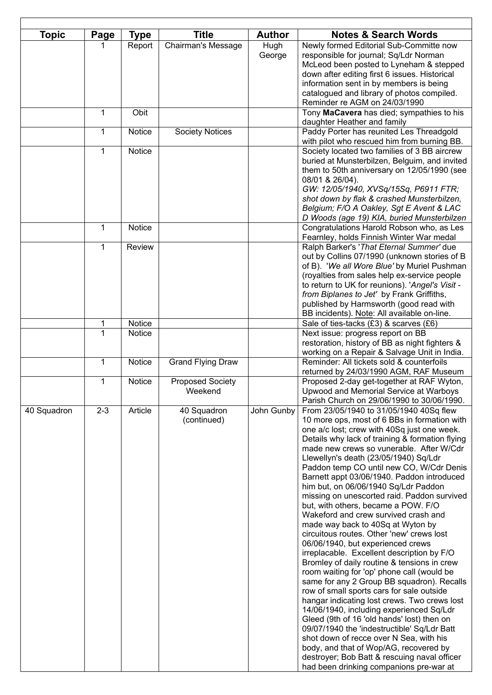| <b>Topic</b> | Page         | <b>Type</b>             | <b>Title</b>             | <b>Author</b> | <b>Notes &amp; Search Words</b>                                                               |
|--------------|--------------|-------------------------|--------------------------|---------------|-----------------------------------------------------------------------------------------------|
|              |              | Report                  | Chairman's Message       | Hugh          | Newly formed Editorial Sub-Committe now                                                       |
|              |              |                         |                          | George        | responsible for journal; Sq/Ldr Norman                                                        |
|              |              |                         |                          |               | McLeod been posted to Lyneham & stepped<br>down after editing first 6 issues. Historical      |
|              |              |                         |                          |               | information sent in by members is being                                                       |
|              |              |                         |                          |               | catalogued and library of photos compiled.                                                    |
|              |              |                         |                          |               | Reminder re AGM on 24/03/1990                                                                 |
|              | $\mathbf 1$  | Obit                    |                          |               | Tony MaCavera has died; sympathies to his                                                     |
|              |              |                         |                          |               | daughter Heather and family                                                                   |
|              | $\mathbf{1}$ | Notice                  | <b>Society Notices</b>   |               | Paddy Porter has reunited Les Threadgold                                                      |
|              | $\mathbf 1$  | Notice                  |                          |               | with pilot who rescued him from burning BB.                                                   |
|              |              |                         |                          |               | Society located two families of 3 BB aircrew<br>buried at Munsterbilzen, Belguim, and invited |
|              |              |                         |                          |               | them to 50th anniversary on 12/05/1990 (see                                                   |
|              |              |                         |                          |               | 08/01 & 26/04).                                                                               |
|              |              |                         |                          |               | GW: 12/05/1940, XVSq/15Sq, P6911 FTR;                                                         |
|              |              |                         |                          |               | shot down by flak & crashed Munsterbilzen,                                                    |
|              |              |                         |                          |               | Belgium; F/O A Oakley, Sgt E Avent & LAC                                                      |
|              |              |                         |                          |               | D Woods (age 19) KIA, buried Munsterbilzen                                                    |
|              | $\mathbf{1}$ | Notice                  |                          |               | Congratulations Harold Robson who, as Les                                                     |
|              | $\mathbf{1}$ | <b>Review</b>           |                          |               | Fearnley, holds Finnish Winter War medal<br>Ralph Barker's 'That Eternal Summer' due          |
|              |              |                         |                          |               | out by Collins 07/1990 (unknown stories of B                                                  |
|              |              |                         |                          |               | of B). 'We all Wore Blue' by Muriel Pushman                                                   |
|              |              |                         |                          |               | (royalties from sales help ex-service people                                                  |
|              |              |                         |                          |               | to return to UK for reunions). 'Angel's Visit -                                               |
|              |              |                         |                          |               | from Biplanes to Jet' by Frank Griffiths,                                                     |
|              |              |                         |                          |               | published by Harmsworth (good read with                                                       |
|              |              |                         |                          |               | BB incidents). Note: All available on-line.                                                   |
|              | 1<br>1       | Notice<br><b>Notice</b> |                          |               | Sale of ties-tacks (£3) & scarves (£6)<br>Next issue: progress report on BB                   |
|              |              |                         |                          |               | restoration, history of BB as night fighters &                                                |
|              |              |                         |                          |               | working on a Repair & Salvage Unit in India.                                                  |
|              | $\mathbf{1}$ | Notice                  | <b>Grand Flying Draw</b> |               | Reminder: All tickets sold & counterfoils                                                     |
|              |              |                         |                          |               | returned by 24/03/1990 AGM, RAF Museum                                                        |
|              | $\mathbf 1$  | Notice                  | <b>Proposed Society</b>  |               | Proposed 2-day get-together at RAF Wyton,                                                     |
|              |              |                         | Weekend                  |               | Upwood and Memorial Service at Warboys<br>Parish Church on 29/06/1990 to 30/06/1990.          |
| 40 Squadron  | $2 - 3$      | Article                 | 40 Squadron              | John Gunby    | From 23/05/1940 to 31/05/1940 40Sq flew                                                       |
|              |              |                         | (continued)              |               | 10 more ops, most of 6 BBs in formation with                                                  |
|              |              |                         |                          |               | one a/c lost; crew with 40Sq just one week.                                                   |
|              |              |                         |                          |               | Details why lack of training & formation flying                                               |
|              |              |                         |                          |               | made new crews so vunerable. After W/Cdr                                                      |
|              |              |                         |                          |               | Llewellyn's death (23/05/1940) Sq/Ldr                                                         |
|              |              |                         |                          |               | Paddon temp CO until new CO, W/Cdr Denis<br>Barnett appt 03/06/1940. Paddon introduced        |
|              |              |                         |                          |               | him but, on 06/06/1940 Sq/Ldr Paddon                                                          |
|              |              |                         |                          |               | missing on unescorted raid. Paddon survived                                                   |
|              |              |                         |                          |               | but, with others, became a POW. F/O                                                           |
|              |              |                         |                          |               | Wakeford and crew survived crash and                                                          |
|              |              |                         |                          |               | made way back to 40Sq at Wyton by                                                             |
|              |              |                         |                          |               | circuitous routes. Other 'new' crews lost                                                     |
|              |              |                         |                          |               | 06/06/1940, but experienced crews<br>irreplacable. Excellent description by F/O               |
|              |              |                         |                          |               | Bromley of daily routine & tensions in crew                                                   |
|              |              |                         |                          |               | room waiting for 'op' phone call (would be                                                    |
|              |              |                         |                          |               | same for any 2 Group BB squadron). Recalls                                                    |
|              |              |                         |                          |               | row of small sports cars for sale outside                                                     |
|              |              |                         |                          |               | hangar indicating lost crews. Two crews lost                                                  |
|              |              |                         |                          |               | 14/06/1940, including experienced Sq/Ldr                                                      |
|              |              |                         |                          |               | Gleed (9th of 16 'old hands' lost) then on                                                    |
|              |              |                         |                          |               | 09/07/1940 the 'indestructible' Sq/Ldr Batt<br>shot down of recce over N Sea, with his        |
|              |              |                         |                          |               | body, and that of Wop/AG, recovered by                                                        |
|              |              |                         |                          |               | destroyer; Bob Batt & rescuing naval officer                                                  |
|              |              |                         |                          |               | had been drinking companions pre-war at                                                       |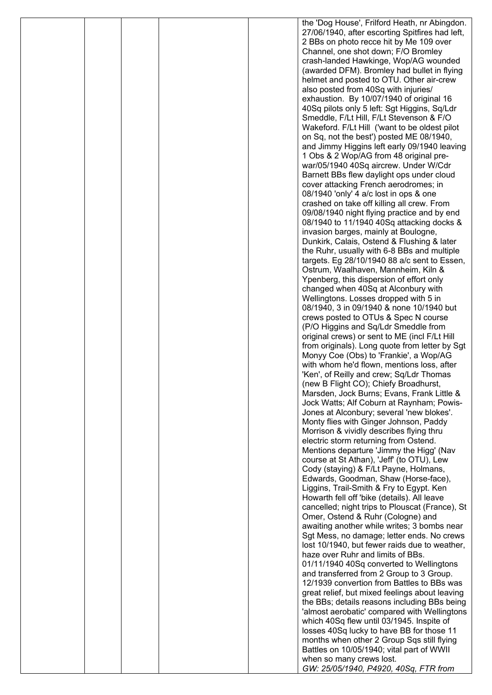|  |  | the 'Dog House', Frilford Heath, nr Abingdon.                                            |
|--|--|------------------------------------------------------------------------------------------|
|  |  | 27/06/1940, after escorting Spitfires had left,                                          |
|  |  | 2 BBs on photo recce hit by Me 109 over                                                  |
|  |  | Channel, one shot down; F/O Bromley                                                      |
|  |  | crash-landed Hawkinge, Wop/AG wounded                                                    |
|  |  | (awarded DFM). Bromley had bullet in flying                                              |
|  |  | helmet and posted to OTU. Other air-crew<br>also posted from 40Sq with injuries/         |
|  |  | exhaustion. By 10/07/1940 of original 16                                                 |
|  |  | 40Sq pilots only 5 left: Sgt Higgins, Sq/Ldr                                             |
|  |  | Smeddle, F/Lt Hill, F/Lt Stevenson & F/O                                                 |
|  |  | Wakeford. F/Lt Hill ('want to be oldest pilot                                            |
|  |  | on Sq, not the best') posted ME 08/1940,                                                 |
|  |  | and Jimmy Higgins left early 09/1940 leaving                                             |
|  |  | 1 Obs & 2 Wop/AG from 48 original pre-                                                   |
|  |  | war/05/1940 40Sq aircrew. Under W/Cdr                                                    |
|  |  | Barnett BBs flew daylight ops under cloud                                                |
|  |  | cover attacking French aerodromes; in                                                    |
|  |  | 08/1940 'only' 4 a/c lost in ops & one                                                   |
|  |  | crashed on take off killing all crew. From                                               |
|  |  | 09/08/1940 night flying practice and by end<br>08/1940 to 11/1940 40Sq attacking docks & |
|  |  | invasion barges, mainly at Boulogne,                                                     |
|  |  | Dunkirk, Calais, Ostend & Flushing & later                                               |
|  |  | the Ruhr, usually with 6-8 BBs and multiple                                              |
|  |  | targets. Eg 28/10/1940 88 a/c sent to Essen,                                             |
|  |  | Ostrum, Waalhaven, Mannheim, Kiln &                                                      |
|  |  | Ypenberg, this dispersion of effort only                                                 |
|  |  | changed when 40Sq at Alconbury with                                                      |
|  |  | Wellingtons. Losses dropped with 5 in                                                    |
|  |  | 08/1940, 3 in 09/1940 & none 10/1940 but                                                 |
|  |  | crews posted to OTUs & Spec N course                                                     |
|  |  | (P/O Higgins and Sq/Ldr Smeddle from                                                     |
|  |  | original crews) or sent to ME (incl F/Lt Hill                                            |
|  |  | from originals). Long quote from letter by Sgt<br>Monyy Coe (Obs) to 'Frankie', a Wop/AG |
|  |  | with whom he'd flown, mentions loss, after                                               |
|  |  | 'Ken', of Reilly and crew; Sq/Ldr Thomas                                                 |
|  |  | (new B Flight CO); Chiefy Broadhurst,                                                    |
|  |  | Marsden, Jock Burns; Evans, Frank Little &                                               |
|  |  | Jock Watts; Alf Coburn at Raynham; Powis-                                                |
|  |  | Jones at Alconbury; several 'new blokes'.                                                |
|  |  | Monty flies with Ginger Johnson, Paddy                                                   |
|  |  | Morrison & vividly describes flying thru                                                 |
|  |  | electric storm returning from Ostend.                                                    |
|  |  | Mentions departure 'Jimmy the Higg' (Nav<br>course at St Athan), 'Jeff' (to OTU), Lew    |
|  |  | Cody (staying) & F/Lt Payne, Holmans,                                                    |
|  |  | Edwards, Goodman, Shaw (Horse-face),                                                     |
|  |  | Liggins, Trail-Smith & Fry to Egypt. Ken                                                 |
|  |  | Howarth fell off 'bike (details). All leave                                              |
|  |  | cancelled; night trips to Plouscat (France), St                                          |
|  |  | Omer, Ostend & Ruhr (Cologne) and                                                        |
|  |  | awaiting another while writes; 3 bombs near                                              |
|  |  | Sgt Mess, no damage; letter ends. No crews                                               |
|  |  | lost 10/1940, but fewer raids due to weather,<br>haze over Ruhr and limits of BBs.       |
|  |  | 01/11/1940 40Sq converted to Wellingtons                                                 |
|  |  | and transferred from 2 Group to 3 Group.                                                 |
|  |  | 12/1939 convertion from Battles to BBs was                                               |
|  |  | great relief, but mixed feelings about leaving                                           |
|  |  | the BBs; details reasons including BBs being                                             |
|  |  | 'almost aerobatic' compared with Wellingtons                                             |
|  |  | which 40Sq flew until 03/1945. Inspite of                                                |
|  |  | losses 40Sq lucky to have BB for those 11                                                |
|  |  | months when other 2 Group Sqs still flying                                               |
|  |  | Battles on 10/05/1940; vital part of WWII                                                |
|  |  | when so many crews lost.                                                                 |
|  |  | GW: 25/05/1940, P4920, 40Sq, FTR from                                                    |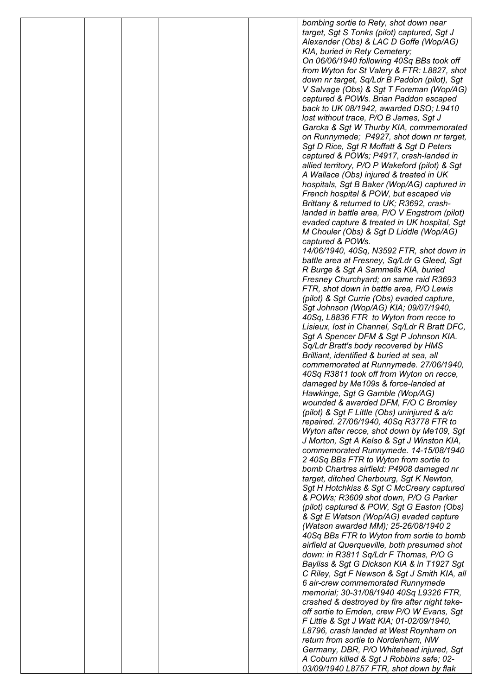|  |  | bombing sortie to Rety, shot down near                                                     |
|--|--|--------------------------------------------------------------------------------------------|
|  |  | target, Sgt S Tonks (pilot) captured, Sgt J                                                |
|  |  | Alexander (Obs) & LAC D Goffe (Wop/AG)                                                     |
|  |  | KIA, buried in Rety Cemetery;                                                              |
|  |  | On 06/06/1940 following 40Sq BBs took off<br>from Wyton for St Valery & FTR: L8827, shot   |
|  |  | down nr target, Sq/Ldr B Paddon (pilot), Sgt                                               |
|  |  | V Salvage (Obs) & Sgt T Foreman (Wop/AG)                                                   |
|  |  | captured & POWs. Brian Paddon escaped                                                      |
|  |  | back to UK 08/1942, awarded DSO; L9410                                                     |
|  |  | lost without trace, P/O B James, Sgt J                                                     |
|  |  | Garcka & Sgt W Thurby KIA, commemorated                                                    |
|  |  | on Runnymede; P4927, shot down nr target,                                                  |
|  |  | Sgt D Rice, Sgt R Moffatt & Sgt D Peters                                                   |
|  |  | captured & POWs; P4917, crash-landed in                                                    |
|  |  | allied territory, P/O P Wakeford (pilot) & Sgt<br>A Wallace (Obs) injured & treated in UK  |
|  |  | hospitals, Sgt B Baker (Wop/AG) captured in                                                |
|  |  | French hospital & POW, but escaped via                                                     |
|  |  | Brittany & returned to UK; R3692, crash-                                                   |
|  |  | landed in battle area, P/O V Engstrom (pilot)                                              |
|  |  | evaded capture & treated in UK hospital, Sgt                                               |
|  |  | M Chouler (Obs) & Sgt D Liddle (Wop/AG)                                                    |
|  |  | captured & POWs.                                                                           |
|  |  | 14/06/1940, 40Sq, N3592 FTR, shot down in                                                  |
|  |  | battle area at Fresney, Sq/Ldr G Gleed, Sgt                                                |
|  |  | R Burge & Sgt A Sammells KIA, buried<br>Fresney Churchyard; on same raid R3693             |
|  |  | FTR, shot down in battle area, P/O Lewis                                                   |
|  |  | (pilot) & Sgt Currie (Obs) evaded capture,                                                 |
|  |  | Sgt Johnson (Wop/AG) KIA; 09/07/1940,                                                      |
|  |  | 40Sq, L8836 FTR to Wyton from recce to                                                     |
|  |  | Lisieux, lost in Channel, Sq/Ldr R Bratt DFC,                                              |
|  |  | Sgt A Spencer DFM & Sgt P Johnson KIA.                                                     |
|  |  | Sq/Ldr Bratt's body recovered by HMS                                                       |
|  |  | Brilliant, identified & buried at sea, all                                                 |
|  |  | commemorated at Runnymede. 27/06/1940,                                                     |
|  |  | 40Sq R3811 took off from Wyton on recce,<br>damaged by Me109s & force-landed at            |
|  |  | Hawkinge, Sgt G Gamble (Wop/AG)                                                            |
|  |  | wounded & awarded DFM, F/O C Bromley                                                       |
|  |  | (pilot) & Sgt F Little (Obs) uninjured & a/c                                               |
|  |  | repaired. 27/06/1940, 40Sq R3778 FTR to                                                    |
|  |  | Wyton after recce, shot down by Me109, Sgt                                                 |
|  |  | J Morton, Sgt A Kelso & Sgt J Winston KIA,                                                 |
|  |  | commemorated Runnymede. 14-15/08/1940                                                      |
|  |  | 240Sq BBs FTR to Wyton from sortie to                                                      |
|  |  | bomb Chartres airfield: P4908 damaged nr<br>target, ditched Cherbourg, Sgt K Newton,       |
|  |  | Sgt H Hotchkiss & Sgt C McCreary captured                                                  |
|  |  | & POWs; R3609 shot down, P/O G Parker                                                      |
|  |  | (pilot) captured & POW, Sgt G Easton (Obs)                                                 |
|  |  | & Sgt E Watson (Wop/AG) evaded capture                                                     |
|  |  | (Watson awarded MM); 25-26/08/1940 2                                                       |
|  |  | 40Sq BBs FTR to Wyton from sortie to bomb                                                  |
|  |  | airfield at Querqueville, both presumed shot                                               |
|  |  | down: in R3811 Sq/Ldr F Thomas, P/O G                                                      |
|  |  | Bayliss & Sgt G Dickson KIA & in T1927 Sgt<br>C Riley, Sgt F Newson & Sgt J Smith KIA, all |
|  |  | 6 air-crew commemorated Runnymede                                                          |
|  |  | memorial; 30-31/08/1940 40Sq L9326 FTR,                                                    |
|  |  | crashed & destroyed by fire after night take-                                              |
|  |  | off sortie to Emden, crew P/O W Evans, Sgt                                                 |
|  |  | F Little & Sgt J Watt KIA; 01-02/09/1940,                                                  |
|  |  | L8796, crash landed at West Roynham on                                                     |
|  |  | return from sortie to Nordenham, NW                                                        |
|  |  | Germany, DBR, P/O Whitehead injured, Sgt<br>A Coburn killed & Sgt J Robbins safe; 02-      |
|  |  | 03/09/1940 L8757 FTR, shot down by flak                                                    |
|  |  |                                                                                            |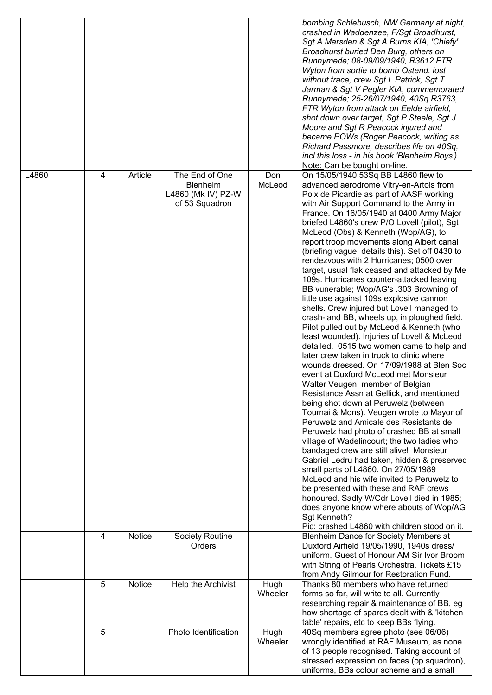|       |   |         |                                                                           |                 | bombing Schlebusch, NW Germany at night,<br>crashed in Waddenzee, F/Sgt Broadhurst,<br>Sgt A Marsden & Sgt A Burns KIA, 'Chiefy'<br>Broadhurst buried Den Burg, others on<br>Runnymede; 08-09/09/1940, R3612 FTR<br>Wyton from sortie to bomb Ostend. lost<br>without trace, crew Sgt L Patrick, Sgt T<br>Jarman & Sgt V Pegler KIA, commemorated<br>Runnymede; 25-26/07/1940, 40Sq R3763,<br>FTR Wyton from attack on Eelde airfield,<br>shot down over target, Sgt P Steele, Sgt J<br>Moore and Sgt R Peacock injured and<br>became POWs (Roger Peacock, writing as<br>Richard Passmore, describes life on 40Sq,<br>incl this loss - in his book 'Blenheim Boys').<br>Note: Can be bought on-line.                                                                                                                                                                                                                                                                                                                                                                                                                                                                                                                                                                                                                                                                                                                                                                                                                                                                                                                                                                                                           |
|-------|---|---------|---------------------------------------------------------------------------|-----------------|----------------------------------------------------------------------------------------------------------------------------------------------------------------------------------------------------------------------------------------------------------------------------------------------------------------------------------------------------------------------------------------------------------------------------------------------------------------------------------------------------------------------------------------------------------------------------------------------------------------------------------------------------------------------------------------------------------------------------------------------------------------------------------------------------------------------------------------------------------------------------------------------------------------------------------------------------------------------------------------------------------------------------------------------------------------------------------------------------------------------------------------------------------------------------------------------------------------------------------------------------------------------------------------------------------------------------------------------------------------------------------------------------------------------------------------------------------------------------------------------------------------------------------------------------------------------------------------------------------------------------------------------------------------------------------------------------------------|
| L4860 | 4 | Article | The End of One<br><b>Blenheim</b><br>L4860 (Mk IV) PZ-W<br>of 53 Squadron | Don<br>McLeod   | On 15/05/1940 53Sq BB L4860 flew to<br>advanced aerodrome Vitry-en-Artois from<br>Poix de Picardie as part of AASF working<br>with Air Support Command to the Army in<br>France. On 16/05/1940 at 0400 Army Major<br>briefed L4860's crew P/O Lovell (pilot), Sgt<br>McLeod (Obs) & Kenneth (Wop/AG), to<br>report troop movements along Albert canal<br>(briefing vague, details this). Set off 0430 to<br>rendezvous with 2 Hurricanes; 0500 over<br>target, usual flak ceased and attacked by Me<br>109s. Hurricanes counter-attacked leaving<br>BB vunerable; Wop/AG's .303 Browning of<br>little use against 109s explosive cannon<br>shells. Crew injured but Lovell managed to<br>crash-land BB, wheels up, in ploughed field.<br>Pilot pulled out by McLeod & Kenneth (who<br>least wounded). Injuries of Lovell & McLeod<br>detailed. 0515 two women came to help and<br>later crew taken in truck to clinic where<br>wounds dressed. On 17/09/1988 at Blen Soc<br>event at Duxford McLeod met Monsieur<br>Walter Veugen, member of Belgian<br>Resistance Assn at Gellick, and mentioned<br>being shot down at Peruwelz (between<br>Tournai & Mons). Veugen wrote to Mayor of<br>Peruwelz and Amicale des Resistants de<br>Peruwelz had photo of crashed BB at small<br>village of Wadelincourt; the two ladies who<br>bandaged crew are still alive! Monsieur<br>Gabriel Ledru had taken, hidden & preserved<br>small parts of L4860. On 27/05/1989<br>McLeod and his wife invited to Peruwelz to<br>be presented with these and RAF crews<br>honoured. Sadly W/Cdr Lovell died in 1985;<br>does anyone know where abouts of Wop/AG<br>Sgt Kenneth?<br>Pic: crashed L4860 with children stood on it. |
|       | 4 | Notice  | Society Routine<br>Orders                                                 |                 | Blenheim Dance for Society Members at<br>Duxford Airfield 19/05/1990, 1940s dress/<br>uniform. Guest of Honour AM Sir Ivor Broom<br>with String of Pearls Orchestra. Tickets £15<br>from Andy Gilmour for Restoration Fund.                                                                                                                                                                                                                                                                                                                                                                                                                                                                                                                                                                                                                                                                                                                                                                                                                                                                                                                                                                                                                                                                                                                                                                                                                                                                                                                                                                                                                                                                                    |
|       | 5 | Notice  | Help the Archivist                                                        | Hugh<br>Wheeler | Thanks 80 members who have returned<br>forms so far, will write to all. Currently<br>researching repair & maintenance of BB, eg<br>how shortage of spares dealt with & 'kitchen<br>table' repairs, etc to keep BBs flying.                                                                                                                                                                                                                                                                                                                                                                                                                                                                                                                                                                                                                                                                                                                                                                                                                                                                                                                                                                                                                                                                                                                                                                                                                                                                                                                                                                                                                                                                                     |
|       | 5 |         | Photo Identification                                                      | Hugh<br>Wheeler | 40Sq members agree photo (see 06/06)<br>wrongly identified at RAF Museum, as none<br>of 13 people recognised. Taking account of<br>stressed expression on faces (op squadron),<br>uniforms, BBs colour scheme and a small                                                                                                                                                                                                                                                                                                                                                                                                                                                                                                                                                                                                                                                                                                                                                                                                                                                                                                                                                                                                                                                                                                                                                                                                                                                                                                                                                                                                                                                                                      |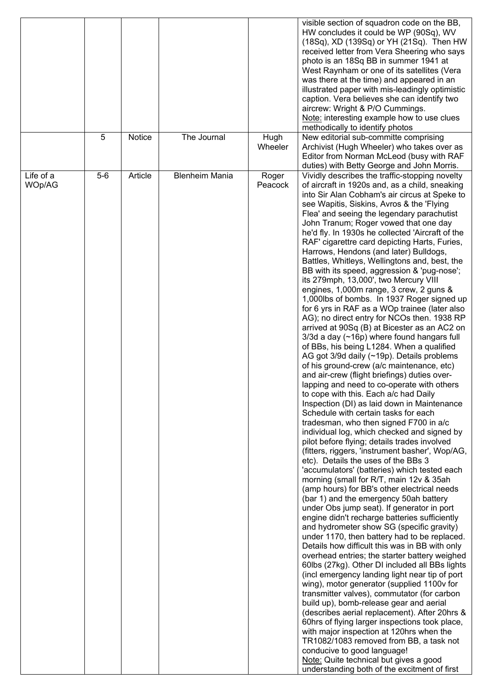|                     | 5     | Notice  | The Journal           | Hugh             | visible section of squadron code on the BB,<br>HW concludes it could be WP (90Sq), WV<br>(18Sq), XD (139Sq) or YH (21Sq). Then HW<br>received letter from Vera Sheering who says<br>photo is an 18Sq BB in summer 1941 at<br>West Raynham or one of its satellites (Vera<br>was there at the time) and appeared in an<br>illustrated paper with mis-leadingly optimistic<br>caption. Vera believes she can identify two<br>aircrew: Wright & P/O Cummings.<br>Note: interesting example how to use clues<br>methodically to identify photos<br>New editorial sub-committe comprising                                                                                                                                                                                                                                                                                                                                                                                                                                                                                                                                                                                                                                                                                                                                                                                                                                                                                                                                                                                                                                                                                                                                                                                                                                                                                                                                                                                                                                                                                                                                                                                                                                                                                                                                                                                                                                                                                                                                                     |
|---------------------|-------|---------|-----------------------|------------------|------------------------------------------------------------------------------------------------------------------------------------------------------------------------------------------------------------------------------------------------------------------------------------------------------------------------------------------------------------------------------------------------------------------------------------------------------------------------------------------------------------------------------------------------------------------------------------------------------------------------------------------------------------------------------------------------------------------------------------------------------------------------------------------------------------------------------------------------------------------------------------------------------------------------------------------------------------------------------------------------------------------------------------------------------------------------------------------------------------------------------------------------------------------------------------------------------------------------------------------------------------------------------------------------------------------------------------------------------------------------------------------------------------------------------------------------------------------------------------------------------------------------------------------------------------------------------------------------------------------------------------------------------------------------------------------------------------------------------------------------------------------------------------------------------------------------------------------------------------------------------------------------------------------------------------------------------------------------------------------------------------------------------------------------------------------------------------------------------------------------------------------------------------------------------------------------------------------------------------------------------------------------------------------------------------------------------------------------------------------------------------------------------------------------------------------------------------------------------------------------------------------------------------------|
|                     |       |         |                       | Wheeler          | Archivist (Hugh Wheeler) who takes over as<br>Editor from Norman McLeod (busy with RAF<br>duties) with Betty George and John Morris.                                                                                                                                                                                                                                                                                                                                                                                                                                                                                                                                                                                                                                                                                                                                                                                                                                                                                                                                                                                                                                                                                                                                                                                                                                                                                                                                                                                                                                                                                                                                                                                                                                                                                                                                                                                                                                                                                                                                                                                                                                                                                                                                                                                                                                                                                                                                                                                                     |
| Life of a<br>WOp/AG | $5-6$ | Article | <b>Blenheim Mania</b> | Roger<br>Peacock | Vividly describes the traffic-stopping novelty<br>of aircraft in 1920s and, as a child, sneaking<br>into Sir Alan Cobham's air circus at Speke to<br>see Wapitis, Siskins, Avros & the 'Flying<br>Flea' and seeing the legendary parachutist<br>John Tranum; Roger vowed that one day<br>he'd fly. In 1930s he collected 'Aircraft of the<br>RAF' cigarettre card depicting Harts, Furies,<br>Harrows, Hendons (and later) Bulldogs,<br>Battles, Whitleys, Wellingtons and, best, the<br>BB with its speed, aggression & 'pug-nose';<br>its 279mph, 13,000', two Mercury VIII<br>engines, 1,000m range, 3 crew, 2 guns &<br>1,000lbs of bombs. In 1937 Roger signed up<br>for 6 yrs in RAF as a WOp trainee (later also<br>AG); no direct entry for NCOs then. 1938 RP<br>arrived at 90Sq (B) at Bicester as an AC2 on<br>$3/3d$ a day ( $\sim$ 16p) where found hangars full<br>of BBs, his being L1284. When a qualified<br>AG got 3/9d daily (~19p). Details problems<br>of his ground-crew (a/c maintenance, etc)<br>and air-crew (flight briefings) duties over-<br>lapping and need to co-operate with others<br>to cope with this. Each a/c had Daily<br>Inspection (DI) as laid down in Maintenance<br>Schedule with certain tasks for each<br>tradesman, who then signed F700 in a/c<br>individual log, which checked and signed by<br>pilot before flying; details trades involved<br>(fitters, riggers, 'instrument basher', Wop/AG,<br>etc). Details the uses of the BBs 3<br>'accumulators' (batteries) which tested each<br>morning (small for R/T, main 12v & 35ah<br>(amp hours) for BB's other electrical needs<br>(bar 1) and the emergency 50ah battery<br>under Obs jump seat). If generator in port<br>engine didn't recharge batteries sufficiently<br>and hydrometer show SG (specific gravity)<br>under 1170, then battery had to be replaced.<br>Details how difficult this was in BB with only<br>overhead entries; the starter battery weighed<br>60lbs (27kg). Other DI included all BBs lights<br>(incl emergency landing light near tip of port<br>wing), motor generator (supplied 1100v for<br>transmitter valves), commutator (for carbon<br>build up), bomb-release gear and aerial<br>(describes aerial replacement). After 20hrs &<br>60hrs of flying larger inspections took place,<br>with major inspection at 120hrs when the<br>TR1082/1083 removed from BB, a task not<br>conducive to good language!<br>Note: Quite technical but gives a good<br>understanding both of the excitment of first |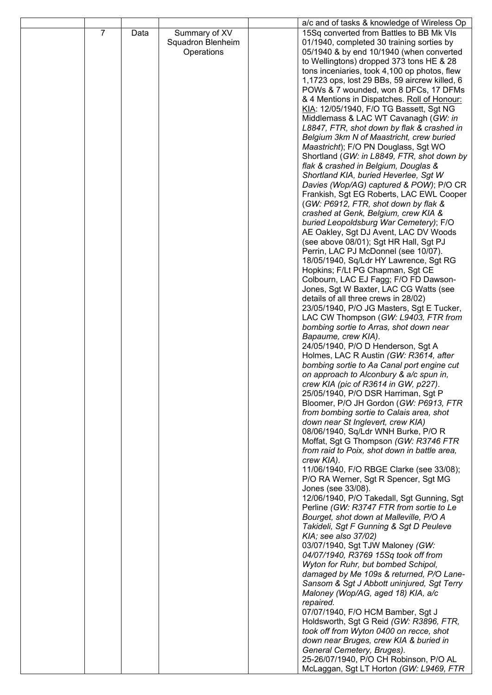|   |      |                   | a/c and of tasks & knowledge of Wireless Op                                            |
|---|------|-------------------|----------------------------------------------------------------------------------------|
| 7 | Data | Summary of XV     | 15Sq converted from Battles to BB Mk VIs                                               |
|   |      | Squadron Blenheim | 01/1940, completed 30 training sorties by                                              |
|   |      | Operations        | 05/1940 & by end 10/1940 (when converted                                               |
|   |      |                   | to Wellingtons) dropped 373 tons HE & 28                                               |
|   |      |                   | tons inceniaries, took 4,100 op photos, flew                                           |
|   |      |                   | 1,1723 ops, lost 29 BBs, 59 aircrew killed, 6                                          |
|   |      |                   | POWs & 7 wounded, won 8 DFCs, 17 DFMs                                                  |
|   |      |                   | & 4 Mentions in Dispatches. Roll of Honour:                                            |
|   |      |                   | KIA: 12/05/1940, F/O TG Bassett, Sgt NG<br>Middlemass & LAC WT Cavanagh (GW: in        |
|   |      |                   | L8847, FTR, shot down by flak & crashed in                                             |
|   |      |                   | Belgium 3km N of Maastricht, crew buried                                               |
|   |      |                   | Maastricht); F/O PN Douglass, Sgt WO                                                   |
|   |      |                   | Shortland (GW: in L8849, FTR, shot down by                                             |
|   |      |                   | flak & crashed in Belgium, Douglas &                                                   |
|   |      |                   | Shortland KIA, buried Heverlee, Sgt W                                                  |
|   |      |                   | Davies (Wop/AG) captured & POW); P/O CR                                                |
|   |      |                   | Frankish, Sgt EG Roberts, LAC EWL Cooper                                               |
|   |      |                   | (GW: P6912, FTR, shot down by flak &                                                   |
|   |      |                   | crashed at Genk, Belgium, crew KIA &                                                   |
|   |      |                   | buried Leopoldsburg War Cemetery); F/O                                                 |
|   |      |                   | AE Oakley, Sgt DJ Avent, LAC DV Woods                                                  |
|   |      |                   | (see above 08/01); Sgt HR Hall, Sgt PJ                                                 |
|   |      |                   | Perrin, LAC PJ McDonnel (see 10/07).                                                   |
|   |      |                   | 18/05/1940, Sq/Ldr HY Lawrence, Sgt RG                                                 |
|   |      |                   | Hopkins; F/Lt PG Chapman, Sgt CE                                                       |
|   |      |                   | Colbourn, LAC EJ Fagg; F/O FD Dawson-                                                  |
|   |      |                   | Jones, Sgt W Baxter, LAC CG Watts (see                                                 |
|   |      |                   | details of all three crews in 28/02)<br>23/05/1940, P/O JG Masters, Sgt E Tucker,      |
|   |      |                   | LAC CW Thompson (GW: L9403, FTR from                                                   |
|   |      |                   | bombing sortie to Arras, shot down near                                                |
|   |      |                   | Bapaume, crew KIA).                                                                    |
|   |      |                   | 24/05/1940, P/O D Henderson, Sgt A                                                     |
|   |      |                   | Holmes, LAC R Austin (GW: R3614, after                                                 |
|   |      |                   | bombing sortie to Aa Canal port engine cut                                             |
|   |      |                   | on approach to Alconbury & a/c spun in,                                                |
|   |      |                   | crew KIA (pic of R3614 in GW, p227).                                                   |
|   |      |                   | 25/05/1940, P/O DSR Harriman, Sgt P                                                    |
|   |      |                   | Bloomer, P/O JH Gordon (GW: P6913, FTR                                                 |
|   |      |                   | from bombing sortie to Calais area, shot                                               |
|   |      |                   | down near St Inglevert, crew KIA)                                                      |
|   |      |                   | 08/06/1940, Sq/Ldr WNH Burke, P/O R                                                    |
|   |      |                   | Moffat, Sgt G Thompson (GW: R3746 FTR<br>from raid to Poix, shot down in battle area,  |
|   |      |                   | crew KIA).                                                                             |
|   |      |                   | 11/06/1940, F/O RBGE Clarke (see 33/08);                                               |
|   |      |                   | P/O RA Werner, Sgt R Spencer, Sgt MG                                                   |
|   |      |                   | Jones (see 33/08).                                                                     |
|   |      |                   | 12/06/1940, P/O Takedall, Sgt Gunning, Sgt                                             |
|   |      |                   | Perline (GW: R3747 FTR from sortie to Le                                               |
|   |      |                   | Bourget, shot down at Malleville, P/O A                                                |
|   |      |                   | Takideli, Sgt F Gunning & Sgt D Peuleve                                                |
|   |      |                   | KIA; see also 37/02)                                                                   |
|   |      |                   | 03/07/1940, Sgt TJW Maloney (GW:                                                       |
|   |      |                   | 04/07/1940, R3769 15Sq took off from                                                   |
|   |      |                   | Wyton for Ruhr, but bombed Schipol,                                                    |
|   |      |                   | damaged by Me 109s & returned, P/O Lane-<br>Sansom & Sgt J Abbott uninjured, Sgt Terry |
|   |      |                   | Maloney (Wop/AG, aged 18) KIA, a/c                                                     |
|   |      |                   | repaired.                                                                              |
|   |      |                   | 07/07/1940, F/O HCM Bamber, Sgt J                                                      |
|   |      |                   | Holdsworth, Sgt G Reid (GW: R3896, FTR,                                                |
|   |      |                   | took off from Wyton 0400 on recce, shot                                                |
|   |      |                   | down near Bruges, crew KIA & buried in                                                 |
|   |      |                   | General Cemetery, Bruges).                                                             |
|   |      |                   | 25-26/07/1940, P/O CH Robinson, P/O AL                                                 |
|   |      |                   | McLaggan, Sgt LT Horton (GW: L9469, FTR                                                |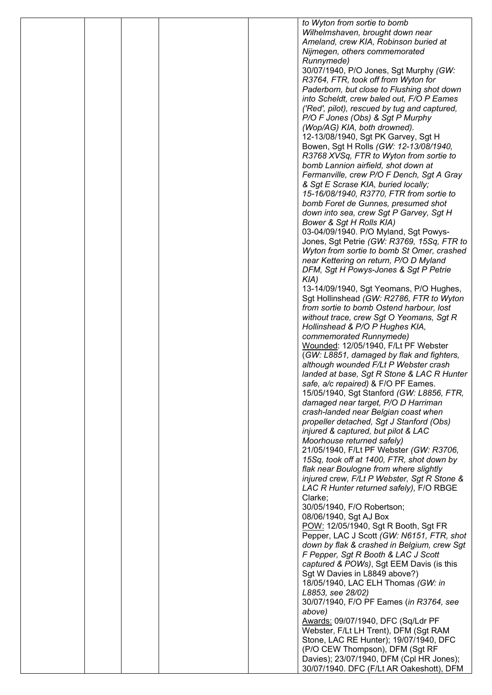|  |  | to Wyton from sortie to bomb                                                          |
|--|--|---------------------------------------------------------------------------------------|
|  |  | Wilhelmshaven, brought down near                                                      |
|  |  | Ameland, crew KIA, Robinson buried at                                                 |
|  |  | Nijmegen, others commemorated                                                         |
|  |  | Runnymede)                                                                            |
|  |  | 30/07/1940, P/O Jones, Sgt Murphy (GW:                                                |
|  |  | R3764, FTR, took off from Wyton for                                                   |
|  |  | Paderborn, but close to Flushing shot down                                            |
|  |  | into Scheldt, crew baled out, F/O P Eames                                             |
|  |  | ('Red', pilot), rescued by tug and captured,<br>P/O F Jones (Obs) & Sgt P Murphy      |
|  |  | (Wop/AG) KIA, both drowned).                                                          |
|  |  | 12-13/08/1940, Sgt PK Garvey, Sgt H                                                   |
|  |  | Bowen, Sgt H Rolls (GW: 12-13/08/1940,                                                |
|  |  | R3768 XVSq, FTR to Wyton from sortie to                                               |
|  |  | bomb Lannion airfield, shot down at                                                   |
|  |  | Fermanville, crew P/O F Dench, Sgt A Gray                                             |
|  |  | & Sgt E Scrase KIA, buried locally;                                                   |
|  |  | 15-16/08/1940, R3770, FTR from sortie to                                              |
|  |  | bomb Foret de Gunnes, presumed shot                                                   |
|  |  | down into sea, crew Sgt P Garvey, Sgt H                                               |
|  |  | Bower & Sgt H Rolls KIA)                                                              |
|  |  | 03-04/09/1940. P/O Myland, Sgt Powys-<br>Jones, Sgt Petrie (GW: R3769, 15Sq, FTR to   |
|  |  | Wyton from sortie to bomb St Omer, crashed                                            |
|  |  | near Kettering on return, P/O D Myland                                                |
|  |  | DFM, Sgt H Powys-Jones & Sgt P Petrie                                                 |
|  |  | $KIA$ )                                                                               |
|  |  | 13-14/09/1940, Sgt Yeomans, P/O Hughes,                                               |
|  |  | Sgt Hollinshead (GW: R2786, FTR to Wyton                                              |
|  |  | from sortie to bomb Ostend harbour, lost                                              |
|  |  | without trace, crew Sgt O Yeomans, Sgt R                                              |
|  |  | Hollinshead & P/O P Hughes KIA,                                                       |
|  |  | commemorated Runnymede)                                                               |
|  |  | Wounded: 12/05/1940, F/Lt PF Webster                                                  |
|  |  | (GW: L8851, damaged by flak and fighters,<br>although wounded F/Lt P Webster crash    |
|  |  | landed at base, Sgt R Stone & LAC R Hunter                                            |
|  |  | safe, a/c repaired) & F/O PF Eames.                                                   |
|  |  | 15/05/1940, Sgt Stanford (GW: L8856, FTR,                                             |
|  |  | damaged near target, P/O D Harriman                                                   |
|  |  | crash-landed near Belgian coast when                                                  |
|  |  | propeller detached, Sgt J Stanford (Obs)                                              |
|  |  | injured & captured, but pilot & LAC                                                   |
|  |  | Moorhouse returned safely)                                                            |
|  |  | 21/05/1940, F/Lt PF Webster (GW: R3706,                                               |
|  |  | 15Sq, took off at 1400, FTR, shot down by                                             |
|  |  | flak near Boulogne from where slightly<br>injured crew, F/Lt P Webster, Sgt R Stone & |
|  |  | LAC R Hunter returned safely), F/O RBGE                                               |
|  |  | Clarke;                                                                               |
|  |  | 30/05/1940, F/O Robertson;                                                            |
|  |  | 08/06/1940, Sgt AJ Box                                                                |
|  |  | POW: 12/05/1940, Sgt R Booth, Sgt FR                                                  |
|  |  | Pepper, LAC J Scott (GW: N6151, FTR, shot                                             |
|  |  | down by flak & crashed in Belgium, crew Sgt                                           |
|  |  | F Pepper, Sgt R Booth & LAC J Scott                                                   |
|  |  | captured & POWs), Sgt EEM Davis (is this                                              |
|  |  | Sgt W Davies in L8849 above?)                                                         |
|  |  | 18/05/1940, LAC ELH Thomas (GW: in                                                    |
|  |  | L8853, see 28/02)<br>30/07/1940, F/O PF Eames (in R3764, see                          |
|  |  | above)                                                                                |
|  |  | Awards: 09/07/1940, DFC (Sq/Ldr PF                                                    |
|  |  | Webster, F/Lt LH Trent), DFM (Sgt RAM                                                 |
|  |  | Stone, LAC RE Hunter); 19/07/1940, DFC                                                |
|  |  | (P/O CEW Thompson), DFM (Sgt RF                                                       |
|  |  | Davies); 23/07/1940, DFM (Cpl HR Jones);                                              |
|  |  | 30/07/1940. DFC (F/Lt AR Oakeshott), DFM                                              |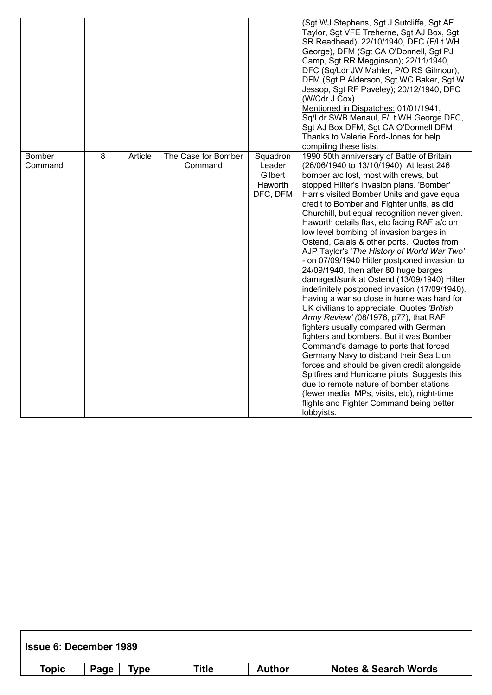|                          |                |         |                                |                                                      | (Sgt WJ Stephens, Sgt J Sutcliffe, Sgt AF<br>Taylor, Sgt VFE Treherne, Sgt AJ Box, Sgt<br>SR Readhead); 22/10/1940, DFC (F/Lt WH<br>George), DFM (Sgt CA O'Donnell, Sgt PJ<br>Camp, Sgt RR Megginson); 22/11/1940,<br>DFC (Sq/Ldr JW Mahler, P/O RS Gilmour),<br>DFM (Sgt P Alderson, Sgt WC Baker, Sgt W<br>Jessop, Sgt RF Paveley); 20/12/1940, DFC<br>(W/Cdr J Cox).<br>Mentioned in Dispatches: 01/01/1941,<br>Sq/Ldr SWB Menaul, F/Lt WH George DFC,<br>Sgt AJ Box DFM, Sgt CA O'Donnell DFM<br>Thanks to Valerie Ford-Jones for help<br>compiling these lists.                                                                                                                                                                                                                                                                                                                                                                                                                                                                                                                                                                                                                                                                                                     |
|--------------------------|----------------|---------|--------------------------------|------------------------------------------------------|--------------------------------------------------------------------------------------------------------------------------------------------------------------------------------------------------------------------------------------------------------------------------------------------------------------------------------------------------------------------------------------------------------------------------------------------------------------------------------------------------------------------------------------------------------------------------------------------------------------------------------------------------------------------------------------------------------------------------------------------------------------------------------------------------------------------------------------------------------------------------------------------------------------------------------------------------------------------------------------------------------------------------------------------------------------------------------------------------------------------------------------------------------------------------------------------------------------------------------------------------------------------------|
| <b>Bomber</b><br>Command | $\overline{8}$ | Article | The Case for Bomber<br>Command | Squadron<br>Leader<br>Gilbert<br>Haworth<br>DFC, DFM | 1990 50th anniversary of Battle of Britain<br>(26/06/1940 to 13/10/1940). At least 246<br>bomber a/c lost, most with crews, but<br>stopped Hilter's invasion plans. 'Bomber'<br>Harris visited Bomber Units and gave equal<br>credit to Bomber and Fighter units, as did<br>Churchill, but equal recognition never given.<br>Haworth details flak, etc facing RAF a/c on<br>low level bombing of invasion barges in<br>Ostend, Calais & other ports. Quotes from<br>AJP Taylor's 'The History of World War Two'<br>- on 07/09/1940 Hitler postponed invasion to<br>24/09/1940, then after 80 huge barges<br>damaged/sunk at Ostend (13/09/1940) Hilter<br>indefinitely postponed invasion (17/09/1940).<br>Having a war so close in home was hard for<br>UK civilians to appreciate. Quotes 'British<br>Army Review' (08/1976, p77), that RAF<br>fighters usually compared with German<br>fighters and bombers. But it was Bomber<br>Command's damage to ports that forced<br>Germany Navy to disband their Sea Lion<br>forces and should be given credit alongside<br>Spitfires and Hurricane pilots. Suggests this<br>due to remote nature of bomber stations<br>(fewer media, MPs, visits, etc), night-time<br>flights and Fighter Command being better<br>lobbyists. |

| <b>Issue 6: December 1989</b> |      |         |       |               |                                 |
|-------------------------------|------|---------|-------|---------------|---------------------------------|
| Topic                         | Page | $T$ vpe | Title | <b>Author</b> | <b>Notes &amp; Search Words</b> |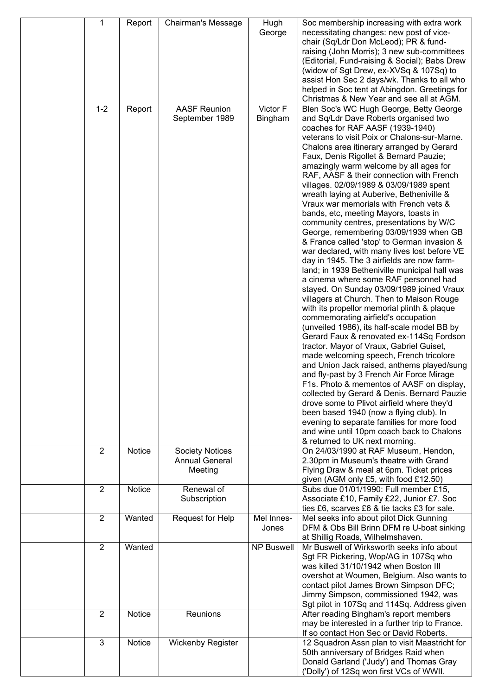| 1              | Report | <b>Chairman's Message</b> | Hugh                | Soc membership increasing with extra work                                                 |
|----------------|--------|---------------------------|---------------------|-------------------------------------------------------------------------------------------|
|                |        |                           | George              | necessitating changes: new post of vice-                                                  |
|                |        |                           |                     | chair (Sq/Ldr Don McLeod); PR & fund-                                                     |
|                |        |                           |                     | raising (John Morris); 3 new sub-committees                                               |
|                |        |                           |                     | (Editorial, Fund-raising & Social); Babs Drew                                             |
|                |        |                           |                     | (widow of Sgt Drew, ex-XVSq & 107Sq) to                                                   |
|                |        |                           |                     | assist Hon Sec 2 days/wk. Thanks to all who                                               |
|                |        |                           |                     | helped in Soc tent at Abingdon. Greetings for                                             |
|                |        |                           |                     | Christmas & New Year and see all at AGM.                                                  |
| $1 - 2$        | Report | <b>AASF Reunion</b>       | Victor F            | Blen Soc's WC Hugh George, Betty George                                                   |
|                |        | September 1989            | Bingham             | and Sq/Ldr Dave Roberts organised two                                                     |
|                |        |                           |                     | coaches for RAF AASF (1939-1940)                                                          |
|                |        |                           |                     | veterans to visit Poix or Chalons-sur-Marne.                                              |
|                |        |                           |                     | Chalons area itinerary arranged by Gerard                                                 |
|                |        |                           |                     | Faux, Denis Rigollet & Bernard Pauzie;                                                    |
|                |        |                           |                     | amazingly warm welcome by all ages for                                                    |
|                |        |                           |                     | RAF, AASF & their connection with French                                                  |
|                |        |                           |                     | villages. 02/09/1989 & 03/09/1989 spent                                                   |
|                |        |                           |                     | wreath laying at Auberive, Betheniville &                                                 |
|                |        |                           |                     | Vraux war memorials with French vets &                                                    |
|                |        |                           |                     | bands, etc, meeting Mayors, toasts in                                                     |
|                |        |                           |                     | community centres, presentations by W/C                                                   |
|                |        |                           |                     | George, remembering 03/09/1939 when GB<br>& France called 'stop' to German invasion &     |
|                |        |                           |                     | war declared, with many lives lost before VE                                              |
|                |        |                           |                     | day in 1945. The 3 airfields are now farm-                                                |
|                |        |                           |                     | land; in 1939 Betheniville municipal hall was                                             |
|                |        |                           |                     | a cinema where some RAF personnel had                                                     |
|                |        |                           |                     | stayed. On Sunday 03/09/1989 joined Vraux                                                 |
|                |        |                           |                     | villagers at Church. Then to Maison Rouge                                                 |
|                |        |                           |                     | with its propellor memorial plinth & plaque                                               |
|                |        |                           |                     | commemorating airfield's occupation                                                       |
|                |        |                           |                     | (unveiled 1986), its half-scale model BB by                                               |
|                |        |                           |                     | Gerard Faux & renovated ex-114Sq Fordson                                                  |
|                |        |                           |                     | tractor. Mayor of Vraux, Gabriel Guiset,                                                  |
|                |        |                           |                     | made welcoming speech, French tricolore                                                   |
|                |        |                           |                     | and Union Jack raised, anthems played/sung                                                |
|                |        |                           |                     | and fly-past by 3 French Air Force Mirage                                                 |
|                |        |                           |                     | F1s. Photo & mementos of AASF on display,                                                 |
|                |        |                           |                     | collected by Gerard & Denis. Bernard Pauzie<br>drove some to Plivot airfield where they'd |
|                |        |                           |                     | been based 1940 (now a flying club). In                                                   |
|                |        |                           |                     | evening to separate families for more food                                                |
|                |        |                           |                     | and wine until 10pm coach back to Chalons                                                 |
|                |        |                           |                     | & returned to UK next morning.                                                            |
| $\overline{2}$ | Notice | <b>Society Notices</b>    |                     | On 24/03/1990 at RAF Museum, Hendon,                                                      |
|                |        | <b>Annual General</b>     |                     | 2.30pm in Museum's theatre with Grand                                                     |
|                |        | Meeting                   |                     | Flying Draw & meal at 6pm. Ticket prices                                                  |
|                |        |                           |                     | given (AGM only £5, with food £12.50)                                                     |
| $\overline{2}$ | Notice | Renewal of                |                     | Subs due 01/01/1990: Full member £15,                                                     |
|                |        | Subscription              |                     | Associate £10, Family £22, Junior £7. Soc                                                 |
|                |        |                           |                     | ties £6, scarves £6 & tie tacks £3 for sale.                                              |
| $\overline{2}$ | Wanted | Request for Help          | Mel Innes-<br>Jones | Mel seeks info about pilot Dick Gunning<br>DFM & Obs Bill Brinn DFM re U-boat sinking     |
|                |        |                           |                     | at Shillig Roads, Wilhelmshaven.                                                          |
| $\overline{2}$ | Wanted |                           | <b>NP Buswell</b>   | Mr Buswell of Wirksworth seeks info about                                                 |
|                |        |                           |                     | Sgt FR Pickering, Wop/AG in 107Sq who                                                     |
|                |        |                           |                     | was killed 31/10/1942 when Boston III                                                     |
|                |        |                           |                     | overshot at Woumen, Belgium. Also wants to                                                |
|                |        |                           |                     | contact pilot James Brown Simpson DFC;                                                    |
|                |        |                           |                     | Jimmy Simpson, commissioned 1942, was                                                     |
|                |        |                           |                     | Sgt pilot in 107Sq and 114Sq. Address given                                               |
| $\overline{2}$ | Notice | Reunions                  |                     | After reading Bingham's report members                                                    |
|                |        |                           |                     | may be interested in a further trip to France.                                            |
|                |        |                           |                     | If so contact Hon Sec or David Roberts.                                                   |
| 3              | Notice | <b>Wickenby Register</b>  |                     | 12 Squadron Assn plan to visit Maastricht for                                             |
|                |        |                           |                     | 50th anniversary of Bridges Raid when<br>Donald Garland ('Judy') and Thomas Gray          |
|                |        |                           |                     | ('Dolly') of 12Sq won first VCs of WWII.                                                  |
|                |        |                           |                     |                                                                                           |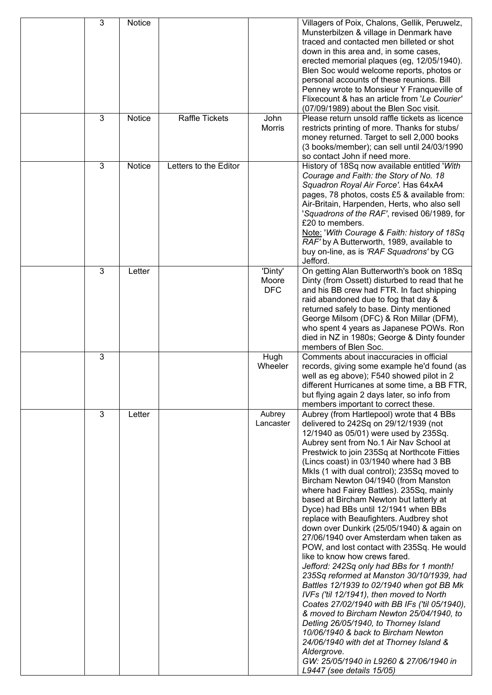| 3 | Notice |                       |                                | Villagers of Poix, Chalons, Gellik, Peruwelz,<br>Munsterbilzen & village in Denmark have<br>traced and contacted men billeted or shot<br>down in this area and, in some cases,<br>erected memorial plaques (eg, 12/05/1940).<br>Blen Soc would welcome reports, photos or<br>personal accounts of these reunions. Bill<br>Penney wrote to Monsieur Y Franqueville of<br>Flixecount & has an article from 'Le Courier'<br>(07/09/1989) about the Blen Soc visit.                                                                                                                                                                                                                                                                                                                                                                                                                                                                                                                                                                                                                                                                                                                                           |
|---|--------|-----------------------|--------------------------------|-----------------------------------------------------------------------------------------------------------------------------------------------------------------------------------------------------------------------------------------------------------------------------------------------------------------------------------------------------------------------------------------------------------------------------------------------------------------------------------------------------------------------------------------------------------------------------------------------------------------------------------------------------------------------------------------------------------------------------------------------------------------------------------------------------------------------------------------------------------------------------------------------------------------------------------------------------------------------------------------------------------------------------------------------------------------------------------------------------------------------------------------------------------------------------------------------------------|
| 3 | Notice | <b>Raffle Tickets</b> | John<br><b>Morris</b>          | Please return unsold raffle tickets as licence<br>restricts printing of more. Thanks for stubs/<br>money returned. Target to sell 2,000 books<br>(3 books/member); can sell until 24/03/1990<br>so contact John if need more.                                                                                                                                                                                                                                                                                                                                                                                                                                                                                                                                                                                                                                                                                                                                                                                                                                                                                                                                                                             |
| 3 | Notice | Letters to the Editor |                                | History of 18Sq now available entitled 'With<br>Courage and Faith: the Story of No. 18<br>Squadron Royal Air Force'. Has 64xA4<br>pages, 78 photos, costs £5 & available from:<br>Air-Britain, Harpenden, Herts, who also sell<br>'Squadrons of the RAF', revised 06/1989, for<br>£20 to members.<br>Note: 'With Courage & Faith: history of 18Sq<br>RAF' by A Butterworth, 1989, available to<br>buy on-line, as is 'RAF Squadrons' by CG<br>Jefford.                                                                                                                                                                                                                                                                                                                                                                                                                                                                                                                                                                                                                                                                                                                                                    |
| 3 | Letter |                       | 'Dinty'<br>Moore<br><b>DFC</b> | On getting Alan Butterworth's book on 18Sq<br>Dinty (from Ossett) disturbed to read that he<br>and his BB crew had FTR. In fact shipping<br>raid abandoned due to fog that day &<br>returned safely to base. Dinty mentioned<br>George Milsom (DFC) & Ron Millar (DFM),<br>who spent 4 years as Japanese POWs. Ron<br>died in NZ in 1980s; George & Dinty founder<br>members of Blen Soc.                                                                                                                                                                                                                                                                                                                                                                                                                                                                                                                                                                                                                                                                                                                                                                                                                 |
| 3 |        |                       | Hugh<br>Wheeler                | Comments about inaccuracies in official<br>records, giving some example he'd found (as<br>well as eg above); F540 showed pilot in 2<br>different Hurricanes at some time, a BB FTR,<br>but flying again 2 days later, so info from<br>members important to correct these.                                                                                                                                                                                                                                                                                                                                                                                                                                                                                                                                                                                                                                                                                                                                                                                                                                                                                                                                 |
| 3 | Letter |                       | Aubrey<br>Lancaster            | Aubrey (from Hartlepool) wrote that 4 BBs<br>delivered to 242Sq on 29/12/1939 (not<br>12/1940 as 05/01) were used by 235Sq.<br>Aubrey sent from No.1 Air Nav School at<br>Prestwick to join 235Sq at Northcote Fitties<br>(Lincs coast) in 03/1940 where had 3 BB<br>Mkls (1 with dual control); 235Sq moved to<br>Bircham Newton 04/1940 (from Manston<br>where had Fairey Battles). 235Sq, mainly<br>based at Bircham Newton but latterly at<br>Dyce) had BBs until 12/1941 when BBs<br>replace with Beaufighters. Audbrey shot<br>down over Dunkirk (25/05/1940) & again on<br>27/06/1940 over Amsterdam when taken as<br>POW, and lost contact with 235Sq. He would<br>like to know how crews fared.<br>Jefford: 242Sq only had BBs for 1 month!<br>235Sq reformed at Manston 30/10/1939, had<br>Battles 12/1939 to 02/1940 when got BB Mk<br>IVFs ('til 12/1941), then moved to North<br>Coates 27/02/1940 with BB IFs ('til 05/1940),<br>& moved to Bircham Newton 25/04/1940, to<br>Detling 26/05/1940, to Thorney Island<br>10/06/1940 & back to Bircham Newton<br>24/06/1940 with det at Thorney Island &<br>Aldergrove.<br>GW: 25/05/1940 in L9260 & 27/06/1940 in<br>L9447 (see details 15/05) |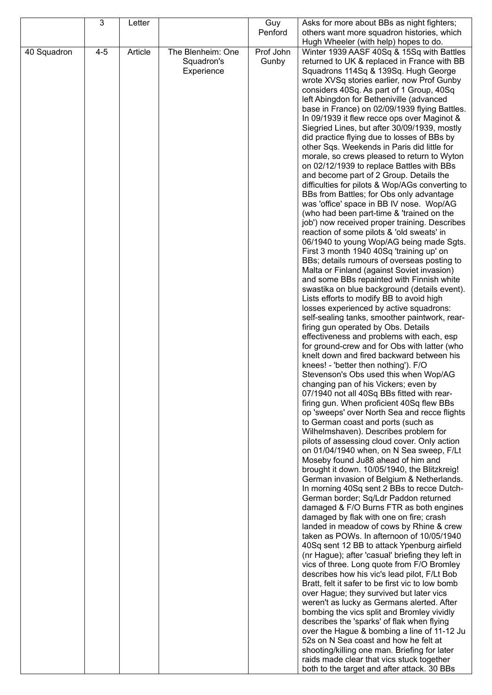|             | 3       | Letter  |                   | Guy       | Asks for more about BBs as night fighters;                                                   |
|-------------|---------|---------|-------------------|-----------|----------------------------------------------------------------------------------------------|
|             |         |         |                   | Penford   | others want more squadron histories, which                                                   |
|             |         |         |                   |           | Hugh Wheeler (with help) hopes to do.                                                        |
| 40 Squadron | $4 - 5$ | Article | The Blenheim: One | Prof John | Winter 1939 AASF 40Sq & 15Sq with Battles                                                    |
|             |         |         | Squadron's        | Gunby     | returned to UK & replaced in France with BB                                                  |
|             |         |         | Experience        |           | Squadrons 114Sq & 139Sq. Hugh George                                                         |
|             |         |         |                   |           | wrote XVSq stories earlier, now Prof Gunby                                                   |
|             |         |         |                   |           | considers 40Sq. As part of 1 Group, 40Sq                                                     |
|             |         |         |                   |           | left Abingdon for Betheniville (advanced                                                     |
|             |         |         |                   |           | base in France) on 02/09/1939 flying Battles.<br>In 09/1939 it flew recce ops over Maginot & |
|             |         |         |                   |           | Siegried Lines, but after 30/09/1939, mostly                                                 |
|             |         |         |                   |           | did practice flying due to losses of BBs by                                                  |
|             |         |         |                   |           | other Sqs. Weekends in Paris did little for                                                  |
|             |         |         |                   |           | morale, so crews pleased to return to Wyton<br>on 02/12/1939 to replace Battles with BBs     |
|             |         |         |                   |           | and become part of 2 Group. Details the                                                      |
|             |         |         |                   |           | difficulties for pilots & Wop/AGs converting to                                              |
|             |         |         |                   |           | BBs from Battles; for Obs only advantage                                                     |
|             |         |         |                   |           | was 'office' space in BB IV nose. Wop/AG                                                     |
|             |         |         |                   |           | (who had been part-time & 'trained on the                                                    |
|             |         |         |                   |           | job') now received proper training. Describes                                                |
|             |         |         |                   |           | reaction of some pilots & 'old sweats' in                                                    |
|             |         |         |                   |           | 06/1940 to young Wop/AG being made Sgts.                                                     |
|             |         |         |                   |           | First 3 month 1940 40Sq 'training up' on                                                     |
|             |         |         |                   |           | BBs; details rumours of overseas posting to<br>Malta or Finland (against Soviet invasion)    |
|             |         |         |                   |           | and some BBs repainted with Finnish white                                                    |
|             |         |         |                   |           | swastika on blue background (details event).                                                 |
|             |         |         |                   |           | Lists efforts to modify BB to avoid high                                                     |
|             |         |         |                   |           | losses experienced by active squadrons:                                                      |
|             |         |         |                   |           | self-sealing tanks, smoother paintwork, rear-                                                |
|             |         |         |                   |           | firing gun operated by Obs. Details                                                          |
|             |         |         |                   |           | effectiveness and problems with each, esp                                                    |
|             |         |         |                   |           | for ground-crew and for Obs with latter (who<br>knelt down and fired backward between his    |
|             |         |         |                   |           | knees! - 'better then nothing'). F/O                                                         |
|             |         |         |                   |           | Stevenson's Obs used this when Wop/AG                                                        |
|             |         |         |                   |           | changing pan of his Vickers; even by                                                         |
|             |         |         |                   |           | 07/1940 not all 40Sq BBs fitted with rear-                                                   |
|             |         |         |                   |           | firing gun. When proficient 40Sq flew BBs                                                    |
|             |         |         |                   |           | op 'sweeps' over North Sea and recce flights                                                 |
|             |         |         |                   |           | to German coast and ports (such as                                                           |
|             |         |         |                   |           | Wilhelmshaven). Describes problem for<br>pilots of assessing cloud cover. Only action        |
|             |         |         |                   |           | on 01/04/1940 when, on N Sea sweep, F/Lt                                                     |
|             |         |         |                   |           | Moseby found Ju88 ahead of him and                                                           |
|             |         |         |                   |           | brought it down. 10/05/1940, the Blitzkreig!                                                 |
|             |         |         |                   |           | German invasion of Belgium & Netherlands.                                                    |
|             |         |         |                   |           | In morning 40Sq sent 2 BBs to recce Dutch-                                                   |
|             |         |         |                   |           | German border; Sq/Ldr Paddon returned                                                        |
|             |         |         |                   |           | damaged & F/O Burns FTR as both engines                                                      |
|             |         |         |                   |           | damaged by flak with one on fire; crash<br>landed in meadow of cows by Rhine & crew          |
|             |         |         |                   |           | taken as POWs. In afternoon of 10/05/1940                                                    |
|             |         |         |                   |           | 40Sq sent 12 BB to attack Ypenburg airfield                                                  |
|             |         |         |                   |           | (nr Hague); after 'casual' briefing they left in                                             |
|             |         |         |                   |           | vics of three. Long quote from F/O Bromley                                                   |
|             |         |         |                   |           | describes how his vic's lead pilot, F/Lt Bob                                                 |
|             |         |         |                   |           | Bratt, felt it safer to be first vic to low bomb                                             |
|             |         |         |                   |           | over Hague; they survived but later vics                                                     |
|             |         |         |                   |           | weren't as lucky as Germans alerted. After                                                   |
|             |         |         |                   |           | bombing the vics split and Bromley vividly<br>describes the 'sparks' of flak when flying     |
|             |         |         |                   |           | over the Hague & bombing a line of 11-12 Ju                                                  |
|             |         |         |                   |           | 52s on N Sea coast and how he felt at                                                        |
|             |         |         |                   |           | shooting/killing one man. Briefing for later                                                 |
|             |         |         |                   |           | raids made clear that vics stuck together                                                    |
|             |         |         |                   |           | both to the target and after attack. 30 BBs                                                  |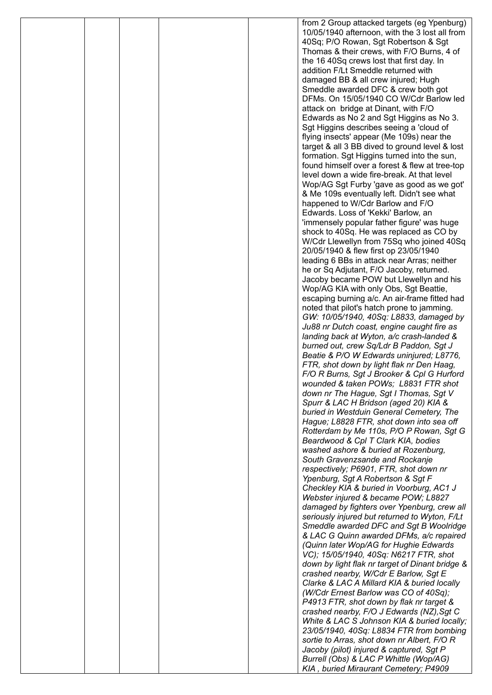|  |  | from 2 Group attacked targets (eg Ypenburg)                                                  |
|--|--|----------------------------------------------------------------------------------------------|
|  |  | 10/05/1940 afternoon, with the 3 lost all from                                               |
|  |  | 40Sq; P/O Rowan, Sgt Robertson & Sgt                                                         |
|  |  | Thomas & their crews, with F/O Burns, 4 of<br>the 16 40Sq crews lost that first day. In      |
|  |  | addition F/Lt Smeddle returned with                                                          |
|  |  | damaged BB & all crew injured; Hugh                                                          |
|  |  | Smeddle awarded DFC & crew both got                                                          |
|  |  | DFMs. On 15/05/1940 CO W/Cdr Barlow led                                                      |
|  |  | attack on bridge at Dinant, with F/O                                                         |
|  |  | Edwards as No 2 and Sgt Higgins as No 3.                                                     |
|  |  | Sgt Higgins describes seeing a 'cloud of<br>flying insects' appear (Me 109s) near the        |
|  |  | target & all 3 BB dived to ground level & lost                                               |
|  |  | formation. Sgt Higgins turned into the sun,                                                  |
|  |  | found himself over a forest & flew at tree-top                                               |
|  |  | level down a wide fire-break. At that level                                                  |
|  |  | Wop/AG Sgt Furby 'gave as good as we got'                                                    |
|  |  | & Me 109s eventually left. Didn't see what                                                   |
|  |  | happened to W/Cdr Barlow and F/O<br>Edwards. Loss of 'Kekki' Barlow, an                      |
|  |  | 'immensely popular father figure' was huge                                                   |
|  |  | shock to 40Sq. He was replaced as CO by                                                      |
|  |  | W/Cdr Llewellyn from 75Sq who joined 40Sq                                                    |
|  |  | 20/05/1940 & flew first op 23/05/1940                                                        |
|  |  | leading 6 BBs in attack near Arras; neither                                                  |
|  |  | he or Sq Adjutant, F/O Jacoby, returned.                                                     |
|  |  | Jacoby became POW but Llewellyn and his                                                      |
|  |  | Wop/AG KIA with only Obs, Sgt Beattie,<br>escaping burning a/c. An air-frame fitted had      |
|  |  | noted that pilot's hatch prone to jamming.                                                   |
|  |  | GW: 10/05/1940, 40Sq: L8833, damaged by                                                      |
|  |  | Ju88 nr Dutch coast, engine caught fire as                                                   |
|  |  | landing back at Wyton, a/c crash-landed &                                                    |
|  |  | burned out, crew Sq/Ldr B Paddon, Sgt J                                                      |
|  |  | Beatie & P/O W Edwards uninjured; L8776,<br>FTR, shot down by light flak nr Den Haag,        |
|  |  | F/O R Burns, Sgt J Brooker & Cpl G Hurford                                                   |
|  |  | wounded & taken POWs; L8831 FTR shot                                                         |
|  |  | down nr The Hague, Sgt I Thomas, Sgt V                                                       |
|  |  | Spurr & LAC H Bridson (aged 20) KIA &                                                        |
|  |  | buried in Westduin General Cemetery, The                                                     |
|  |  | Hague; L8828 FTR, shot down into sea off                                                     |
|  |  | Rotterdam by Me 110s, P/O P Rowan, Sgt G<br>Beardwood & Cpl T Clark KIA, bodies              |
|  |  | washed ashore & buried at Rozenburg,                                                         |
|  |  | South Gravenzsande and Rockanje                                                              |
|  |  | respectively; P6901, FTR, shot down nr                                                       |
|  |  | Ypenburg, Sgt A Robertson & Sgt F                                                            |
|  |  | Checkley KIA & buried in Voorburg, AC1 J                                                     |
|  |  | Webster injured & became POW; L8827                                                          |
|  |  | damaged by fighters over Ypenburg, crew all<br>seriously injured but returned to Wyton, F/Lt |
|  |  | Smeddle awarded DFC and Sgt B Woolridge                                                      |
|  |  | & LAC G Quinn awarded DFMs, a/c repaired                                                     |
|  |  | (Quinn later Wop/AG for Hughie Edwards                                                       |
|  |  | VC); 15/05/1940, 40Sq: N6217 FTR, shot                                                       |
|  |  | down by light flak nr target of Dinant bridge &                                              |
|  |  | crashed nearby, W/Cdr E Barlow, Sgt E<br>Clarke & LAC A Millard KIA & buried locally         |
|  |  | (W/Cdr Ernest Barlow was CO of 40Sq);                                                        |
|  |  | P4913 FTR, shot down by flak nr target &                                                     |
|  |  | crashed nearby, F/O J Edwards (NZ), Sgt C                                                    |
|  |  | White & LAC S Johnson KIA & buried locally;                                                  |
|  |  | 23/05/1940, 40Sq: L8834 FTR from bombing                                                     |
|  |  | sortie to Arras, shot down nr Albert, F/O R                                                  |
|  |  | Jacoby (pilot) injured & captured, Sgt P                                                     |
|  |  | Burrell (Obs) & LAC P Whittle (Wop/AG)<br>KIA, buried Miraurant Cemetery; P4909              |
|  |  |                                                                                              |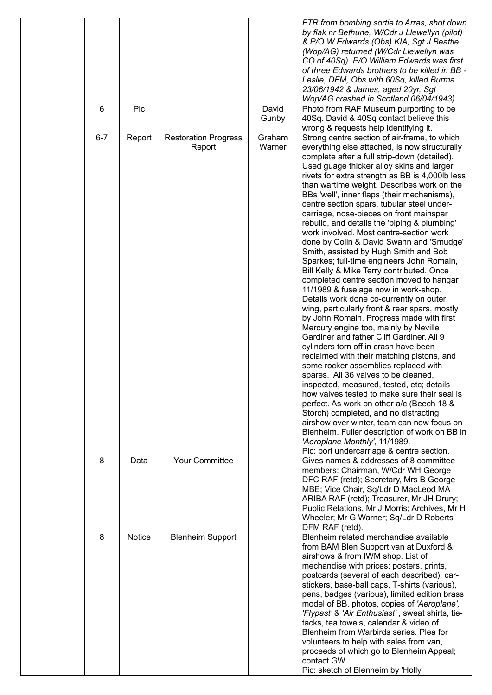|         |        |                                       | David            | FTR from bombing sortie to Arras, shot down<br>by flak nr Bethune, W/Cdr J Llewellyn (pilot)<br>& P/O W Edwards (Obs) KIA, Sgt J Beattie<br>(Wop/AG) returned (W/Cdr Llewellyn was<br>CO of 40Sq). P/O William Edwards was first<br>of three Edwards brothers to be killed in BB -<br>Leslie, DFM, Obs with 60Sq, killed Burma<br>23/06/1942 & James, aged 20yr, Sgt<br>Wop/AG crashed in Scotland 06/04/1943).                                                                                                                                                                                                                                                                                                                                                                                                                                                                                                                                                                                                                                                                                                                                                                                                                                                                                                                                                                                                                                                                                                                                                        |
|---------|--------|---------------------------------------|------------------|------------------------------------------------------------------------------------------------------------------------------------------------------------------------------------------------------------------------------------------------------------------------------------------------------------------------------------------------------------------------------------------------------------------------------------------------------------------------------------------------------------------------------------------------------------------------------------------------------------------------------------------------------------------------------------------------------------------------------------------------------------------------------------------------------------------------------------------------------------------------------------------------------------------------------------------------------------------------------------------------------------------------------------------------------------------------------------------------------------------------------------------------------------------------------------------------------------------------------------------------------------------------------------------------------------------------------------------------------------------------------------------------------------------------------------------------------------------------------------------------------------------------------------------------------------------------|
| 6       | Pic    |                                       | Gunby            | Photo from RAF Museum purporting to be<br>40Sq. David & 40Sq contact believe this<br>wrong & requests help identifying it.                                                                                                                                                                                                                                                                                                                                                                                                                                                                                                                                                                                                                                                                                                                                                                                                                                                                                                                                                                                                                                                                                                                                                                                                                                                                                                                                                                                                                                             |
| $6 - 7$ | Report | <b>Restoration Progress</b><br>Report | Graham<br>Warner | Strong centre section of air-frame, to which<br>everything else attached, is now structurally<br>complete after a full strip-down (detailed).<br>Used guage thicker alloy skins and larger<br>rivets for extra strength as BB is 4,000lb less<br>than wartime weight. Describes work on the<br>BBs 'well', inner flaps (their mechanisms),<br>centre section spars, tubular steel under-<br>carriage, nose-pieces on front mainspar<br>rebuild, and details the 'piping & plumbing'<br>work involved. Most centre-section work<br>done by Colin & David Swann and 'Smudge'<br>Smith, assisted by Hugh Smith and Bob<br>Sparkes; full-time engineers John Romain,<br>Bill Kelly & Mike Terry contributed. Once<br>completed centre section moved to hangar<br>11/1989 & fuselage now in work-shop.<br>Details work done co-currently on outer<br>wing, particularly front & rear spars, mostly<br>by John Romain. Progress made with first<br>Mercury engine too, mainly by Neville<br>Gardiner and father Cliff Gardiner. All 9<br>cylinders torn off in crash have been<br>reclaimed with their matching pistons, and<br>some rocker assemblies replaced with<br>spares. All 36 valves to be cleaned,<br>inspected, measured, tested, etc; details<br>how valves tested to make sure their seal is<br>perfect. As work on other a/c (Beech 18 &<br>Storch) completed, and no distracting<br>airshow over winter, team can now focus on<br>Blenheim. Fuller description of work on BB in<br>'Aeroplane Monthly', 11/1989.<br>Pic: port undercarriage & centre section. |
| 8       | Data   | <b>Your Committee</b>                 |                  | Gives names & addresses of 8 committee<br>members: Chairman, W/Cdr WH George<br>DFC RAF (retd); Secretary, Mrs B George<br>MBE; Vice Chair, Sq/Ldr D MacLeod MA<br>ARIBA RAF (retd); Treasurer, Mr JH Drury;<br>Public Relations, Mr J Morris; Archives, Mr H<br>Wheeler; Mr G Warner; Sq/Ldr D Roberts<br>DFM RAF (retd).                                                                                                                                                                                                                                                                                                                                                                                                                                                                                                                                                                                                                                                                                                                                                                                                                                                                                                                                                                                                                                                                                                                                                                                                                                             |
| 8       | Notice | <b>Blenheim Support</b>               |                  | Blenheim related merchandise available<br>from BAM Blen Support van at Duxford &<br>airshows & from IWM shop. List of<br>mechandise with prices: posters, prints,<br>postcards (several of each described), car-<br>stickers, base-ball caps, T-shirts (various),<br>pens, badges (various), limited edition brass<br>model of BB, photos, copies of 'Aeroplane',<br>'Flypast' & 'Air Enthusiast', sweat shirts, tie-<br>tacks, tea towels, calendar & video of<br>Blenheim from Warbirds series. Plea for<br>volunteers to help with sales from van,<br>proceeds of which go to Blenheim Appeal;<br>contact GW.<br>Pic: sketch of Blenheim by 'Holly'                                                                                                                                                                                                                                                                                                                                                                                                                                                                                                                                                                                                                                                                                                                                                                                                                                                                                                                 |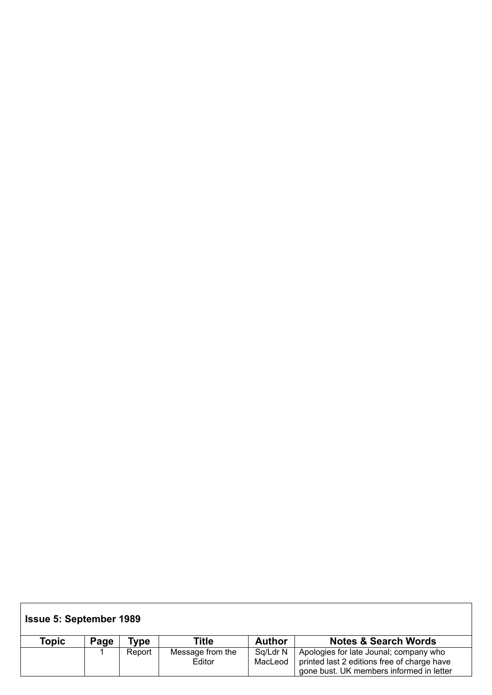| <b>Issue 5: September 1989</b> |      |        |                            |                     |                                                                                                                                   |  |  |  |  |
|--------------------------------|------|--------|----------------------------|---------------------|-----------------------------------------------------------------------------------------------------------------------------------|--|--|--|--|
| Topic                          | Page | 'ype   | Title                      | <b>Author</b>       | <b>Notes &amp; Search Words</b>                                                                                                   |  |  |  |  |
|                                |      | Report | Message from the<br>Editor | Sq/Ldr N<br>MacLeod | Apologies for late Jounal; company who<br>printed last 2 editions free of charge have<br>gone bust. UK members informed in letter |  |  |  |  |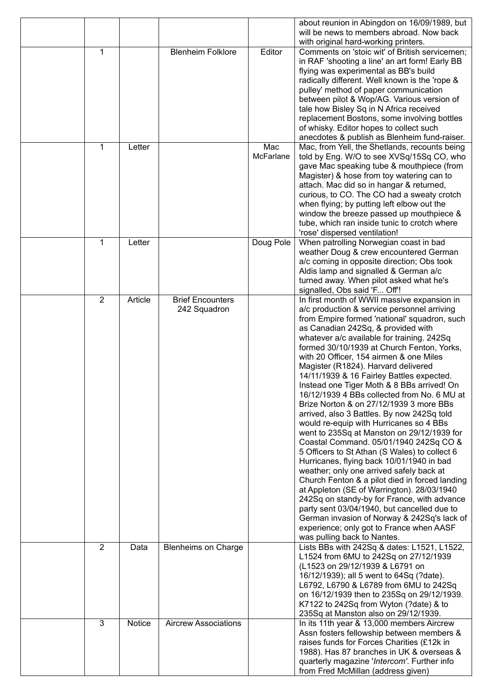|                |         |                             |           | about reunion in Abingdon on 16/09/1989, but                                           |
|----------------|---------|-----------------------------|-----------|----------------------------------------------------------------------------------------|
|                |         |                             |           | will be news to members abroad. Now back                                               |
|                |         |                             |           | with original hard-working printers.                                                   |
| 1              |         | <b>Blenheim Folklore</b>    | Editor    | Comments on 'stoic wit' of British servicemen;                                         |
|                |         |                             |           | in RAF 'shooting a line' an art form! Early BB                                         |
|                |         |                             |           | flying was experimental as BB's build                                                  |
|                |         |                             |           | radically different. Well known is the 'rope &                                         |
|                |         |                             |           | pulley' method of paper communication                                                  |
|                |         |                             |           | between pilot & Wop/AG. Various version of                                             |
|                |         |                             |           | tale how Bisley Sq in N Africa received                                                |
|                |         |                             |           | replacement Bostons, some involving bottles                                            |
|                |         |                             |           | of whisky. Editor hopes to collect such                                                |
|                |         |                             |           | anecdotes & publish as Blenheim fund-raiser.                                           |
| 1              | Letter  |                             | Mac       | Mac, from Yell, the Shetlands, recounts being                                          |
|                |         |                             | McFarlane | told by Eng. W/O to see XVSq/15Sq CO, who                                              |
|                |         |                             |           | gave Mac speaking tube & mouthpiece (from<br>Magister) & hose from toy watering can to |
|                |         |                             |           | attach. Mac did so in hangar & returned,                                               |
|                |         |                             |           | curious, to CO. The CO had a sweaty crotch                                             |
|                |         |                             |           | when flying; by putting left elbow out the                                             |
|                |         |                             |           | window the breeze passed up mouthpiece &                                               |
|                |         |                             |           | tube, which ran inside tunic to crotch where                                           |
|                |         |                             |           | 'rose' dispersed ventilation!                                                          |
| 1              | Letter  |                             | Doug Pole | When patrolling Norwegian coast in bad                                                 |
|                |         |                             |           | weather Doug & crew encountered German                                                 |
|                |         |                             |           | a/c coming in opposite direction; Obs took                                             |
|                |         |                             |           | Aldis lamp and signalled & German a/c                                                  |
|                |         |                             |           | turned away. When pilot asked what he's                                                |
|                |         |                             |           | signalled, Obs said 'F Off'!                                                           |
| $\overline{2}$ | Article | <b>Brief Encounters</b>     |           | In first month of WWII massive expansion in                                            |
|                |         | 242 Squadron                |           | a/c production & service personnel arriving                                            |
|                |         |                             |           | from Empire formed 'national' squadron, such                                           |
|                |         |                             |           | as Canadian 242Sq, & provided with                                                     |
|                |         |                             |           | whatever a/c available for training. 242Sq                                             |
|                |         |                             |           | formed 30/10/1939 at Church Fenton, Yorks,                                             |
|                |         |                             |           | with 20 Officer, 154 airmen & one Miles                                                |
|                |         |                             |           | Magister (R1824). Harvard delivered                                                    |
|                |         |                             |           | 14/11/1939 & 16 Fairley Battles expected.                                              |
|                |         |                             |           | Instead one Tiger Moth & 8 BBs arrived! On                                             |
|                |         |                             |           | 16/12/1939 4 BBs collected from No. 6 MU at                                            |
|                |         |                             |           | Brize Norton & on 27/12/1939 3 more BBs                                                |
|                |         |                             |           | arrived, also 3 Battles. By now 242Sq told                                             |
|                |         |                             |           | would re-equip with Hurricanes so 4 BBs                                                |
|                |         |                             |           | went to 235Sq at Manston on 29/12/1939 for                                             |
|                |         |                             |           | Coastal Command. 05/01/1940 242Sq CO &                                                 |
|                |         |                             |           | 5 Officers to St Athan (S Wales) to collect 6                                          |
|                |         |                             |           | Hurricanes, flying back 10/01/1940 in bad                                              |
|                |         |                             |           | weather; only one arrived safely back at                                               |
|                |         |                             |           | Church Fenton & a pilot died in forced landing                                         |
|                |         |                             |           | at Appleton (SE of Warrington). 28/03/1940                                             |
|                |         |                             |           | 242Sq on standy-by for France, with advance                                            |
|                |         |                             |           | party sent 03/04/1940, but cancelled due to                                            |
|                |         |                             |           | German invasion of Norway & 242Sq's lack of                                            |
|                |         |                             |           | experience; only got to France when AASF                                               |
| 2              | Data    |                             |           | was pulling back to Nantes.                                                            |
|                |         | <b>Blenheims on Charge</b>  |           | Lists BBs with 242Sq & dates: L1521, L1522,<br>L1524 from 6MU to 242Sq on 27/12/1939   |
|                |         |                             |           | (L1523 on 29/12/1939 & L6791 on                                                        |
|                |         |                             |           | 16/12/1939); all 5 went to 64Sq (?date).                                               |
|                |         |                             |           | L6792, L6790 & L6789 from 6MU to 242Sq                                                 |
|                |         |                             |           | on 16/12/1939 then to 235Sq on 29/12/1939.                                             |
|                |         |                             |           | K7122 to 242Sq from Wyton (?date) & to                                                 |
|                |         |                             |           | 235Sq at Manston also on 29/12/1939.                                                   |
| 3              | Notice  | <b>Aircrew Associations</b> |           | In its 11th year & 13,000 members Aircrew                                              |
|                |         |                             |           | Assn fosters fellowship between members &                                              |
|                |         |                             |           | raises funds for Forces Charities (£12k in                                             |
|                |         |                             |           | 1988). Has 87 branches in UK & overseas &                                              |
|                |         |                             |           | quarterly magazine 'Intercom'. Further info                                            |
|                |         |                             |           | from Fred McMillan (address given)                                                     |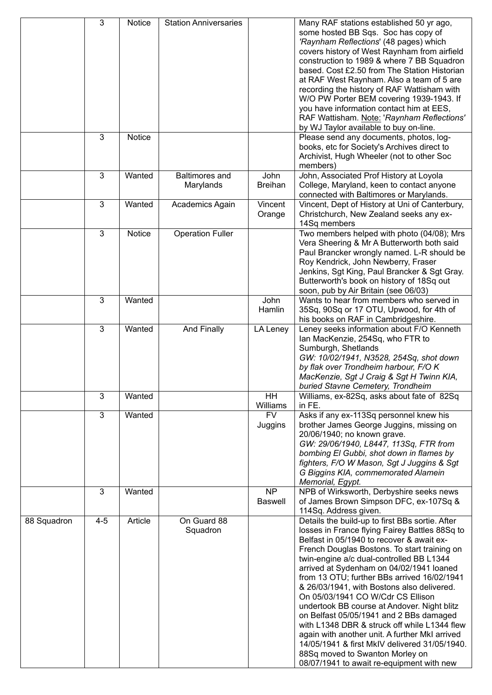|             | 3              | Notice  | <b>Station Anniversaries</b>       |                             | Many RAF stations established 50 yr ago,<br>some hosted BB Sqs. Soc has copy of<br>'Raynham Reflections' (48 pages) which<br>covers history of West Raynham from airfield<br>construction to 1989 & where 7 BB Squadron<br>based. Cost £2.50 from The Station Historian<br>at RAF West Raynham. Also a team of 5 are<br>recording the history of RAF Wattisham with<br>W/O PW Porter BEM covering 1939-1943. If<br>you have information contact him at EES,<br>RAF Wattisham. Note: 'Raynham Reflections'<br>by WJ Taylor available to buy on-line.                                                                                                                                                                                                   |
|-------------|----------------|---------|------------------------------------|-----------------------------|-------------------------------------------------------------------------------------------------------------------------------------------------------------------------------------------------------------------------------------------------------------------------------------------------------------------------------------------------------------------------------------------------------------------------------------------------------------------------------------------------------------------------------------------------------------------------------------------------------------------------------------------------------------------------------------------------------------------------------------------------------|
|             | 3              | Notice  |                                    |                             | Please send any documents, photos, log-<br>books, etc for Society's Archives direct to<br>Archivist, Hugh Wheeler (not to other Soc<br>members)                                                                                                                                                                                                                                                                                                                                                                                                                                                                                                                                                                                                       |
|             | $\overline{3}$ | Wanted  | <b>Baltimores</b> and<br>Marylands | John<br><b>Breihan</b>      | John, Associated Prof History at Loyola<br>College, Maryland, keen to contact anyone<br>connected with Baltimores or Marylands.                                                                                                                                                                                                                                                                                                                                                                                                                                                                                                                                                                                                                       |
|             | 3              | Wanted  | Academics Again                    | Vincent<br>Orange           | Vincent, Dept of History at Uni of Canterbury,<br>Christchurch, New Zealand seeks any ex-<br>14Sq members                                                                                                                                                                                                                                                                                                                                                                                                                                                                                                                                                                                                                                             |
|             | 3              | Notice  | <b>Operation Fuller</b>            |                             | Two members helped with photo (04/08); Mrs<br>Vera Sheering & Mr A Butterworth both said<br>Paul Brancker wrongly named. L-R should be<br>Roy Kendrick, John Newberry, Fraser<br>Jenkins, Sgt King, Paul Brancker & Sgt Gray.<br>Butterworth's book on history of 18Sq out<br>soon, pub by Air Britain (see 06/03)                                                                                                                                                                                                                                                                                                                                                                                                                                    |
|             | $\overline{3}$ | Wanted  |                                    | John<br>Hamlin              | Wants to hear from members who served in<br>35Sq, 90Sq or 17 OTU, Upwood, for 4th of<br>his books on RAF in Cambridgeshire.                                                                                                                                                                                                                                                                                                                                                                                                                                                                                                                                                                                                                           |
|             | $\overline{3}$ | Wanted  | And Finally                        | LA Leney                    | Leney seeks information about F/O Kenneth<br>lan MacKenzie, 254Sq, who FTR to<br>Sumburgh, Shetlands<br>GW: 10/02/1941, N3528, 254Sq, shot down<br>by flak over Trondheim harbour, F/O K<br>MacKenzie, Sgt J Craig & Sgt H Twinn KIA,<br>buried Stavne Cemetery, Trondheim                                                                                                                                                                                                                                                                                                                                                                                                                                                                            |
|             | $\overline{3}$ | Wanted  |                                    | <b>HH</b><br>Williams       | Williams, ex-82Sq, asks about fate of 82Sq<br>in FE.                                                                                                                                                                                                                                                                                                                                                                                                                                                                                                                                                                                                                                                                                                  |
|             | $\overline{3}$ | Wanted  |                                    | <b>FV</b><br>Juggins        | Asks if any ex-113Sq personnel knew his<br>brother James George Juggins, missing on<br>20/06/1940; no known grave.<br>GW: 29/06/1940, L8447, 113Sq, FTR from<br>bombing El Gubbi, shot down in flames by<br>fighters, F/O W Mason, Sgt J Juggins & Sgt<br>G Biggins KIA, commemorated Alamein<br>Memorial, Egypt.                                                                                                                                                                                                                                                                                                                                                                                                                                     |
|             | $\mathbf{3}$   | Wanted  |                                    | <b>NP</b><br><b>Baswell</b> | NPB of Wirksworth, Derbyshire seeks news<br>of James Brown Simpson DFC, ex-107Sq &<br>114Sq. Address given.                                                                                                                                                                                                                                                                                                                                                                                                                                                                                                                                                                                                                                           |
| 88 Squadron | $4 - 5$        | Article | On Guard 88<br>Squadron            |                             | Details the build-up to first BBs sortie. After<br>losses in France flying Fairey Battles 88Sq to<br>Belfast in 05/1940 to recover & await ex-<br>French Douglas Bostons. To start training on<br>twin-engine a/c dual-controlled BB L1344<br>arrived at Sydenham on 04/02/1941 loaned<br>from 13 OTU; further BBs arrived 16/02/1941<br>& 26/03/1941, with Bostons also delivered.<br>On 05/03/1941 CO W/Cdr CS Ellison<br>undertook BB course at Andover. Night blitz<br>on Belfast 05/05/1941 and 2 BBs damaged<br>with L1348 DBR & struck off while L1344 flew<br>again with another unit. A further MkI arrived<br>14/05/1941 & first MkIV delivered 31/05/1940.<br>88Sq moved to Swanton Morley on<br>08/07/1941 to await re-equipment with new |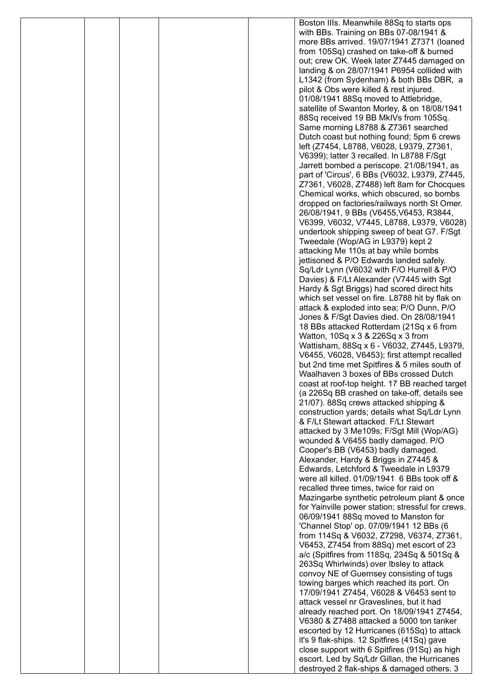|  |  | Boston IIIs. Meanwhile 88Sq to starts ops                                                        |
|--|--|--------------------------------------------------------------------------------------------------|
|  |  | with BBs. Training on BBs 07-08/1941 &                                                           |
|  |  | more BBs arrived. 19/07/1941 Z7371 (loaned                                                       |
|  |  | from 105Sq) crashed on take-off & burned                                                         |
|  |  | out; crew OK. Week later Z7445 damaged on<br>landing & on 28/07/1941 P6954 collided with         |
|  |  | L1342 (from Sydenham) & both BBs DBR, a                                                          |
|  |  | pilot & Obs were killed & rest injured.                                                          |
|  |  | 01/08/1941 88Sq moved to Attlebridge,                                                            |
|  |  | satellite of Swanton Morley, & on 18/08/1941                                                     |
|  |  | 88Sq received 19 BB MkIVs from 105Sq.                                                            |
|  |  | Same morning L8788 & Z7361 searched                                                              |
|  |  | Dutch coast but nothing found; 5pm 6 crews                                                       |
|  |  | left (Z7454, L8788, V6028, L9379, Z7361,                                                         |
|  |  | V6399); latter 3 recalled. In L8788 F/Sgt                                                        |
|  |  | Jarrett bombed a periscope. 21/08/1941, as                                                       |
|  |  | part of 'Circus', 6 BBs (V6032, L9379, Z7445,                                                    |
|  |  | Z7361, V6028, Z7488) left 8am for Chocques<br>Chemical works, which obscured, so bombs           |
|  |  | dropped on factories/railways north St Omer.                                                     |
|  |  | 26/08/1941, 9 BBs (V6455, V6453, R3844,                                                          |
|  |  | V6399, V6032, V7445, L8788, L9379, V6028)                                                        |
|  |  | undertook shipping sweep of beat G7. F/Sgt                                                       |
|  |  | Tweedale (Wop/AG in L9379) kept 2                                                                |
|  |  | attacking Me 110s at bay while bombs                                                             |
|  |  | jettisoned & P/O Edwards landed safely.                                                          |
|  |  | Sq/Ldr Lynn (V6032 with F/O Hurrell & P/O                                                        |
|  |  | Davies) & F/Lt Alexander (V7445 with Sgt                                                         |
|  |  | Hardy & Sgt Briggs) had scored direct hits                                                       |
|  |  | which set vessel on fire. L8788 hit by flak on<br>attack & exploded into sea; P/O Dunn, P/O      |
|  |  | Jones & F/Sgt Davies died. On 28/08/1941                                                         |
|  |  | 18 BBs attacked Rotterdam (21Sq x 6 from                                                         |
|  |  | Watton, 10Sq x 3 & 226Sq x 3 from                                                                |
|  |  | Wattisham, 88Sq x 6 - V6032, Z7445, L9379,                                                       |
|  |  | V6455, V6028, V6453); first attempt recalled                                                     |
|  |  | but 2nd time met Spitfires & 5 miles south of                                                    |
|  |  | Waalhaven 3 boxes of BBs crossed Dutch                                                           |
|  |  | coast at roof-top height. 17 BB reached target                                                   |
|  |  | (a 226Sq BB crashed on take-off, details see<br>21/07). 88Sq crews attacked shipping &           |
|  |  | construction yards; details what Sq/Ldr Lynn                                                     |
|  |  | & F/Lt Stewart attacked. F/Lt Stewart                                                            |
|  |  | attacked by 3 Me109s; F/Sgt Mill (Wop/AG)                                                        |
|  |  | wounded & V6455 badly damaged. P/O                                                               |
|  |  | Cooper's BB (V6453) badly damaged.                                                               |
|  |  | Alexander, Hardy & Briggs in Z7445 &                                                             |
|  |  | Edwards, Letchford & Tweedale in L9379                                                           |
|  |  | were all killed. 01/09/1941 6 BBs took off &                                                     |
|  |  | recalled three times, twice for raid on                                                          |
|  |  | Mazingarbe synthetic petroleum plant & once<br>for Yainville power station; stressful for crews. |
|  |  | 06/09/1941 88Sq moved to Manston for                                                             |
|  |  | 'Channel Stop' op. 07/09/1941 12 BBs (6                                                          |
|  |  | from 114Sq & V6032, Z7298, V6374, Z7361,                                                         |
|  |  | V6453, Z7454 from 88Sq) met escort of 23                                                         |
|  |  | a/c (Spitfires from 118Sq, 234Sq & 501Sq &                                                       |
|  |  | 263Sq Whirlwinds) over Ibsley to attack                                                          |
|  |  | convoy NE of Guernsey consisting of tugs                                                         |
|  |  | towing barges which reached its port. On                                                         |
|  |  | 17/09/1941 Z7454, V6028 & V6453 sent to                                                          |
|  |  | attack vessel nr Graveslines, but it had<br>already reached port. On 18/09/1941 Z7454,           |
|  |  | V6380 & Z7488 attacked a 5000 ton tanker                                                         |
|  |  | escorted by 12 Hurricanes (615Sq) to attack                                                      |
|  |  | it's 9 flak-ships. 12 Spitfires (41Sq) gave                                                      |
|  |  | close support with 6 Spitfires (91Sq) as high                                                    |
|  |  | escort. Led by Sq/Ldr Gillan, the Hurricanes                                                     |
|  |  | destroyed 2 flak-ships & damaged others. 3                                                       |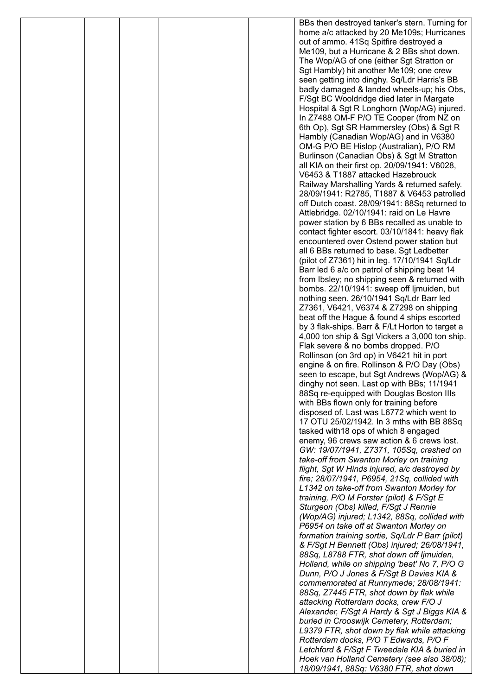|  |  | BBs then destroyed tanker's stern. Turning for                                            |
|--|--|-------------------------------------------------------------------------------------------|
|  |  | home a/c attacked by 20 Me109s; Hurricanes                                                |
|  |  | out of ammo. 41Sq Spitfire destroyed a<br>Me109, but a Hurricane & 2 BBs shot down.       |
|  |  | The Wop/AG of one (either Sgt Stratton or                                                 |
|  |  | Sgt Hambly) hit another Me109; one crew                                                   |
|  |  | seen getting into dinghy. Sq/Ldr Harris's BB                                              |
|  |  | badly damaged & landed wheels-up; his Obs,                                                |
|  |  | F/Sgt BC Wooldridge died later in Margate                                                 |
|  |  | Hospital & Sgt R Longhorn (Wop/AG) injured.                                               |
|  |  | In Z7488 OM-F P/O TE Cooper (from NZ on                                                   |
|  |  | 6th Op), Sgt SR Hammersley (Obs) & Sgt R<br>Hambly (Canadian Wop/AG) and in V6380         |
|  |  | OM-G P/O BE Hislop (Australian), P/O RM                                                   |
|  |  | Burlinson (Canadian Obs) & Sgt M Stratton                                                 |
|  |  | all KIA on their first op. 20/09/1941: V6028,                                             |
|  |  | V6453 & T1887 attacked Hazebrouck                                                         |
|  |  | Railway Marshalling Yards & returned safely.                                              |
|  |  | 28/09/1941: R2785, T1887 & V6453 patrolled                                                |
|  |  | off Dutch coast. 28/09/1941: 88Sq returned to                                             |
|  |  | Attlebridge. 02/10/1941: raid on Le Havre<br>power station by 6 BBs recalled as unable to |
|  |  | contact fighter escort. 03/10/1841: heavy flak                                            |
|  |  | encountered over Ostend power station but                                                 |
|  |  | all 6 BBs returned to base. Sgt Ledbetter                                                 |
|  |  | (pilot of Z7361) hit in leg. 17/10/1941 Sq/Ldr                                            |
|  |  | Barr led 6 a/c on patrol of shipping beat 14                                              |
|  |  | from Ibsley; no shipping seen & returned with                                             |
|  |  | bombs. 22/10/1941: sweep off ljmuiden, but<br>nothing seen. 26/10/1941 Sq/Ldr Barr led    |
|  |  | Z7361, V6421, V6374 & Z7298 on shipping                                                   |
|  |  | beat off the Hague & found 4 ships escorted                                               |
|  |  | by 3 flak-ships. Barr & F/Lt Horton to target a                                           |
|  |  | 4,000 ton ship & Sgt Vickers a 3,000 ton ship.                                            |
|  |  | Flak severe & no bombs dropped. P/O                                                       |
|  |  | Rollinson (on 3rd op) in V6421 hit in port                                                |
|  |  | engine & on fire. Rollinson & P/O Day (Obs)<br>seen to escape, but Sgt Andrews (Wop/AG) & |
|  |  | dinghy not seen. Last op with BBs; 11/1941                                                |
|  |  | 88Sq re-equipped with Douglas Boston IIIs                                                 |
|  |  | with BBs flown only for training before                                                   |
|  |  | disposed of. Last was L6772 which went to                                                 |
|  |  | 17 OTU 25/02/1942. In 3 mths with BB 88Sq                                                 |
|  |  | tasked with 18 ops of which 8 engaged                                                     |
|  |  | enemy, 96 crews saw action & 6 crews lost.<br>GW: 19/07/1941, Z7371, 105Sq, crashed on    |
|  |  | take-off from Swanton Morley on training                                                  |
|  |  | flight, Sgt W Hinds injured, a/c destroyed by                                             |
|  |  | fire; 28/07/1941, P6954, 21Sq, collided with                                              |
|  |  | L1342 on take-off from Swanton Morley for                                                 |
|  |  | training, P/O M Forster (pilot) & F/Sgt E                                                 |
|  |  | Sturgeon (Obs) killed, F/Sgt J Rennie<br>(Wop/AG) injured; L1342, 88Sq, collided with     |
|  |  | P6954 on take off at Swanton Morley on                                                    |
|  |  | formation training sortie, Sq/Ldr P Barr (pilot)                                          |
|  |  | & F/Sgt H Bennett (Obs) injured; 26/08/1941,                                              |
|  |  | 88Sq, L8788 FTR, shot down off ljmuiden,                                                  |
|  |  | Holland, while on shipping 'beat' No 7, P/O G                                             |
|  |  | Dunn, P/O J Jones & F/Sgt B Davies KIA &                                                  |
|  |  | commemorated at Runnymede; 28/08/1941:<br>88Sq, Z7445 FTR, shot down by flak while        |
|  |  | attacking Rotterdam docks, crew F/O J                                                     |
|  |  | Alexander, F/Sgt A Hardy & Sgt J Biggs KIA &                                              |
|  |  | buried in Crooswijk Cemetery, Rotterdam;                                                  |
|  |  | L9379 FTR, shot down by flak while attacking                                              |
|  |  | Rotterdam docks, P/O T Edwards, P/O F                                                     |
|  |  | Letchford & F/Sgt F Tweedale KIA & buried in                                              |
|  |  | Hoek van Holland Cemetery (see also 38/08);<br>18/09/1941, 88Sq: V6380 FTR, shot down     |
|  |  |                                                                                           |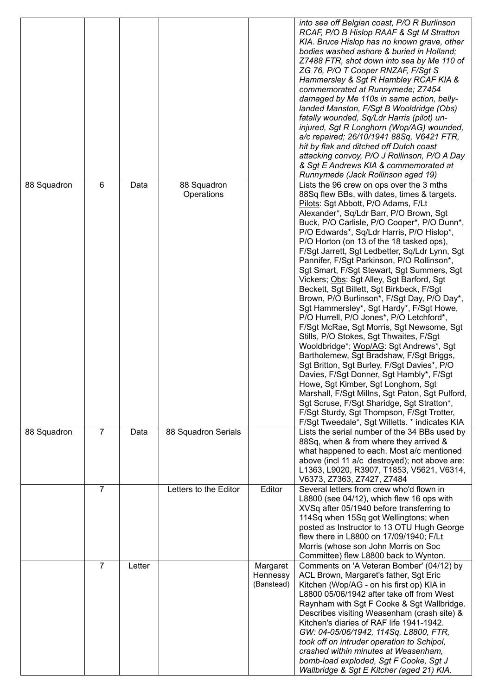|             |                |        |                           |                                    | into sea off Belgian coast, P/O R Burlinson<br>RCAF, P/O B Hislop RAAF & Sgt M Stratton<br>KIA. Bruce Hislop has no known grave, other<br>bodies washed ashore & buried in Holland;<br>Z7488 FTR, shot down into sea by Me 110 of<br>ZG 76, P/O T Cooper RNZAF, F/Sgt S<br>Hammersley & Sgt R Hambley RCAF KIA &<br>commemorated at Runnymede; Z7454<br>damaged by Me 110s in same action, belly-<br>landed Manston, F/Sgt B Wooldridge (Obs)<br>fatally wounded, Sq/Ldr Harris (pilot) un-<br>injured, Sgt R Longhorn (Wop/AG) wounded,<br>a/c repaired; 26/10/1941 88Sq, V6421 FTR,<br>hit by flak and ditched off Dutch coast<br>attacking convoy, P/O J Rollinson, P/O A Day<br>& Sgt E Andrews KIA & commemorated at<br>Runnymede (Jack Rollinson aged 19)                                                                                                                                                                                                                                                                                                                                                                                                                                                    |
|-------------|----------------|--------|---------------------------|------------------------------------|--------------------------------------------------------------------------------------------------------------------------------------------------------------------------------------------------------------------------------------------------------------------------------------------------------------------------------------------------------------------------------------------------------------------------------------------------------------------------------------------------------------------------------------------------------------------------------------------------------------------------------------------------------------------------------------------------------------------------------------------------------------------------------------------------------------------------------------------------------------------------------------------------------------------------------------------------------------------------------------------------------------------------------------------------------------------------------------------------------------------------------------------------------------------------------------------------------------------|
| 88 Squadron | 6              | Data   | 88 Squadron<br>Operations |                                    | Lists the 96 crew on ops over the 3 mths<br>88Sq flew BBs, with dates, times & targets.<br>Pilots: Sgt Abbott, P/O Adams, F/Lt<br>Alexander*, Sq/Ldr Barr, P/O Brown, Sgt<br>Buck, P/O Carlisle, P/O Cooper*, P/O Dunn*,<br>P/O Edwards*, Sq/Ldr Harris, P/O Hislop*,<br>P/O Horton (on 13 of the 18 tasked ops),<br>F/Sgt Jarrett, Sgt Ledbetter, Sq/Ldr Lynn, Sgt<br>Pannifer, F/Sgt Parkinson, P/O Rollinson*,<br>Sgt Smart, F/Sgt Stewart, Sgt Summers, Sgt<br>Vickers; Obs: Sgt Alley, Sgt Barford, Sgt<br>Beckett, Sgt Billett, Sgt Birkbeck, F/Sgt<br>Brown, P/O Burlinson*, F/Sgt Day, P/O Day*,<br>Sgt Hammersley*, Sgt Hardy*, F/Sgt Howe,<br>P/O Hurrell, P/O Jones*, P/O Letchford*,<br>F/Sgt McRae, Sgt Morris, Sgt Newsome, Sgt<br>Stills, P/O Stokes, Sgt Thwaites, F/Sgt<br>Wooldbridge*; Wop/AG: Sgt Andrews*, Sgt<br>Bartholemew, Sgt Bradshaw, F/Sgt Briggs,<br>Sgt Britton, Sgt Burley, F/Sgt Davies*, P/O<br>Davies, F/Sgt Donner, Sgt Hambly*, F/Sgt<br>Howe, Sgt Kimber, Sgt Longhorn, Sgt<br>Marshall, F/Sgt Millns, Sgt Paton, Sgt Pulford,<br>Sgt Scruse, F/Sgt Sharidge, Sgt Stratton*,<br>F/Sgt Sturdy, Sgt Thompson, F/Sgt Trotter,<br>F/Sgt Tweedale*, Sgt Willetts. * indicates KIA |
| 88 Squadron | $\overline{7}$ | Data   | 88 Squadron Serials       |                                    | Lists the serial number of the 34 BBs used by<br>88Sq, when & from where they arrived &<br>what happened to each. Most a/c mentioned<br>above (incl 11 a/c destroyed); not above are:<br>L1363, L9020, R3907, T1853, V5621, V6314,<br>V6373, Z7363, Z7427, Z7484                                                                                                                                                                                                                                                                                                                                                                                                                                                                                                                                                                                                                                                                                                                                                                                                                                                                                                                                                   |
|             | $\overline{7}$ |        | Letters to the Editor     | Editor                             | Several letters from crew who'd flown in<br>L8800 (see 04/12), which flew 16 ops with<br>XVSq after 05/1940 before transferring to<br>114Sq when 15Sq got Wellingtons; when<br>posted as Instructor to 13 OTU Hugh George<br>flew there in L8800 on 17/09/1940; F/Lt<br>Morris (whose son John Morris on Soc<br>Committee) flew L8800 back to Wynton.                                                                                                                                                                                                                                                                                                                                                                                                                                                                                                                                                                                                                                                                                                                                                                                                                                                              |
|             | $\overline{7}$ | Letter |                           | Margaret<br>Hennessy<br>(Banstead) | Comments on 'A Veteran Bomber' (04/12) by<br>ACL Brown, Margaret's father, Sgt Eric<br>Kitchen (Wop/AG - on his first op) KIA in<br>L8800 05/06/1942 after take off from West<br>Raynham with Sgt F Cooke & Sgt Wallbridge.<br>Describes visiting Weasenham (crash site) &<br>Kitchen's diaries of RAF life 1941-1942.<br>GW: 04-05/06/1942, 114Sq, L8800, FTR,<br>took off on intruder operation to Schipol,<br>crashed within minutes at Weasenham,<br>bomb-load exploded, Sgt F Cooke, Sgt J<br>Wallbridge & Sgt E Kitcher (aged 21) KIA.                                                                                                                                                                                                                                                                                                                                                                                                                                                                                                                                                                                                                                                                       |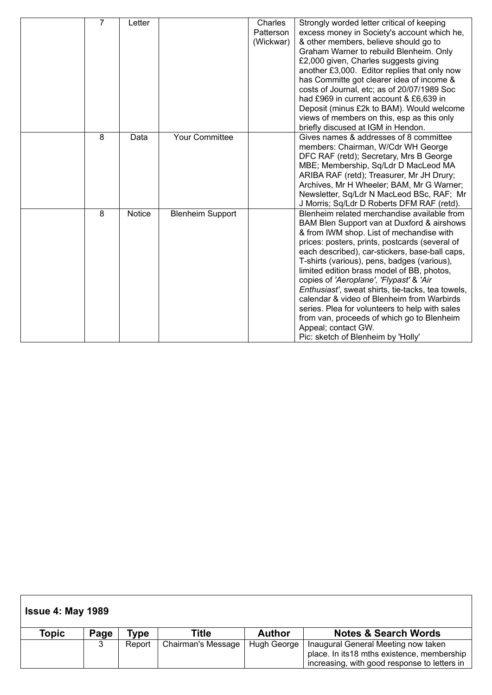| $\overline{7}$ | Letter |                         | Charles   | Strongly worded letter critical of keeping                                                      |
|----------------|--------|-------------------------|-----------|-------------------------------------------------------------------------------------------------|
|                |        |                         | Patterson | excess money in Society's account which he,                                                     |
|                |        |                         | (Wickwar) | & other members, believe should go to                                                           |
|                |        |                         |           |                                                                                                 |
|                |        |                         |           | Graham Warner to rebuild Blenheim. Only                                                         |
|                |        |                         |           | £2,000 given, Charles suggests giving                                                           |
|                |        |                         |           | another £3,000. Editor replies that only now                                                    |
|                |        |                         |           | has Committe got clearer idea of income &                                                       |
|                |        |                         |           | costs of Journal, etc; as of 20/07/1989 Soc                                                     |
|                |        |                         |           | had £969 in current account & £6,639 in                                                         |
|                |        |                         |           | Deposit (minus £2k to BAM). Would welcome                                                       |
|                |        |                         |           | views of members on this, esp as this only                                                      |
|                |        |                         |           | briefly discused at IGM in Hendon.                                                              |
| 8              | Data   | <b>Your Committee</b>   |           | Gives names & addresses of 8 committee                                                          |
|                |        |                         |           | members: Chairman, W/Cdr WH George                                                              |
|                |        |                         |           | DFC RAF (retd); Secretary, Mrs B George                                                         |
|                |        |                         |           | MBE; Membership, Sq/Ldr D MacLeod MA                                                            |
|                |        |                         |           | ARIBA RAF (retd); Treasurer, Mr JH Drury;                                                       |
|                |        |                         |           | Archives, Mr H Wheeler; BAM, Mr G Warner;                                                       |
|                |        |                         |           | Newsletter, Sq/Ldr N MacLeod BSc, RAF; Mr                                                       |
|                |        |                         |           | J Morris; Sq/Ldr D Roberts DFM RAF (retd).                                                      |
| 8              | Notice | <b>Blenheim Support</b> |           | Blenheim related merchandise available from                                                     |
|                |        |                         |           | BAM Blen Support van at Duxford & airshows                                                      |
|                |        |                         |           | & from IWM shop. List of mechandise with                                                        |
|                |        |                         |           | prices: posters, prints, postcards (several of                                                  |
|                |        |                         |           | each described), car-stickers, base-ball caps,                                                  |
|                |        |                         |           | T-shirts (various), pens, badges (various),                                                     |
|                |        |                         |           | limited edition brass model of BB, photos,                                                      |
|                |        |                         |           | copies of 'Aeroplane', 'Flypast' & 'Air                                                         |
|                |        |                         |           |                                                                                                 |
|                |        |                         |           | Enthusiast', sweat shirts, tie-tacks, tea towels,<br>calendar & video of Blenheim from Warbirds |
|                |        |                         |           |                                                                                                 |
|                |        |                         |           | series. Plea for volunteers to help with sales                                                  |
|                |        |                         |           | from van, proceeds of which go to Blenheim                                                      |
|                |        |                         |           | Appeal; contact GW.                                                                             |
|                |        |                         |           | Pic: sketch of Blenheim by 'Holly'                                                              |

| <b>Issue 4: May 1989</b> |      |        |                           |               |                                                                                                                                   |  |  |  |  |
|--------------------------|------|--------|---------------------------|---------------|-----------------------------------------------------------------------------------------------------------------------------------|--|--|--|--|
| Topic                    | Page | Type   | Title                     | <b>Author</b> | <b>Notes &amp; Search Words</b>                                                                                                   |  |  |  |  |
|                          | 3    | Report | <b>Chairman's Message</b> | Hugh George   | Inaugural General Meeting now taken<br>place. In its18 mths existence, membership<br>increasing, with good response to letters in |  |  |  |  |
|                          |      |        |                           |               |                                                                                                                                   |  |  |  |  |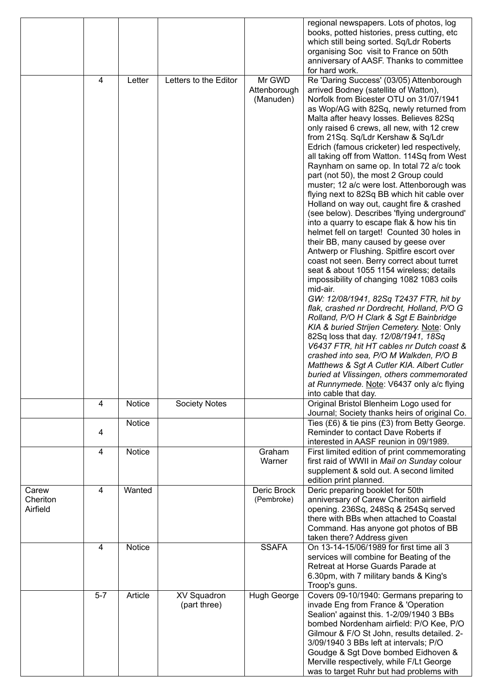|                               |       |         |                                    |                                     | regional newspapers. Lots of photos, log<br>books, potted histories, press cutting, etc<br>which still being sorted. Sq/Ldr Roberts<br>organising Soc visit to France on 50th<br>anniversary of AASF. Thanks to committee<br>for hard work.                                                                                                                                                                                                                                                                                                                                                                                                                                                                                                                                                                                                                                                                                                                                                                                                                                                                                                                                                                                                                                                                                                                                                                                                                                                           |
|-------------------------------|-------|---------|------------------------------------|-------------------------------------|-------------------------------------------------------------------------------------------------------------------------------------------------------------------------------------------------------------------------------------------------------------------------------------------------------------------------------------------------------------------------------------------------------------------------------------------------------------------------------------------------------------------------------------------------------------------------------------------------------------------------------------------------------------------------------------------------------------------------------------------------------------------------------------------------------------------------------------------------------------------------------------------------------------------------------------------------------------------------------------------------------------------------------------------------------------------------------------------------------------------------------------------------------------------------------------------------------------------------------------------------------------------------------------------------------------------------------------------------------------------------------------------------------------------------------------------------------------------------------------------------------|
|                               | 4     | Letter  | Letters to the Editor              | Mr GWD<br>Attenborough<br>(Manuden) | Re 'Daring Success' (03/05) Attenborough<br>arrived Bodney (satellite of Watton),<br>Norfolk from Bicester OTU on 31/07/1941<br>as Wop/AG with 82Sq, newly returned from<br>Malta after heavy losses. Believes 82Sq<br>only raised 6 crews, all new, with 12 crew<br>from 21Sq. Sq/Ldr Kershaw & Sq/Ldr<br>Edrich (famous cricketer) led respectively,<br>all taking off from Watton. 114Sq from West<br>Raynham on same op. In total 72 a/c took<br>part (not 50), the most 2 Group could<br>muster; 12 a/c were lost. Attenborough was<br>flying next to 82Sq BB which hit cable over<br>Holland on way out, caught fire & crashed<br>(see below). Describes 'flying underground'<br>into a quarry to escape flak & how his tin<br>helmet fell on target! Counted 30 holes in<br>their BB, many caused by geese over<br>Antwerp or Flushing. Spitfire escort over<br>coast not seen. Berry correct about turret<br>seat & about 1055 1154 wireless; details<br>impossibility of changing 1082 1083 coils<br>mid-air.<br>GW: 12/08/1941, 82Sq T2437 FTR, hit by<br>flak, crashed nr Dordrecht, Holland, P/O G<br>Rolland, P/O H Clark & Sgt E Bainbridge<br>KIA & buried Strijen Cemetery. Note: Only<br>82Sq loss that day. 12/08/1941, 18Sq<br>V6437 FTR, hit HT cables nr Dutch coast &<br>crashed into sea, P/O M Walkden, P/O B<br>Matthews & Sgt A Cutler KIA. Albert Cutler<br>buried at Vlissingen, others commemorated<br>at Runnymede. Note: V6437 only a/c flying<br>into cable that day. |
|                               | 4     | Notice  | Society Notes                      |                                     | Original Bristol Blenheim Logo used for<br>Journal; Society thanks heirs of original Co.                                                                                                                                                                                                                                                                                                                                                                                                                                                                                                                                                                                                                                                                                                                                                                                                                                                                                                                                                                                                                                                                                                                                                                                                                                                                                                                                                                                                              |
|                               | 4     | Notice  |                                    |                                     | Ties (£6) & tie pins (£3) from Betty George.<br>Reminder to contact Dave Roberts if<br>interested in AASF reunion in 09/1989.                                                                                                                                                                                                                                                                                                                                                                                                                                                                                                                                                                                                                                                                                                                                                                                                                                                                                                                                                                                                                                                                                                                                                                                                                                                                                                                                                                         |
|                               | 4     | Notice  |                                    | Graham<br>Warner                    | First limited edition of print commemorating<br>first raid of WWII in Mail on Sunday colour<br>supplement & sold out. A second limited<br>edition print planned.                                                                                                                                                                                                                                                                                                                                                                                                                                                                                                                                                                                                                                                                                                                                                                                                                                                                                                                                                                                                                                                                                                                                                                                                                                                                                                                                      |
| Carew<br>Cheriton<br>Airfield | 4     | Wanted  |                                    | Deric Brock<br>(Pembroke)           | Deric preparing booklet for 50th<br>anniversary of Carew Cheriton airfield<br>opening. 236Sq, 248Sq & 254Sq served<br>there with BBs when attached to Coastal<br>Command. Has anyone got photos of BB<br>taken there? Address given                                                                                                                                                                                                                                                                                                                                                                                                                                                                                                                                                                                                                                                                                                                                                                                                                                                                                                                                                                                                                                                                                                                                                                                                                                                                   |
|                               | 4     | Notice  |                                    | <b>SSAFA</b>                        | On 13-14-15/06/1989 for first time all 3<br>services will combine for Beating of the<br>Retreat at Horse Guards Parade at<br>6.30pm, with 7 military bands & King's<br>Troop's guns.                                                                                                                                                                                                                                                                                                                                                                                                                                                                                                                                                                                                                                                                                                                                                                                                                                                                                                                                                                                                                                                                                                                                                                                                                                                                                                                  |
|                               | $5-7$ | Article | <b>XV Squadron</b><br>(part three) | <b>Hugh George</b>                  | Covers 09-10/1940: Germans preparing to<br>invade Eng from France & 'Operation<br>Sealion' against this. 1-2/09/1940 3 BBs<br>bombed Nordenham airfield: P/O Kee, P/O<br>Gilmour & F/O St John, results detailed. 2-<br>3/09/1940 3 BBs left at intervals; P/O<br>Goudge & Sgt Dove bombed Eidhoven &<br>Merville respectively, while F/Lt George<br>was to target Ruhr but had problems with                                                                                                                                                                                                                                                                                                                                                                                                                                                                                                                                                                                                                                                                                                                                                                                                                                                                                                                                                                                                                                                                                                         |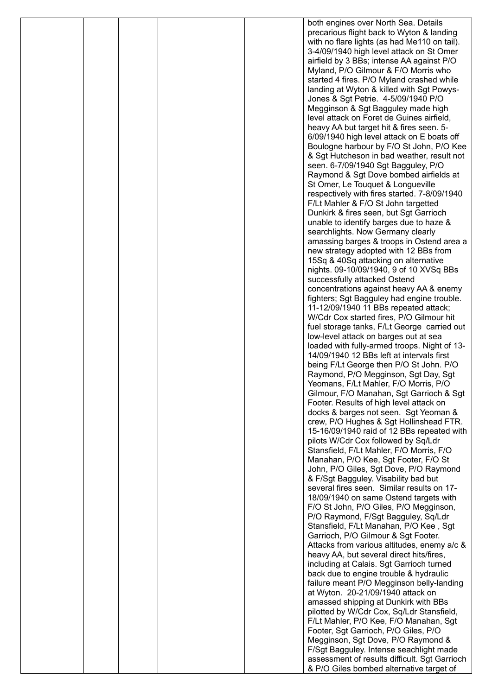|  |  | both engines over North Sea. Details          |
|--|--|-----------------------------------------------|
|  |  |                                               |
|  |  | precarious flight back to Wyton & landing     |
|  |  | with no flare lights (as had Me110 on tail).  |
|  |  | 3-4/09/1940 high level attack on St Omer      |
|  |  |                                               |
|  |  | airfield by 3 BBs; intense AA against P/O     |
|  |  | Myland, P/O Gilmour & F/O Morris who          |
|  |  | started 4 fires. P/O Myland crashed while     |
|  |  | landing at Wyton & killed with Sgt Powys-     |
|  |  |                                               |
|  |  | Jones & Sgt Petrie. 4-5/09/1940 P/O           |
|  |  | Megginson & Sgt Bagguley made high            |
|  |  | level attack on Foret de Guines airfield,     |
|  |  | heavy AA but target hit & fires seen. 5-      |
|  |  |                                               |
|  |  | 6/09/1940 high level attack on E boats off    |
|  |  | Boulogne harbour by F/O St John, P/O Kee      |
|  |  | & Sgt Hutcheson in bad weather, result not    |
|  |  | seen. 6-7/09/1940 Sgt Bagguley, P/O           |
|  |  |                                               |
|  |  | Raymond & Sgt Dove bombed airfields at        |
|  |  | St Omer, Le Touquet & Longueville             |
|  |  | respectively with fires started. 7-8/09/1940  |
|  |  | F/Lt Mahler & F/O St John targetted           |
|  |  |                                               |
|  |  | Dunkirk & fires seen, but Sgt Garrioch        |
|  |  | unable to identify barges due to haze &       |
|  |  | searchlights. Now Germany clearly             |
|  |  |                                               |
|  |  | amassing barges & troops in Ostend area a     |
|  |  | new strategy adopted with 12 BBs from         |
|  |  | 15Sq & 40Sq attacking on alternative          |
|  |  | nights. 09-10/09/1940, 9 of 10 XVSq BBs       |
|  |  |                                               |
|  |  | successfully attacked Ostend                  |
|  |  | concentrations against heavy AA & enemy       |
|  |  | fighters; Sgt Bagguley had engine trouble.    |
|  |  | 11-12/09/1940 11 BBs repeated attack;         |
|  |  |                                               |
|  |  | W/Cdr Cox started fires, P/O Gilmour hit      |
|  |  | fuel storage tanks, F/Lt George carried out   |
|  |  | low-level attack on barges out at sea         |
|  |  | loaded with fully-armed troops. Night of 13-  |
|  |  |                                               |
|  |  | 14/09/1940 12 BBs left at intervals first     |
|  |  | being F/Lt George then P/O St John. P/O       |
|  |  | Raymond, P/O Megginson, Sgt Day, Sgt          |
|  |  |                                               |
|  |  | Yeomans, F/Lt Mahler, F/O Morris, P/O         |
|  |  | Gilmour, F/O Manahan, Sgt Garrioch & Sgt      |
|  |  | Footer. Results of high level attack on       |
|  |  | docks & barges not seen. Sgt Yeoman &         |
|  |  | crew, P/O Hughes & Sgt Hollinshead FTR.       |
|  |  |                                               |
|  |  | 15-16/09/1940 raid of 12 BBs repeated with    |
|  |  | pilots W/Cdr Cox followed by Sq/Ldr           |
|  |  | Stansfield, F/Lt Mahler, F/O Morris, F/O      |
|  |  | Manahan, P/O Kee, Sgt Footer, F/O St          |
|  |  |                                               |
|  |  | John, P/O Giles, Sgt Dove, P/O Raymond        |
|  |  | & F/Sgt Bagguley. Visability bad but          |
|  |  | several fires seen. Similar results on 17-    |
|  |  | 18/09/1940 on same Ostend targets with        |
|  |  |                                               |
|  |  | F/O St John, P/O Giles, P/O Megginson,        |
|  |  | P/O Raymond, F/Sgt Bagguley, Sq/Ldr           |
|  |  | Stansfield, F/Lt Manahan, P/O Kee, Sgt        |
|  |  | Garrioch, P/O Gilmour & Sgt Footer.           |
|  |  |                                               |
|  |  | Attacks from various altitudes, enemy a/c &   |
|  |  | heavy AA, but several direct hits/fires,      |
|  |  | including at Calais. Sgt Garrioch turned      |
|  |  | back due to engine trouble & hydraulic        |
|  |  |                                               |
|  |  | failure meant P/O Megginson belly-landing     |
|  |  | at Wyton. 20-21/09/1940 attack on             |
|  |  | amassed shipping at Dunkirk with BBs          |
|  |  | pilotted by W/Cdr Cox, Sq/Ldr Stansfield,     |
|  |  |                                               |
|  |  | F/Lt Mahler, P/O Kee, F/O Manahan, Sgt        |
|  |  | Footer, Sgt Garrioch, P/O Giles, P/O          |
|  |  | Megginson, Sgt Dove, P/O Raymond &            |
|  |  | F/Sgt Bagguley. Intense seachlight made       |
|  |  |                                               |
|  |  | assessment of results difficult. Sgt Garrioch |
|  |  | & P/O Giles bombed alternative target of      |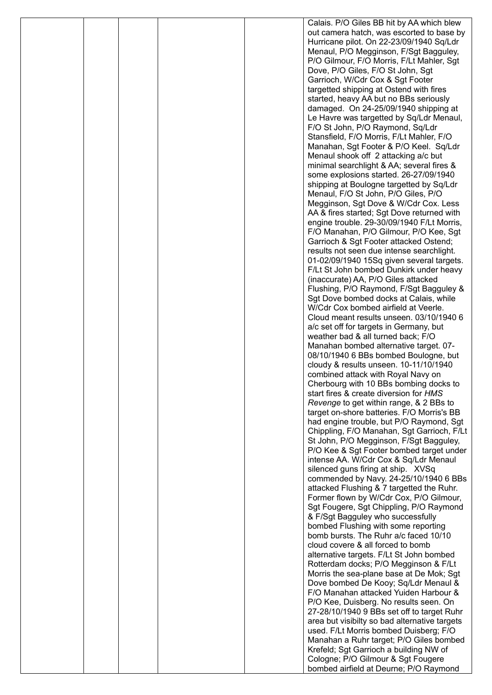|  |  | Calais. P/O Giles BB hit by AA which blew                                         |
|--|--|-----------------------------------------------------------------------------------|
|  |  | out camera hatch, was escorted to base by                                         |
|  |  | Hurricane pilot. On 22-23/09/1940 Sq/Ldr                                          |
|  |  | Menaul, P/O Megginson, F/Sgt Bagguley,                                            |
|  |  | P/O Gilmour, F/O Morris, F/Lt Mahler, Sgt                                         |
|  |  | Dove, P/O Giles, F/O St John, Sgt                                                 |
|  |  | Garrioch, W/Cdr Cox & Sgt Footer                                                  |
|  |  | targetted shipping at Ostend with fires                                           |
|  |  | started, heavy AA but no BBs seriously<br>damaged. On 24-25/09/1940 shipping at   |
|  |  | Le Havre was targetted by Sq/Ldr Menaul,                                          |
|  |  | F/O St John, P/O Raymond, Sq/Ldr                                                  |
|  |  | Stansfield, F/O Morris, F/Lt Mahler, F/O                                          |
|  |  | Manahan, Sgt Footer & P/O Keel. Sq/Ldr                                            |
|  |  | Menaul shook off 2 attacking a/c but                                              |
|  |  | minimal searchlight & AA; several fires &                                         |
|  |  | some explosions started. 26-27/09/1940                                            |
|  |  | shipping at Boulogne targetted by Sq/Ldr                                          |
|  |  | Menaul, F/O St John, P/O Giles, P/O                                               |
|  |  | Megginson, Sgt Dove & W/Cdr Cox. Less                                             |
|  |  | AA & fires started; Sgt Dove returned with                                        |
|  |  | engine trouble. 29-30/09/1940 F/Lt Morris,                                        |
|  |  | F/O Manahan, P/O Gilmour, P/O Kee, Sgt                                            |
|  |  | Garrioch & Sgt Footer attacked Ostend;                                            |
|  |  | results not seen due intense searchlight.                                         |
|  |  | 01-02/09/1940 15Sq given several targets.                                         |
|  |  | F/Lt St John bombed Dunkirk under heavy                                           |
|  |  | (inaccurate) AA, P/O Giles attacked                                               |
|  |  | Flushing, P/O Raymond, F/Sgt Bagguley &<br>Sgt Dove bombed docks at Calais, while |
|  |  | W/Cdr Cox bombed airfield at Veerle.                                              |
|  |  | Cloud meant results unseen. 03/10/1940 6                                          |
|  |  | a/c set off for targets in Germany, but                                           |
|  |  | weather bad & all turned back; F/O                                                |
|  |  | Manahan bombed alternative target. 07-                                            |
|  |  | 08/10/1940 6 BBs bombed Boulogne, but                                             |
|  |  | cloudy & results unseen. 10-11/10/1940                                            |
|  |  | combined attack with Royal Navy on                                                |
|  |  | Cherbourg with 10 BBs bombing docks to                                            |
|  |  | start fires & create diversion for HMS                                            |
|  |  | Revenge to get within range, & 2 BBs to                                           |
|  |  | target on-shore batteries. F/O Morris's BB                                        |
|  |  | had engine trouble, but P/O Raymond, Sgt                                          |
|  |  | Chippling, F/O Manahan, Sgt Garrioch, F/Lt                                        |
|  |  | St John, P/O Megginson, F/Sgt Bagguley,                                           |
|  |  | P/O Kee & Sgt Footer bombed target under                                          |
|  |  | intense AA. W/Cdr Cox & Sq/Ldr Menaul                                             |
|  |  | silenced guns firing at ship. XVSq<br>commended by Navy. 24-25/10/1940 6 BBs      |
|  |  | attacked Flushing & 7 targetted the Ruhr.                                         |
|  |  | Former flown by W/Cdr Cox, P/O Gilmour,                                           |
|  |  | Sgt Fougere, Sgt Chippling, P/O Raymond                                           |
|  |  | & F/Sgt Bagguley who successfully                                                 |
|  |  | bombed Flushing with some reporting                                               |
|  |  | bomb bursts. The Ruhr a/c faced 10/10                                             |
|  |  | cloud covere & all forced to bomb                                                 |
|  |  | alternative targets. F/Lt St John bombed                                          |
|  |  | Rotterdam docks; P/O Megginson & F/Lt                                             |
|  |  | Morris the sea-plane base at De Mok; Sgt                                          |
|  |  | Dove bombed De Kooy; Sq/Ldr Menaul &                                              |
|  |  | F/O Manahan attacked Yuiden Harbour &                                             |
|  |  | P/O Kee, Duisberg. No results seen. On                                            |
|  |  | 27-28/10/1940 9 BBs set off to target Ruhr                                        |
|  |  | area but visibilty so bad alternative targets                                     |
|  |  | used. F/Lt Morris bombed Duisberg; F/O<br>Manahan a Ruhr target; P/O Giles bombed |
|  |  | Krefeld; Sgt Garrioch a building NW of                                            |
|  |  | Cologne; P/O Gilmour & Sgt Fougere                                                |
|  |  | bombed airfield at Deurne; P/O Raymond                                            |
|  |  |                                                                                   |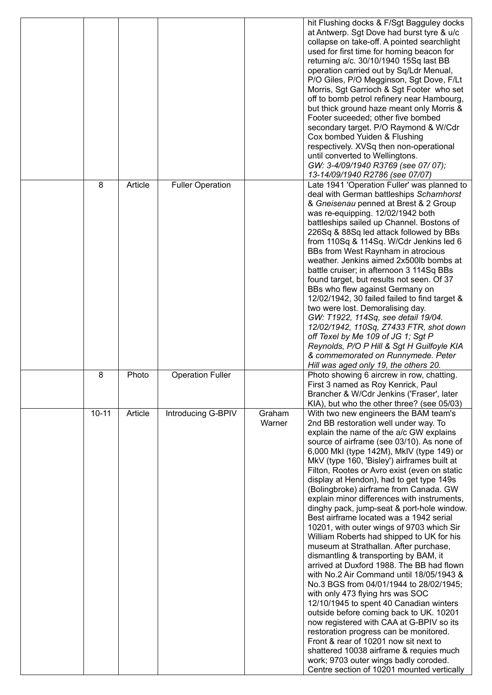|           |         |                         |                  | hit Flushing docks & F/Sgt Bagguley docks<br>at Antwerp. Sgt Dove had burst tyre & u/c<br>collapse on take-off. A pointed searchlight<br>used for first time for homing beacon for<br>returning a/c. 30/10/1940 15Sq last BB<br>operation carried out by Sq/Ldr Menual,<br>P/O Giles, P/O Megginson, Sgt Dove, F/Lt<br>Morris, Sgt Garrioch & Sgt Footer who set<br>off to bomb petrol refinery near Hambourg,<br>but thick ground haze meant only Morris &<br>Footer suceeded; other five bombed<br>secondary target. P/O Raymond & W/Cdr<br>Cox bombed Yuiden & Flushing<br>respectively. XVSq then non-operational<br>until converted to Wellingtons.<br>GW: 3-4/09/1940 R3769 (see 07/07);<br>13-14/09/1940 R2786 (see 07/07)                                                                                                                                                                                                                                                                                                                                                                                                                                                                                                                             |
|-----------|---------|-------------------------|------------------|---------------------------------------------------------------------------------------------------------------------------------------------------------------------------------------------------------------------------------------------------------------------------------------------------------------------------------------------------------------------------------------------------------------------------------------------------------------------------------------------------------------------------------------------------------------------------------------------------------------------------------------------------------------------------------------------------------------------------------------------------------------------------------------------------------------------------------------------------------------------------------------------------------------------------------------------------------------------------------------------------------------------------------------------------------------------------------------------------------------------------------------------------------------------------------------------------------------------------------------------------------------|
| 8         | Article | <b>Fuller Operation</b> |                  | Late 1941 'Operation Fuller' was planned to<br>deal with German battleships Scharnhorst<br>& Gneisenau penned at Brest & 2 Group<br>was re-equipping. 12/02/1942 both<br>battleships sailed up Channel. Bostons of<br>226Sq & 88Sq led attack followed by BBs<br>from 110Sq & 114Sq. W/Cdr Jenkins led 6<br>BBs from West Raynham in atrocious<br>weather. Jenkins aimed 2x500lb bombs at<br>battle cruiser; in afternoon 3 114Sq BBs<br>found target, but results not seen. Of 37<br>BBs who flew against Germany on<br>12/02/1942, 30 failed failed to find target &<br>two were lost. Demoralising day.<br>GW: T1922, 114Sq, see detail 19/04.<br>12/02/1942, 110Sq, Z7433 FTR, shot down<br>off Texel by Me 109 of JG 1; Sgt P<br>Reynolds, P/O P Hill & Sgt H Guilfoyle KIA<br>& commemorated on Runnymede. Peter<br>Hill was aged only 19, the others 20.                                                                                                                                                                                                                                                                                                                                                                                               |
| 8         | Photo   | <b>Operation Fuller</b> |                  | Photo showing 6 aircrew in row, chatting.<br>First 3 named as Roy Kenrick, Paul<br>Brancher & W/Cdr Jenkins ('Fraser', later<br>KIA), but who the other three? (see 05/03)                                                                                                                                                                                                                                                                                                                                                                                                                                                                                                                                                                                                                                                                                                                                                                                                                                                                                                                                                                                                                                                                                    |
| $10 - 11$ | Article | Introducing G-BPIV      | Graham<br>Warner | With two new engineers the BAM team's<br>2nd BB restoration well under way. To<br>explain the name of the a/c GW explains<br>source of airframe (see 03/10). As none of<br>6,000 MkI (type 142M), MkIV (type 149) or<br>MkV (type 160, 'Bisley') airframes built at<br>Filton, Rootes or Avro exist (even on static<br>display at Hendon), had to get type 149s<br>(Bolingbroke) airframe from Canada. GW<br>explain minor differences with instruments,<br>dinghy pack, jump-seat & port-hole window.<br>Best airframe located was a 1942 serial<br>10201, with outer wings of 9703 which Sir<br>William Roberts had shipped to UK for his<br>museum at Strathallan. After purchase,<br>dismantling & transporting by BAM, it<br>arrived at Duxford 1988. The BB had flown<br>with No.2 Air Command until 18/05/1943 &<br>No.3 BGS from 04/01/1944 to 28/02/1945;<br>with only 473 flying hrs was SOC<br>12/10/1945 to spent 40 Canadian winters<br>outside before coming back to UK. 10201<br>now registered with CAA at G-BPIV so its<br>restoration progress can be monitored.<br>Front & rear of 10201 now sit next to<br>shattered 10038 airframe & requies much<br>work; 9703 outer wings badly coroded.<br>Centre section of 10201 mounted vertically |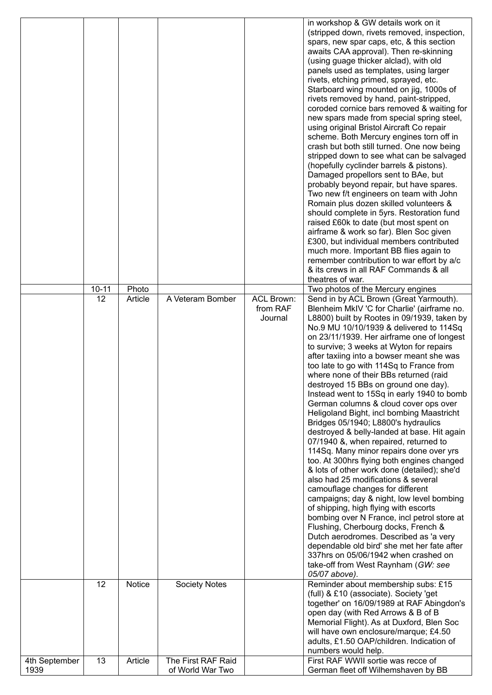|               |           |               |                      |                   | in workshop & GW details work on it                                                   |
|---------------|-----------|---------------|----------------------|-------------------|---------------------------------------------------------------------------------------|
|               |           |               |                      |                   | (stripped down, rivets removed, inspection,                                           |
|               |           |               |                      |                   | spars, new spar caps, etc, & this section                                             |
|               |           |               |                      |                   | awaits CAA approval). Then re-skinning                                                |
|               |           |               |                      |                   | (using guage thicker alclad), with old                                                |
|               |           |               |                      |                   | panels used as templates, using larger                                                |
|               |           |               |                      |                   | rivets, etching primed, sprayed, etc.                                                 |
|               |           |               |                      |                   | Starboard wing mounted on jig, 1000s of                                               |
|               |           |               |                      |                   | rivets removed by hand, paint-stripped,<br>coroded cornice bars removed & waiting for |
|               |           |               |                      |                   | new spars made from special spring steel,                                             |
|               |           |               |                      |                   | using original Bristol Aircraft Co repair                                             |
|               |           |               |                      |                   | scheme. Both Mercury engines torn off in                                              |
|               |           |               |                      |                   | crash but both still turned. One now being                                            |
|               |           |               |                      |                   | stripped down to see what can be salvaged                                             |
|               |           |               |                      |                   | (hopefully cyclinder barrels & pistons).                                              |
|               |           |               |                      |                   | Damaged propellors sent to BAe, but                                                   |
|               |           |               |                      |                   | probably beyond repair, but have spares.                                              |
|               |           |               |                      |                   | Two new f/t engineers on team with John                                               |
|               |           |               |                      |                   | Romain plus dozen skilled volunteers &                                                |
|               |           |               |                      |                   | should complete in 5yrs. Restoration fund                                             |
|               |           |               |                      |                   | raised £60k to date (but most spent on                                                |
|               |           |               |                      |                   | airframe & work so far). Blen Soc given                                               |
|               |           |               |                      |                   | £300, but individual members contributed<br>much more. Important BB flies again to    |
|               |           |               |                      |                   | remember contribution to war effort by a/c                                            |
|               |           |               |                      |                   | & its crews in all RAF Commands & all                                                 |
|               |           |               |                      |                   | theatres of war.                                                                      |
|               | $10 - 11$ | Photo         |                      |                   | Two photos of the Mercury engines                                                     |
|               | 12        | Article       | A Veteram Bomber     | <b>ACL Brown:</b> | Send in by ACL Brown (Great Yarmouth).                                                |
|               |           |               |                      | from RAF          | Blenheim MkIV 'C for Charlie' (airframe no.                                           |
|               |           |               |                      | Journal           | L8800) built by Rootes in 09/1939, taken by                                           |
|               |           |               |                      |                   | No.9 MU 10/10/1939 & delivered to 114Sq                                               |
|               |           |               |                      |                   | on 23/11/1939. Her airframe one of longest                                            |
|               |           |               |                      |                   | to survive; 3 weeks at Wyton for repairs                                              |
|               |           |               |                      |                   | after taxiing into a bowser meant she was                                             |
|               |           |               |                      |                   | too late to go with 114Sq to France from<br>where none of their BBs returned (raid    |
|               |           |               |                      |                   | destroyed 15 BBs on ground one day).                                                  |
|               |           |               |                      |                   | Instead went to 15Sq in early 1940 to bomb                                            |
|               |           |               |                      |                   | German columns & cloud cover ops over                                                 |
|               |           |               |                      |                   | Heligoland Bight, incl bombing Maastricht                                             |
|               |           |               |                      |                   | Bridges 05/1940; L8800's hydraulics                                                   |
|               |           |               |                      |                   | destroyed & belly-landed at base. Hit again                                           |
|               |           |               |                      |                   | 07/1940 &, when repaired, returned to                                                 |
|               |           |               |                      |                   | 114Sq. Many minor repairs done over yrs                                               |
|               |           |               |                      |                   | too. At 300hrs flying both engines changed                                            |
|               |           |               |                      |                   | & lots of other work done (detailed); she'd                                           |
|               |           |               |                      |                   | also had 25 modifications & several                                                   |
|               |           |               |                      |                   | camouflage changes for different                                                      |
|               |           |               |                      |                   | campaigns; day & night, low level bombing<br>of shipping, high flying with escorts    |
|               |           |               |                      |                   | bombing over N France, incl petrol store at                                           |
|               |           |               |                      |                   | Flushing, Cherbourg docks, French &                                                   |
|               |           |               |                      |                   | Dutch aerodromes. Described as 'a very                                                |
|               |           |               |                      |                   | dependable old bird' she met her fate after                                           |
|               |           |               |                      |                   | 337hrs on 05/06/1942 when crashed on                                                  |
|               |           |               |                      |                   | take-off from West Raynham (GW: see                                                   |
|               |           |               |                      |                   | 05/07 above).                                                                         |
|               | 12        | <b>Notice</b> | <b>Society Notes</b> |                   | Reminder about membership subs: £15                                                   |
|               |           |               |                      |                   | (full) & £10 (associate). Society 'get                                                |
|               |           |               |                      |                   | together' on 16/09/1989 at RAF Abingdon's                                             |
|               |           |               |                      |                   | open day (with Red Arrows & B of B                                                    |
|               |           |               |                      |                   | Memorial Flight). As at Duxford, Blen Soc                                             |
|               |           |               |                      |                   |                                                                                       |
|               |           |               |                      |                   | will have own enclosure/marque; £4.50                                                 |
|               |           |               |                      |                   | adults, £1.50 OAP/children. Indication of                                             |
| 4th September | 13        | Article       | The First RAF Raid   |                   | numbers would help.<br>First RAF WWII sortie was recce of                             |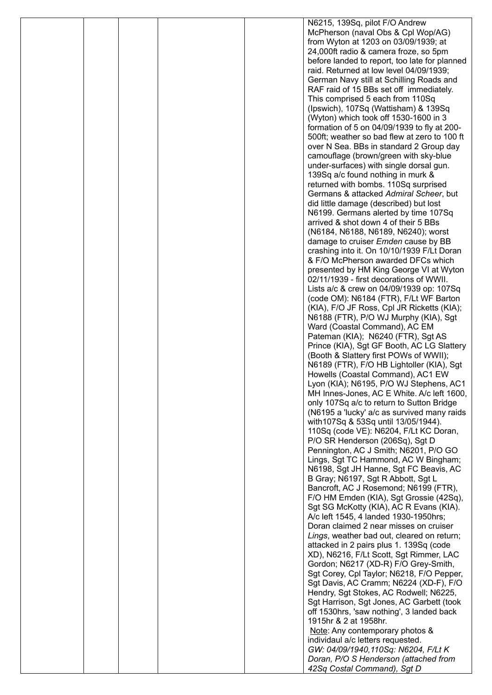|  |  | N6215, 139Sq, pilot F/O Andrew                                                              |
|--|--|---------------------------------------------------------------------------------------------|
|  |  | McPherson (naval Obs & Cpl Wop/AG)                                                          |
|  |  | from Wyton at 1203 on 03/09/1939; at                                                        |
|  |  | 24,000ft radio & camera froze, so 5pm                                                       |
|  |  | before landed to report, too late for planned                                               |
|  |  | raid. Returned at low level 04/09/1939;                                                     |
|  |  | German Navy still at Schilling Roads and                                                    |
|  |  | RAF raid of 15 BBs set off immediately.                                                     |
|  |  | This comprised 5 each from 110Sq                                                            |
|  |  | (Ipswich), 107Sq (Wattisham) & 139Sq                                                        |
|  |  | (Wyton) which took off 1530-1600 in 3                                                       |
|  |  | formation of 5 on 04/09/1939 to fly at 200-<br>500ft; weather so bad flew at zero to 100 ft |
|  |  | over N Sea. BBs in standard 2 Group day                                                     |
|  |  | camouflage (brown/green with sky-blue                                                       |
|  |  | under-surfaces) with single dorsal gun.                                                     |
|  |  | 139Sq a/c found nothing in murk &                                                           |
|  |  | returned with bombs. 110Sq surprised                                                        |
|  |  | Germans & attacked Admiral Scheer, but                                                      |
|  |  | did little damage (described) but lost                                                      |
|  |  | N6199. Germans alerted by time 107Sq                                                        |
|  |  | arrived & shot down 4 of their 5 BBs                                                        |
|  |  | (N6184, N6188, N6189, N6240); worst                                                         |
|  |  | damage to cruiser <i>Emden</i> cause by BB                                                  |
|  |  | crashing into it. On 10/10/1939 F/Lt Doran                                                  |
|  |  | & F/O McPherson awarded DFCs which                                                          |
|  |  | presented by HM King George VI at Wyton                                                     |
|  |  | 02/11/1939 - first decorations of WWII.                                                     |
|  |  | Lists a/c & crew on 04/09/1939 op: 107Sq                                                    |
|  |  | (code OM): N6184 (FTR), F/Lt WF Barton                                                      |
|  |  | (KIA), F/O JF Ross, Cpl JR Ricketts (KIA);                                                  |
|  |  | N6188 (FTR), P/O WJ Murphy (KIA), Sgt                                                       |
|  |  | Ward (Coastal Command), AC EM<br>Pateman (KIA); N6240 (FTR), Sgt AS                         |
|  |  | Prince (KIA), Sgt GF Booth, AC LG Slattery                                                  |
|  |  | (Booth & Slattery first POWs of WWII);                                                      |
|  |  | N6189 (FTR), F/O HB Lightoller (KIA), Sgt                                                   |
|  |  | Howells (Coastal Command), AC1 EW                                                           |
|  |  | Lyon (KIA); N6195, P/O WJ Stephens, AC1                                                     |
|  |  | MH Innes-Jones, AC E White. A/c left 1600,                                                  |
|  |  | only 107Sq a/c to return to Sutton Bridge                                                   |
|  |  | (N6195 a 'lucky' a/c as survived many raids                                                 |
|  |  | with 107Sq & 53Sq until 13/05/1944).                                                        |
|  |  | 110Sq (code VE): N6204, F/Lt KC Doran,                                                      |
|  |  | P/O SR Henderson (206Sq), Sgt D                                                             |
|  |  | Pennington, AC J Smith; N6201, P/O GO                                                       |
|  |  | Lings, Sgt TC Hammond, AC W Bingham;                                                        |
|  |  | N6198, Sgt JH Hanne, Sgt FC Beavis, AC                                                      |
|  |  | B Gray; N6197, Sgt R Abbott, Sgt L                                                          |
|  |  | Bancroft, AC J Rosemond; N6199 (FTR),                                                       |
|  |  | F/O HM Emden (KIA), Sgt Grossie (42Sq),                                                     |
|  |  | Sgt SG McKotty (KIA), AC R Evans (KIA).<br>A/c left 1545, 4 landed 1930-1950hrs;            |
|  |  | Doran claimed 2 near misses on cruiser                                                      |
|  |  | Lings, weather bad out, cleared on return;                                                  |
|  |  | attacked in 2 pairs plus 1. 139Sq (code                                                     |
|  |  | XD), N6216, F/Lt Scott, Sgt Rimmer, LAC                                                     |
|  |  | Gordon; N6217 (XD-R) F/O Grey-Smith,                                                        |
|  |  | Sgt Corey, Cpl Taylor; N6218, F/O Pepper,                                                   |
|  |  | Sgt Davis, AC Cramm; N6224 (XD-F), F/O                                                      |
|  |  | Hendry, Sgt Stokes, AC Rodwell; N6225,                                                      |
|  |  | Sgt Harrison, Sgt Jones, AC Garbett (took                                                   |
|  |  | off 1530hrs, 'saw nothing', 3 landed back                                                   |
|  |  | 1915hr & 2 at 1958hr.                                                                       |
|  |  | Note: Any contemporary photos &                                                             |
|  |  | individaul a/c letters requested.                                                           |
|  |  | GW: 04/09/1940,110Sq: N6204, F/Lt K                                                         |
|  |  | Doran, P/O S Henderson (attached from                                                       |
|  |  | 42Sq Costal Command), Sgt D                                                                 |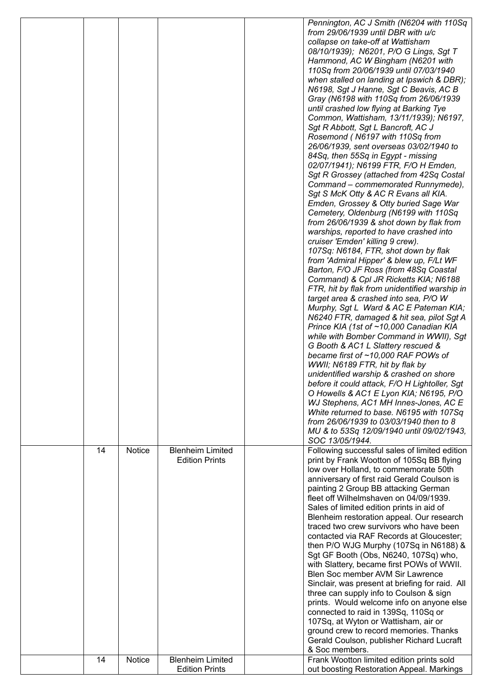|          |                         |                                                                             | Pennington, AC J Smith (N6204 with 110Sq<br>from 29/06/1939 until DBR with u/c<br>collapse on take-off at Wattisham<br>08/10/1939); N6201, P/O G Lings, Sgt T<br>Hammond, AC W Bingham (N6201 with<br>110Sq from 20/06/1939 until 07/03/1940<br>when stalled on landing at Ipswich & DBR);<br>N6198, Sgt J Hanne, Sgt C Beavis, AC B<br>Gray (N6198 with 110Sq from 26/06/1939<br>until crashed low flying at Barking Tye<br>Common, Wattisham, 13/11/1939); N6197,<br>Sgt R Abbott, Sgt L Bancroft, AC J<br>Rosemond (N6197 with 110Sq from<br>26/06/1939, sent overseas 03/02/1940 to<br>84Sq, then 55Sq in Egypt - missing<br>02/07/1941); N6199 FTR, F/O H Emden,<br>Sgt R Grossey (attached from 42Sq Costal<br>Command - commemorated Runnymede),<br>Sgt S McK Otty & AC R Evans all KIA.<br>Emden, Grossey & Otty buried Sage War<br>Cemetery, Oldenburg (N6199 with 110Sq<br>from 26/06/1939 & shot down by flak from<br>warships, reported to have crashed into<br>cruiser 'Emden' killing 9 crew).<br>107Sq: N6184, FTR, shot down by flak<br>from 'Admiral Hipper' & blew up, F/Lt WF<br>Barton, F/O JF Ross (from 48Sq Coastal<br>Command) & Cpl JR Ricketts KIA; N6188<br>FTR, hit by flak from unidentified warship in<br>target area & crashed into sea, P/O W<br>Murphy, Sgt L Ward & AC E Pateman KIA;<br>N6240 FTR, damaged & hit sea, pilot Sgt A<br>Prince KIA (1st of ~10,000 Canadian KIA<br>while with Bomber Command in WWII), Sgt<br>G Booth & AC1 L Slattery rescued &<br>became first of ~10,000 RAF POWs of<br>WWII; N6189 FTR, hit by flak by<br>unidentified warship & crashed on shore<br>before it could attack, F/O H Lightoller, Sgt<br>O Howells & AC1 E Lyon KIA; N6195, P/O |
|----------|-------------------------|-----------------------------------------------------------------------------|------------------------------------------------------------------------------------------------------------------------------------------------------------------------------------------------------------------------------------------------------------------------------------------------------------------------------------------------------------------------------------------------------------------------------------------------------------------------------------------------------------------------------------------------------------------------------------------------------------------------------------------------------------------------------------------------------------------------------------------------------------------------------------------------------------------------------------------------------------------------------------------------------------------------------------------------------------------------------------------------------------------------------------------------------------------------------------------------------------------------------------------------------------------------------------------------------------------------------------------------------------------------------------------------------------------------------------------------------------------------------------------------------------------------------------------------------------------------------------------------------------------------------------------------------------------------------------------------------------------------------------------------------------------------------------------------------------------|
|          |                         |                                                                             | White returned to base. N6195 with 107Sq<br>from 26/06/1939 to 03/03/1940 then to 8<br>MU & to 53Sq 12/09/1940 until 09/02/1943,                                                                                                                                                                                                                                                                                                                                                                                                                                                                                                                                                                                                                                                                                                                                                                                                                                                                                                                                                                                                                                                                                                                                                                                                                                                                                                                                                                                                                                                                                                                                                                                 |
| 14<br>14 | <b>Notice</b><br>Notice | <b>Blenheim Limited</b><br><b>Edition Prints</b><br><b>Blenheim Limited</b> | SOC 13/05/1944.<br>Following successful sales of limited edition<br>print by Frank Wootton of 105Sq BB flying<br>low over Holland, to commemorate 50th<br>anniversary of first raid Gerald Coulson is<br>painting 2 Group BB attacking German<br>fleet off Wilhelmshaven on 04/09/1939.<br>Sales of limited edition prints in aid of<br>Blenheim restoration appeal. Our research<br>traced two crew survivors who have been<br>contacted via RAF Records at Gloucester;<br>then P/O WJG Murphy (107Sq in N6188) &<br>Sgt GF Booth (Obs, N6240, 107Sq) who,<br>with Slattery, became first POWs of WWII.<br>Blen Soc member AVM Sir Lawrence<br>Sinclair, was present at briefing for raid. All<br>three can supply info to Coulson & sign<br>prints. Would welcome info on anyone else<br>connected to raid in 139Sq, 110Sq or<br>107Sq, at Wyton or Wattisham, air or<br>ground crew to record memories. Thanks<br>Gerald Coulson, publisher Richard Lucraft<br>& Soc members.<br>Frank Wootton limited edition prints sold                                                                                                                                                                                                                                                                                                                                                                                                                                                                                                                                                                                                                                                                                    |
|          |                         | <b>Edition Prints</b>                                                       | out boosting Restoration Appeal. Markings                                                                                                                                                                                                                                                                                                                                                                                                                                                                                                                                                                                                                                                                                                                                                                                                                                                                                                                                                                                                                                                                                                                                                                                                                                                                                                                                                                                                                                                                                                                                                                                                                                                                        |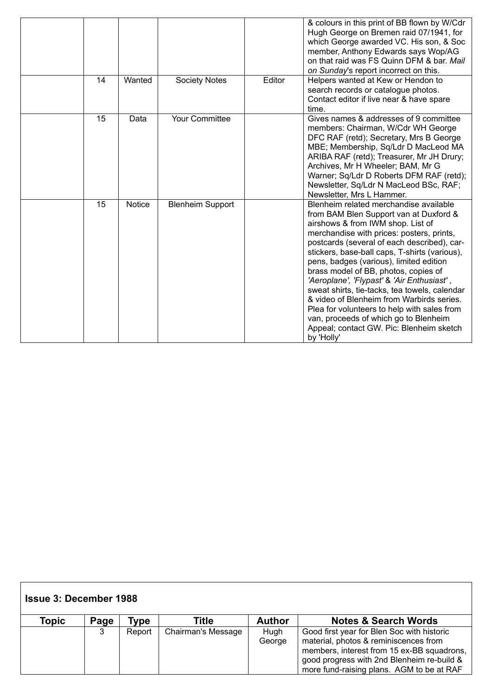|    |        |                         |        | & colours in this print of BB flown by W/Cdr<br>Hugh George on Bremen raid 07/1941, for<br>which George awarded VC. His son, & Soc<br>member, Anthony Edwards says Wop/AG<br>on that raid was FS Quinn DFM & bar. Mail<br>on Sunday's report incorrect on this.                                                                                                                                                                                                                                                                                                                                                                                     |
|----|--------|-------------------------|--------|-----------------------------------------------------------------------------------------------------------------------------------------------------------------------------------------------------------------------------------------------------------------------------------------------------------------------------------------------------------------------------------------------------------------------------------------------------------------------------------------------------------------------------------------------------------------------------------------------------------------------------------------------------|
| 14 | Wanted | <b>Society Notes</b>    | Editor | Helpers wanted at Kew or Hendon to<br>search records or catalogue photos.<br>Contact editor if live near & have spare<br>time.                                                                                                                                                                                                                                                                                                                                                                                                                                                                                                                      |
| 15 | Data   | Your Committee          |        | Gives names & addresses of 9 committee<br>members: Chairman, W/Cdr WH George<br>DFC RAF (retd); Secretary, Mrs B George<br>MBE; Membership, Sq/Ldr D MacLeod MA<br>ARIBA RAF (retd); Treasurer, Mr JH Drury;<br>Archives, Mr H Wheeler; BAM, Mr G<br>Warner; Sq/Ldr D Roberts DFM RAF (retd);<br>Newsletter, Sq/Ldr N MacLeod BSc, RAF;<br>Newsletter, Mrs L Hammer.                                                                                                                                                                                                                                                                                |
| 15 | Notice | <b>Blenheim Support</b> |        | Blenheim related merchandise available<br>from BAM Blen Support van at Duxford &<br>airshows & from IWM shop. List of<br>merchandise with prices: posters, prints,<br>postcards (several of each described), car-<br>stickers, base-ball caps, T-shirts (various),<br>pens, badges (various), limited edition<br>brass model of BB, photos, copies of<br>'Aeroplane', 'Flypast' & 'Air Enthusiast',<br>sweat shirts, tie-tacks, tea towels, calendar<br>& video of Blenheim from Warbirds series.<br>Plea for volunteers to help with sales from<br>van, proceeds of which go to Blenheim<br>Appeal; contact GW. Pic: Blenheim sketch<br>by 'Holly' |

| <b>Issue 3: December 1988</b> |      |        |                           |                |                                                                                                                                                                                                                              |  |  |  |
|-------------------------------|------|--------|---------------------------|----------------|------------------------------------------------------------------------------------------------------------------------------------------------------------------------------------------------------------------------------|--|--|--|
| Topic                         | Page | ⊺ype   | Title                     | <b>Author</b>  | <b>Notes &amp; Search Words</b>                                                                                                                                                                                              |  |  |  |
|                               | 3    | Report | <b>Chairman's Message</b> | Hugh<br>George | Good first year for Blen Soc with historic<br>material, photos & reminiscences from<br>members, interest from 15 ex-BB squadrons,<br>good progress with 2nd Blenheim re-build &<br>more fund-raising plans. AGM to be at RAF |  |  |  |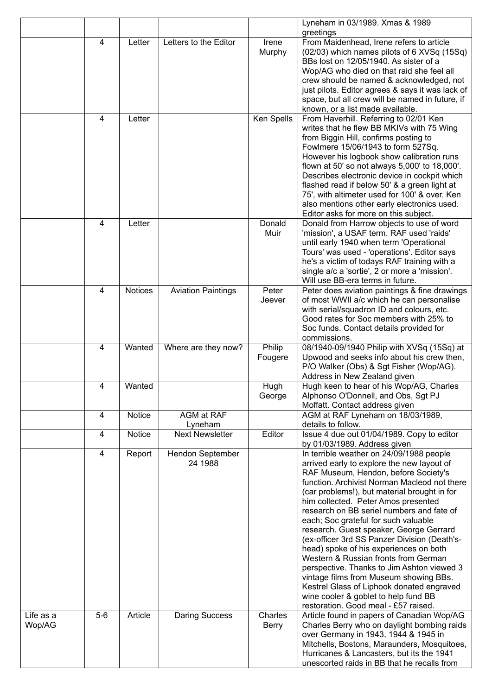|                     |                |         |                             |                   | Lyneham in 03/1989. Xmas & 1989<br>greetings                                                                                                                                                                                                                                                                                                                                                                                                                                                                                                                                                                                                                                                                                                                 |
|---------------------|----------------|---------|-----------------------------|-------------------|--------------------------------------------------------------------------------------------------------------------------------------------------------------------------------------------------------------------------------------------------------------------------------------------------------------------------------------------------------------------------------------------------------------------------------------------------------------------------------------------------------------------------------------------------------------------------------------------------------------------------------------------------------------------------------------------------------------------------------------------------------------|
|                     | 4              | Letter  | Letters to the Editor       | Irene<br>Murphy   | From Maidenhead, Irene refers to article<br>(02/03) which names pilots of 6 XVSq (15Sq)<br>BBs lost on 12/05/1940. As sister of a<br>Wop/AG who died on that raid she feel all<br>crew should be named & acknowledged, not<br>just pilots. Editor agrees & says it was lack of<br>space, but all crew will be named in future, if<br>known, or a list made available.                                                                                                                                                                                                                                                                                                                                                                                        |
|                     | 4              | Letter  |                             | Ken Spells        | From Haverhill. Referring to 02/01 Ken<br>writes that he flew BB MKIVs with 75 Wing<br>from Biggin Hill, confirms posting to<br>Fowlmere 15/06/1943 to form 527Sq.<br>However his logbook show calibration runs<br>flown at 50' so not always 5,000' to 18,000'.<br>Describes electronic device in cockpit which<br>flashed read if below 50' & a green light at<br>75', with altimeter used for 100' & over. Ken<br>also mentions other early electronics used.<br>Editor asks for more on this subject.                                                                                                                                                                                                                                                    |
|                     | 4              | Letter  |                             | Donald<br>Muir    | Donald from Harrow objects to use of word<br>'mission', a USAF term. RAF used 'raids'<br>until early 1940 when term 'Operational<br>Tours' was used - 'operations'. Editor says<br>he's a victim of todays RAF training with a<br>single a/c a 'sortie', 2 or more a 'mission'.<br>Will use BB-era terms in future.                                                                                                                                                                                                                                                                                                                                                                                                                                          |
|                     | 4              | Notices | <b>Aviation Paintings</b>   | Peter<br>Jeever   | Peter does aviation paintings & fine drawings<br>of most WWII a/c which he can personalise<br>with serial/squadron ID and colours, etc.<br>Good rates for Soc members with 25% to<br>Soc funds. Contact details provided for<br>commissions.                                                                                                                                                                                                                                                                                                                                                                                                                                                                                                                 |
|                     | $\overline{4}$ | Wanted  | Where are they now?         | Philip<br>Fougere | 08/1940-09/1940 Philip with XVSq (15Sq) at<br>Upwood and seeks info about his crew then,<br>P/O Walker (Obs) & Sgt Fisher (Wop/AG).<br>Address in New Zealand given                                                                                                                                                                                                                                                                                                                                                                                                                                                                                                                                                                                          |
|                     | 4              | Wanted  |                             | Hugh<br>George    | Hugh keen to hear of his Wop/AG, Charles<br>Alphonso O'Donnell, and Obs, Sgt PJ<br>Moffatt. Contact address given                                                                                                                                                                                                                                                                                                                                                                                                                                                                                                                                                                                                                                            |
|                     | $\overline{4}$ | Notice  | AGM at RAF<br>Lyneham       |                   | AGM at RAF Lyneham on 18/03/1989,<br>details to follow.                                                                                                                                                                                                                                                                                                                                                                                                                                                                                                                                                                                                                                                                                                      |
|                     | $\overline{4}$ | Notice  | <b>Next Newsletter</b>      | Editor            | Issue 4 due out 01/04/1989. Copy to editor<br>by 01/03/1989. Address given                                                                                                                                                                                                                                                                                                                                                                                                                                                                                                                                                                                                                                                                                   |
|                     | $\overline{4}$ | Report  | Hendon September<br>24 1988 |                   | In terrible weather on 24/09/1988 people<br>arrived early to explore the new layout of<br>RAF Museum, Hendon, before Society's<br>function. Archivist Norman Macleod not there<br>(car problems!), but material brought in for<br>him collected. Peter Amos presented<br>research on BB seriel numbers and fate of<br>each; Soc grateful for such valuable<br>research. Guest speaker, George Gerrard<br>(ex-officer 3rd SS Panzer Division (Death's-<br>head) spoke of his experiences on both<br>Western & Russian fronts from German<br>perspective. Thanks to Jim Ashton viewed 3<br>vintage films from Museum showing BBs.<br>Kestrel Glass of Liphook donated engraved<br>wine cooler & goblet to help fund BB<br>restoration. Good meal - £57 raised. |
| Life as a<br>Wop/AG | $5-6$          | Article | <b>Daring Success</b>       | Charles<br>Berry  | Article found in papers of Canadian Wop/AG<br>Charles Berry who on daylight bombing raids<br>over Germany in 1943, 1944 & 1945 in<br>Mitchells, Bostons, Maraunders, Mosquitoes,<br>Hurricanes & Lancasters, but its the 1941<br>unescorted raids in BB that he recalls from                                                                                                                                                                                                                                                                                                                                                                                                                                                                                 |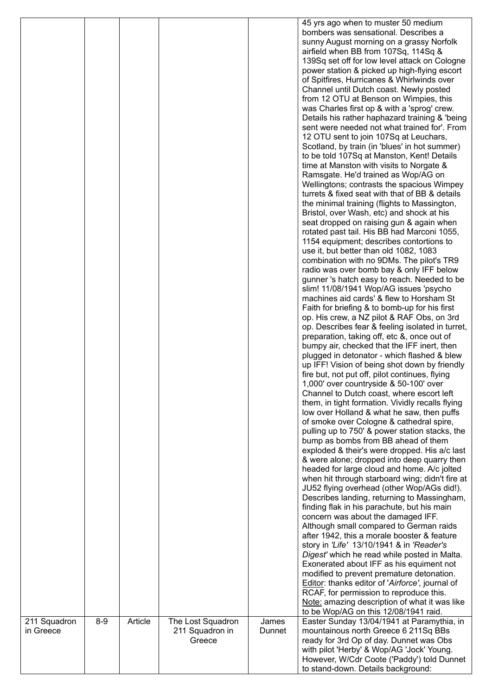|              |       |         |                           |        | 45 yrs ago when to muster 50 medium<br>bombers was sensational. Describes a<br>sunny August morning on a grassy Norfolk<br>airfield when BB from 107Sq, 114Sq &<br>139Sq set off for low level attack on Cologne<br>power station & picked up high-flying escort<br>of Spitfires, Hurricanes & Whirlwinds over<br>Channel until Dutch coast. Newly posted<br>from 12 OTU at Benson on Wimpies, this<br>was Charles first op & with a 'sprog' crew.<br>Details his rather haphazard training & 'being<br>sent were needed not what trained for'. From<br>12 OTU sent to join 107Sq at Leuchars,<br>Scotland, by train (in 'blues' in hot summer)<br>to be told 107Sq at Manston, Kent! Details<br>time at Manston with visits to Norgate &<br>Ramsgate. He'd trained as Wop/AG on<br>Wellingtons; contrasts the spacious Wimpey<br>turrets & fixed seat with that of BB & details<br>the minimal training (flights to Massington,<br>Bristol, over Wash, etc) and shock at his<br>seat dropped on raising gun & again when<br>rotated past tail. His BB had Marconi 1055,<br>1154 equipment; describes contortions to<br>use it, but better than old 1082, 1083<br>combination with no 9DMs. The pilot's TR9<br>radio was over bomb bay & only IFF below<br>gunner 's hatch easy to reach. Needed to be<br>slim! 11/08/1941 Wop/AG issues 'psycho<br>machines aid cards' & flew to Horsham St<br>Faith for briefing & to bomb-up for his first<br>op. His crew, a NZ pilot & RAF Obs, on 3rd<br>op. Describes fear & feeling isolated in turret,<br>preparation, taking off, etc &, once out of<br>bumpy air, checked that the IFF inert, then<br>plugged in detonator - which flashed & blew<br>up IFF! Vision of being shot down by friendly<br>fire but, not put off, pilot continues, flying<br>1,000' over countryside & 50-100' over<br>Channel to Dutch coast, where escort left<br>them, in tight formation. Vividly recalls flying<br>low over Holland & what he saw, then puffs<br>of smoke over Cologne & cathedral spire,<br>pulling up to 750' & power station stacks, the<br>bump as bombs from BB ahead of them<br>exploded & their's were dropped. His a/c last<br>& were alone; dropped into deep quarry then<br>headed for large cloud and home. A/c jolted<br>when hit through starboard wing; didn't fire at<br>JU52 flying overhead (other Wop/AGs did!).<br>Describes landing, returning to Massingham,<br>finding flak in his parachute, but his main<br>concern was about the damaged IFF.<br>Although small compared to German raids<br>after 1942, this a morale booster & feature<br>story in 'Life' 13/10/1941 & in 'Reader's<br>Digest' which he read while posted in Malta.<br>Exonerated about IFF as his equiment not<br>modified to prevent premature detonation.<br>Editor: thanks editor of 'Airforce', journal of<br>RCAF, for permission to reproduce this. |
|--------------|-------|---------|---------------------------|--------|-------------------------------------------------------------------------------------------------------------------------------------------------------------------------------------------------------------------------------------------------------------------------------------------------------------------------------------------------------------------------------------------------------------------------------------------------------------------------------------------------------------------------------------------------------------------------------------------------------------------------------------------------------------------------------------------------------------------------------------------------------------------------------------------------------------------------------------------------------------------------------------------------------------------------------------------------------------------------------------------------------------------------------------------------------------------------------------------------------------------------------------------------------------------------------------------------------------------------------------------------------------------------------------------------------------------------------------------------------------------------------------------------------------------------------------------------------------------------------------------------------------------------------------------------------------------------------------------------------------------------------------------------------------------------------------------------------------------------------------------------------------------------------------------------------------------------------------------------------------------------------------------------------------------------------------------------------------------------------------------------------------------------------------------------------------------------------------------------------------------------------------------------------------------------------------------------------------------------------------------------------------------------------------------------------------------------------------------------------------------------------------------------------------------------------------------------------------------------------------------------------------------------------------------------------------------------------------------------------------------------------------------------------------------------------------------------------------------------------------------------------------------------------------------------------------------------------------------------------------------------------------------------|
| 211 Squadron | $8-9$ | Article | The Lost Squadron         | James  | Note: amazing description of what it was like<br>to be Wop/AG on this 12/08/1941 raid.<br>Easter Sunday 13/04/1941 at Paramythia, in                                                                                                                                                                                                                                                                                                                                                                                                                                                                                                                                                                                                                                                                                                                                                                                                                                                                                                                                                                                                                                                                                                                                                                                                                                                                                                                                                                                                                                                                                                                                                                                                                                                                                                                                                                                                                                                                                                                                                                                                                                                                                                                                                                                                                                                                                                                                                                                                                                                                                                                                                                                                                                                                                                                                                            |
| in Greece    |       |         | 211 Squadron in<br>Greece | Dunnet | mountainous north Greece 6 211Sq BBs<br>ready for 3rd Op of day. Dunnet was Obs<br>with pilot 'Herby' & Wop/AG 'Jock' Young.<br>However, W/Cdr Coote ('Paddy') told Dunnet<br>to stand-down. Details background:                                                                                                                                                                                                                                                                                                                                                                                                                                                                                                                                                                                                                                                                                                                                                                                                                                                                                                                                                                                                                                                                                                                                                                                                                                                                                                                                                                                                                                                                                                                                                                                                                                                                                                                                                                                                                                                                                                                                                                                                                                                                                                                                                                                                                                                                                                                                                                                                                                                                                                                                                                                                                                                                                |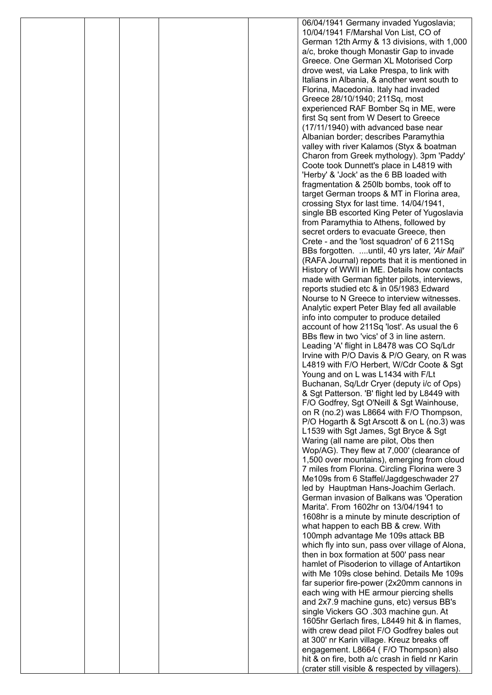|  |  | 06/04/1941 Germany invaded Yugoslavia;                                                    |
|--|--|-------------------------------------------------------------------------------------------|
|  |  | 10/04/1941 F/Marshal Von List, CO of                                                      |
|  |  | German 12th Army & 13 divisions, with 1,000                                               |
|  |  | a/c, broke though Monastir Gap to invade                                                  |
|  |  | Greece. One German XL Motorised Corp                                                      |
|  |  | drove west, via Lake Prespa, to link with<br>Italians in Albania, & another went south to |
|  |  | Florina, Macedonia. Italy had invaded                                                     |
|  |  | Greece 28/10/1940; 211Sq, most                                                            |
|  |  | experienced RAF Bomber Sq in ME, were                                                     |
|  |  | first Sq sent from W Desert to Greece                                                     |
|  |  | (17/11/1940) with advanced base near                                                      |
|  |  | Albanian border; describes Paramythia                                                     |
|  |  | valley with river Kalamos (Styx & boatman                                                 |
|  |  | Charon from Greek mythology). 3pm 'Paddy'                                                 |
|  |  | Coote took Dunnett's place in L4819 with                                                  |
|  |  | 'Herby' & 'Jock' as the 6 BB loaded with                                                  |
|  |  | fragmentation & 250lb bombs, took off to                                                  |
|  |  | target German troops & MT in Florina area,<br>crossing Styx for last time. 14/04/1941,    |
|  |  | single BB escorted King Peter of Yugoslavia                                               |
|  |  | from Paramythia to Athens, followed by                                                    |
|  |  | secret orders to evacuate Greece, then                                                    |
|  |  | Crete - and the 'lost squadron' of 6 211Sq                                                |
|  |  | BBs forgotten. until, 40 yrs later, 'Air Mail'                                            |
|  |  | (RAFA Journal) reports that it is mentioned in                                            |
|  |  | History of WWII in ME. Details how contacts                                               |
|  |  | made with German fighter pilots, interviews,                                              |
|  |  | reports studied etc & in 05/1983 Edward                                                   |
|  |  | Nourse to N Greece to interview witnesses.                                                |
|  |  | Analytic expert Peter Blay fed all available                                              |
|  |  | info into computer to produce detailed<br>account of how 211Sq 'lost'. As usual the 6     |
|  |  | BBs flew in two 'vics' of 3 in line astern.                                               |
|  |  | Leading 'A' flight in L8478 was CO Sq/Ldr                                                 |
|  |  | Irvine with P/O Davis & P/O Geary, on R was                                               |
|  |  | L4819 with F/O Herbert, W/Cdr Coote & Sgt                                                 |
|  |  | Young and on L was L1434 with F/Lt                                                        |
|  |  | Buchanan, Sq/Ldr Cryer (deputy i/c of Ops)                                                |
|  |  | & Sgt Patterson. 'B' flight led by L8449 with                                             |
|  |  | F/O Godfrey, Sgt O'Neill & Sgt Wainhouse,                                                 |
|  |  | on R (no.2) was L8664 with F/O Thompson,                                                  |
|  |  | P/O Hogarth & Sgt Arscott & on L (no.3) was                                               |
|  |  | L1539 with Sgt James, Sgt Bryce & Sgt<br>Waring (all name are pilot, Obs then             |
|  |  | Wop/AG). They flew at 7,000' (clearance of                                                |
|  |  | 1,500 over mountains), emerging from cloud                                                |
|  |  | 7 miles from Florina. Circling Florina were 3                                             |
|  |  | Me109s from 6 Staffel/Jagdgeschwader 27                                                   |
|  |  | led by Hauptman Hans-Joachim Gerlach.                                                     |
|  |  | German invasion of Balkans was 'Operation                                                 |
|  |  | Marita'. From 1602hr on 13/04/1941 to                                                     |
|  |  | 1608hr is a minute by minute description of                                               |
|  |  | what happen to each BB & crew. With                                                       |
|  |  | 100mph advantage Me 109s attack BB<br>which fly into sun, pass over village of Alona,     |
|  |  | then in box formation at 500' pass near                                                   |
|  |  | hamlet of Pisoderion to village of Antartikon                                             |
|  |  | with Me 109s close behind. Details Me 109s                                                |
|  |  | far superior fire-power (2x20mm cannons in                                                |
|  |  | each wing with HE armour piercing shells                                                  |
|  |  | and 2x7.9 machine guns, etc) versus BB's                                                  |
|  |  | single Vickers GO .303 machine gun. At                                                    |
|  |  | 1605hr Gerlach fires, L8449 hit & in flames,                                              |
|  |  | with crew dead pilot F/O Godfrey bales out                                                |
|  |  | at 300' nr Karin village. Kreuz breaks off                                                |
|  |  | engagement. L8664 (F/O Thompson) also<br>hit & on fire, both a/c crash in field nr Karin  |
|  |  | (crater still visible & respected by villagers).                                          |
|  |  |                                                                                           |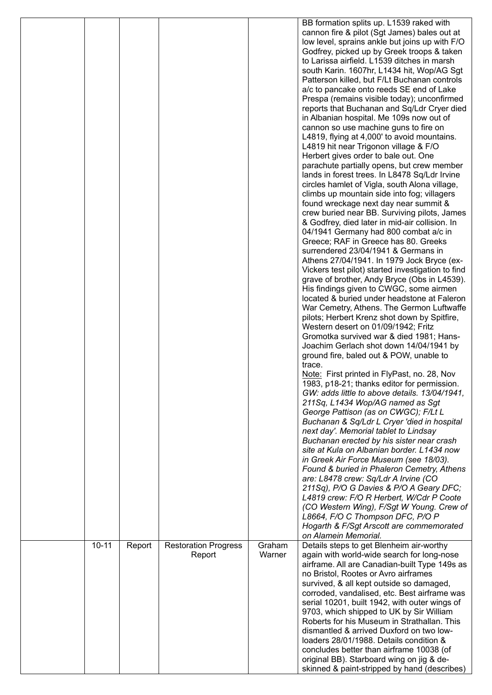|           |        |                             |        | BB formation splits up. L1539 raked with                                                  |
|-----------|--------|-----------------------------|--------|-------------------------------------------------------------------------------------------|
|           |        |                             |        | cannon fire & pilot (Sgt James) bales out at                                              |
|           |        |                             |        | low level, sprains ankle but joins up with F/O                                            |
|           |        |                             |        | Godfrey, picked up by Greek troops & taken                                                |
|           |        |                             |        | to Larissa airfield. L1539 ditches in marsh                                               |
|           |        |                             |        | south Karin. 1607hr, L1434 hit, Wop/AG Sgt                                                |
|           |        |                             |        | Patterson killed, but F/Lt Buchanan controls                                              |
|           |        |                             |        |                                                                                           |
|           |        |                             |        | a/c to pancake onto reeds SE end of Lake                                                  |
|           |        |                             |        | Prespa (remains visible today); unconfirmed                                               |
|           |        |                             |        | reports that Buchanan and Sq/Ldr Cryer died                                               |
|           |        |                             |        | in Albanian hospital. Me 109s now out of                                                  |
|           |        |                             |        | cannon so use machine guns to fire on                                                     |
|           |        |                             |        | L4819, flying at 4,000' to avoid mountains.                                               |
|           |        |                             |        | L4819 hit near Trigonon village & F/O                                                     |
|           |        |                             |        | Herbert gives order to bale out. One                                                      |
|           |        |                             |        |                                                                                           |
|           |        |                             |        | parachute partially opens, but crew member                                                |
|           |        |                             |        | lands in forest trees. In L8478 Sq/Ldr Irvine                                             |
|           |        |                             |        | circles hamlet of Vigla, south Alona village,                                             |
|           |        |                             |        | climbs up mountain side into fog; villagers                                               |
|           |        |                             |        | found wreckage next day near summit &                                                     |
|           |        |                             |        | crew buried near BB. Surviving pilots, James                                              |
|           |        |                             |        | & Godfrey, died later in mid-air collision. In                                            |
|           |        |                             |        | 04/1941 Germany had 800 combat a/c in                                                     |
|           |        |                             |        | Greece; RAF in Greece has 80. Greeks                                                      |
|           |        |                             |        |                                                                                           |
|           |        |                             |        | surrendered 23/04/1941 & Germans in                                                       |
|           |        |                             |        | Athens 27/04/1941. In 1979 Jock Bryce (ex-                                                |
|           |        |                             |        | Vickers test pilot) started investigation to find                                         |
|           |        |                             |        | grave of brother, Andy Bryce (Obs in L4539).                                              |
|           |        |                             |        | His findings given to CWGC, some airmen                                                   |
|           |        |                             |        | located & buried under headstone at Faleron                                               |
|           |        |                             |        | War Cemetry, Athens. The Germon Luftwaffe                                                 |
|           |        |                             |        | pilots; Herbert Krenz shot down by Spitfire,                                              |
|           |        |                             |        | Western desert on 01/09/1942; Fritz                                                       |
|           |        |                             |        |                                                                                           |
|           |        |                             |        | Gromotka survived war & died 1981; Hans-                                                  |
|           |        |                             |        | Joachim Gerlach shot down 14/04/1941 by                                                   |
|           |        |                             |        | ground fire, baled out & POW, unable to                                                   |
|           |        |                             |        | trace.                                                                                    |
|           |        |                             |        | Note: First printed in FlyPast, no. 28, Nov                                               |
|           |        |                             |        | 1983, p18-21; thanks editor for permission.                                               |
|           |        |                             |        | GW: adds little to above details. 13/04/1941,                                             |
|           |        |                             |        | 211Sq, L1434 Wop/AG named as Sgt                                                          |
|           |        |                             |        |                                                                                           |
|           |        |                             |        | George Pattison (as on CWGC); F/Lt L                                                      |
|           |        |                             |        | Buchanan & Sq/Ldr L Cryer 'died in hospital                                               |
|           |        |                             |        | next day'. Memorial tablet to Lindsay                                                     |
|           |        |                             |        | Buchanan erected by his sister near crash                                                 |
|           |        |                             |        | site at Kula on Albanian border. L1434 now                                                |
|           |        |                             |        | in Greek Air Force Museum (see 18/03).                                                    |
|           |        |                             |        | Found & buried in Phaleron Cemetry, Athens                                                |
|           |        |                             |        |                                                                                           |
|           |        |                             |        | are: L8478 crew: Sq/Ldr A Irvine (CO                                                      |
|           |        |                             |        | 211Sq), P/O G Davies & P/O A Geary DFC;                                                   |
|           |        |                             |        | L4819 crew: F/O R Herbert, W/Cdr P Coote                                                  |
|           |        |                             |        | (CO Western Wing), F/Sgt W Young. Crew of                                                 |
|           |        |                             |        | L8664, F/O C Thompson DFC, P/O P                                                          |
|           |        |                             |        | Hogarth & F/Sgt Arscott are commemorated                                                  |
|           |        |                             |        | on Alamein Memorial.                                                                      |
| $10 - 11$ | Report | <b>Restoration Progress</b> | Graham | Details steps to get Blenheim air-worthy                                                  |
|           |        | Report                      | Warner | again with world-wide search for long-nose                                                |
|           |        |                             |        | airframe. All are Canadian-built Type 149s as                                             |
|           |        |                             |        |                                                                                           |
|           |        |                             |        | no Bristol, Rootes or Avro airframes                                                      |
|           |        |                             |        | survived, & all kept outside so damaged,                                                  |
|           |        |                             |        | corroded, vandalised, etc. Best airframe was                                              |
|           |        |                             |        |                                                                                           |
|           |        |                             |        | serial 10201, built 1942, with outer wings of                                             |
|           |        |                             |        | 9703, which shipped to UK by Sir William                                                  |
|           |        |                             |        | Roberts for his Museum in Strathallan. This                                               |
|           |        |                             |        |                                                                                           |
|           |        |                             |        | dismantled & arrived Duxford on two low-                                                  |
|           |        |                             |        | loaders 28/01/1988. Details condition &                                                   |
|           |        |                             |        | concludes better than airframe 10038 (of                                                  |
|           |        |                             |        | original BB). Starboard wing on jig & de-<br>skinned & paint-stripped by hand (describes) |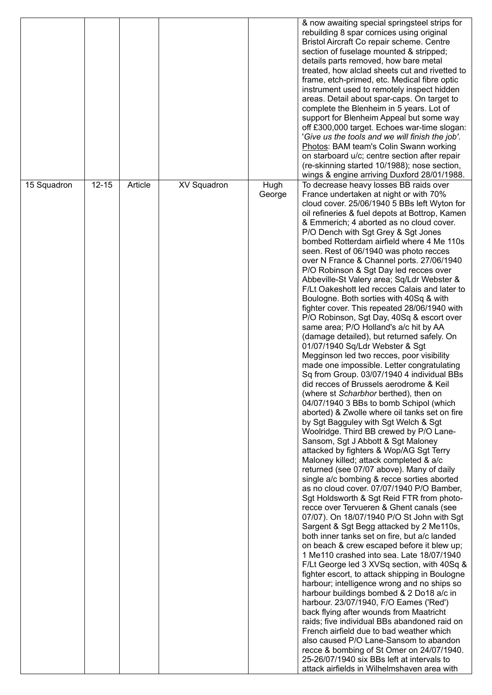|             |           |         |                    |                | & now awaiting special springsteel strips for<br>rebuilding 8 spar cornices using original<br>Bristol Aircraft Co repair scheme. Centre<br>section of fuselage mounted & stripped;<br>details parts removed, how bare metal<br>treated, how alclad sheets cut and rivetted to<br>frame, etch-primed, etc. Medical fibre optic<br>instrument used to remotely inspect hidden<br>areas. Detail about spar-caps. On target to<br>complete the Blenheim in 5 years. Lot of<br>support for Blenheim Appeal but some way<br>off £300,000 target. Echoes war-time slogan:<br>'Give us the tools and we will finish the job'.<br>Photos: BAM team's Colin Swann working<br>on starboard u/c; centre section after repair                                                                                                                                                                                                                                                                                                                                                                                                                                                                                                                                                                                                                                                                                                                                                                                                                                                                                                                                                                                                                                                                                                                                                                                                                                                                                                                                                                                                                                                                                                                                                                                                                                                                                    |
|-------------|-----------|---------|--------------------|----------------|-----------------------------------------------------------------------------------------------------------------------------------------------------------------------------------------------------------------------------------------------------------------------------------------------------------------------------------------------------------------------------------------------------------------------------------------------------------------------------------------------------------------------------------------------------------------------------------------------------------------------------------------------------------------------------------------------------------------------------------------------------------------------------------------------------------------------------------------------------------------------------------------------------------------------------------------------------------------------------------------------------------------------------------------------------------------------------------------------------------------------------------------------------------------------------------------------------------------------------------------------------------------------------------------------------------------------------------------------------------------------------------------------------------------------------------------------------------------------------------------------------------------------------------------------------------------------------------------------------------------------------------------------------------------------------------------------------------------------------------------------------------------------------------------------------------------------------------------------------------------------------------------------------------------------------------------------------------------------------------------------------------------------------------------------------------------------------------------------------------------------------------------------------------------------------------------------------------------------------------------------------------------------------------------------------------------------------------------------------------------------------------------------------|
|             |           |         |                    |                | (re-skinning started 10/1988); nose section,<br>wings & engine arriving Duxford 28/01/1988.                                                                                                                                                                                                                                                                                                                                                                                                                                                                                                                                                                                                                                                                                                                                                                                                                                                                                                                                                                                                                                                                                                                                                                                                                                                                                                                                                                                                                                                                                                                                                                                                                                                                                                                                                                                                                                                                                                                                                                                                                                                                                                                                                                                                                                                                                                         |
| 15 Squadron | $12 - 15$ | Article | <b>XV Squadron</b> | Hugh<br>George | To decrease heavy losses BB raids over<br>France undertaken at night or with 70%<br>cloud cover. 25/06/1940 5 BBs left Wyton for<br>oil refineries & fuel depots at Bottrop, Kamen<br>& Emmerich; 4 aborted as no cloud cover.<br>P/O Dench with Sgt Grey & Sgt Jones<br>bombed Rotterdam airfield where 4 Me 110s<br>seen. Rest of 06/1940 was photo recces<br>over N France & Channel ports. 27/06/1940<br>P/O Robinson & Sgt Day led recces over<br>Abbeville-St Valery area; Sq/Ldr Webster &<br>F/Lt Oakeshott led recces Calais and later to<br>Boulogne. Both sorties with 40Sq & with<br>fighter cover. This repeated 28/06/1940 with<br>P/O Robinson, Sgt Day, 40Sq & escort over<br>same area; P/O Holland's a/c hit by AA<br>(damage detailed), but returned safely. On<br>01/07/1940 Sq/Ldr Webster & Sgt<br>Megginson led two recces, poor visibility<br>made one impossible. Letter congratulating<br>Sq from Group. 03/07/1940 4 individual BBs<br>did recces of Brussels aerodrome & Keil<br>(where st Scharbhor berthed), then on<br>04/07/1940 3 BBs to bomb Schipol (which<br>aborted) & Zwolle where oil tanks set on fire<br>by Sgt Bagguley with Sgt Welch & Sgt<br>Woolridge. Third BB crewed by P/O Lane-<br>Sansom, Sgt J Abbott & Sgt Maloney<br>attacked by fighters & Wop/AG Sgt Terry<br>Maloney killed; attack completed & a/c<br>returned (see 07/07 above). Many of daily<br>single a/c bombing & recce sorties aborted<br>as no cloud cover. 07/07/1940 P/O Bamber,<br>Sgt Holdsworth & Sgt Reid FTR from photo-<br>recce over Tervueren & Ghent canals (see<br>07/07). On 18/07/1940 P/O St John with Sgt<br>Sargent & Sgt Begg attacked by 2 Me110s,<br>both inner tanks set on fire, but a/c landed<br>on beach & crew escaped before it blew up;<br>1 Me110 crashed into sea. Late 18/07/1940<br>F/Lt George led 3 XVSq section, with 40Sq &<br>fighter escort, to attack shipping in Boulogne<br>harbour; intelligence wrong and no ships so<br>harbour buildings bombed & 2 Do18 a/c in<br>harbour. 23/07/1940, F/O Eames ('Red')<br>back flying after wounds from Maatricht<br>raids; five individual BBs abandoned raid on<br>French airfield due to bad weather which<br>also caused P/O Lane-Sansom to abandon<br>recce & bombing of St Omer on 24/07/1940.<br>25-26/07/1940 six BBs left at intervals to<br>attack airfields in Wilhelmshaven area with |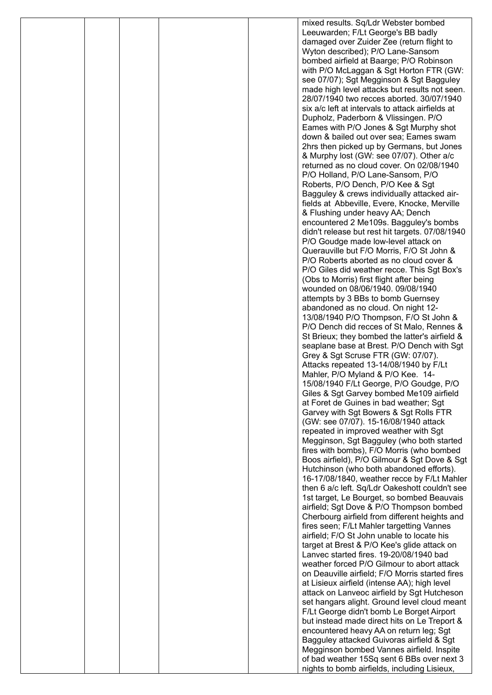|  |  | mixed results. Sq/Ldr Webster bombed                                                       |
|--|--|--------------------------------------------------------------------------------------------|
|  |  | Leeuwarden; F/Lt George's BB badly                                                         |
|  |  | damaged over Zuider Zee (return flight to                                                  |
|  |  | Wyton described); P/O Lane-Sansom                                                          |
|  |  | bombed airfield at Baarge; P/O Robinson                                                    |
|  |  | with P/O McLaggan & Sgt Horton FTR (GW:                                                    |
|  |  | see 07/07); Sgt Megginson & Sgt Bagguley<br>made high level attacks but results not seen.  |
|  |  | 28/07/1940 two recces aborted. 30/07/1940                                                  |
|  |  | six a/c left at intervals to attack airfields at                                           |
|  |  | Dupholz, Paderborn & Vlissingen. P/O                                                       |
|  |  | Eames with P/O Jones & Sgt Murphy shot                                                     |
|  |  | down & bailed out over sea; Eames swam                                                     |
|  |  | 2hrs then picked up by Germans, but Jones                                                  |
|  |  | & Murphy lost (GW: see 07/07). Other a/c                                                   |
|  |  | returned as no cloud cover. On 02/08/1940                                                  |
|  |  | P/O Holland, P/O Lane-Sansom, P/O                                                          |
|  |  | Roberts, P/O Dench, P/O Kee & Sgt<br>Bagguley & crews individually attacked air-           |
|  |  | fields at Abbeville, Evere, Knocke, Merville                                               |
|  |  | & Flushing under heavy AA; Dench                                                           |
|  |  | encountered 2 Me109s. Bagguley's bombs                                                     |
|  |  | didn't release but rest hit targets. 07/08/1940                                            |
|  |  | P/O Goudge made low-level attack on                                                        |
|  |  | Querauville but F/O Morris, F/O St John &                                                  |
|  |  | P/O Roberts aborted as no cloud cover &                                                    |
|  |  | P/O Giles did weather recce. This Sgt Box's                                                |
|  |  | (Obs to Morris) first flight after being<br>wounded on 08/06/1940. 09/08/1940              |
|  |  | attempts by 3 BBs to bomb Guernsey                                                         |
|  |  | abandoned as no cloud. On night 12-                                                        |
|  |  | 13/08/1940 P/O Thompson, F/O St John &                                                     |
|  |  | P/O Dench did recces of St Malo, Rennes &                                                  |
|  |  | St Brieux; they bombed the latter's airfield &                                             |
|  |  | seaplane base at Brest. P/O Dench with Sgt                                                 |
|  |  | Grey & Sgt Scruse FTR (GW: 07/07).                                                         |
|  |  | Attacks repeated 13-14/08/1940 by F/Lt                                                     |
|  |  | Mahler, P/O Myland & P/O Kee. 14-                                                          |
|  |  | 15/08/1940 F/Lt George, P/O Goudge, P/O<br>Giles & Sgt Garvey bombed Me109 airfield        |
|  |  | at Foret de Guines in bad weather; Sgt                                                     |
|  |  | Garvey with Sgt Bowers & Sgt Rolls FTR                                                     |
|  |  | (GW: see 07/07). 15-16/08/1940 attack                                                      |
|  |  | repeated in improved weather with Sgt                                                      |
|  |  | Megginson, Sgt Bagguley (who both started                                                  |
|  |  | fires with bombs), F/O Morris (who bombed                                                  |
|  |  | Boos airfield), P/O Gilmour & Sgt Dove & Sgt                                               |
|  |  | Hutchinson (who both abandoned efforts).<br>16-17/08/1840, weather recce by F/Lt Mahler    |
|  |  | then 6 a/c left. Sq/Ldr Oakeshott couldn't see                                             |
|  |  | 1st target, Le Bourget, so bombed Beauvais                                                 |
|  |  | airfield; Sgt Dove & P/O Thompson bombed                                                   |
|  |  | Cherbourg airfield from different heights and                                              |
|  |  | fires seen; F/Lt Mahler targetting Vannes                                                  |
|  |  | airfield; F/O St John unable to locate his                                                 |
|  |  | target at Brest & P/O Kee's glide attack on                                                |
|  |  | Lanvec started fires. 19-20/08/1940 bad<br>weather forced P/O Gilmour to abort attack      |
|  |  | on Deauville airfield; F/O Morris started fires                                            |
|  |  | at Lisieux airfield (intense AA); high level                                               |
|  |  | attack on Lanveoc airfield by Sgt Hutcheson                                                |
|  |  | set hangars alight. Ground level cloud meant                                               |
|  |  | F/Lt George didn't bomb Le Borget Airport                                                  |
|  |  | but instead made direct hits on Le Treport &                                               |
|  |  | encountered heavy AA on return leg; Sgt                                                    |
|  |  | Bagguley attacked Guivoras airfield & Sgt                                                  |
|  |  | Megginson bombed Vannes airfield. Inspite                                                  |
|  |  | of bad weather 15Sq sent 6 BBs over next 3<br>nights to bomb airfields, including Lisieux, |
|  |  |                                                                                            |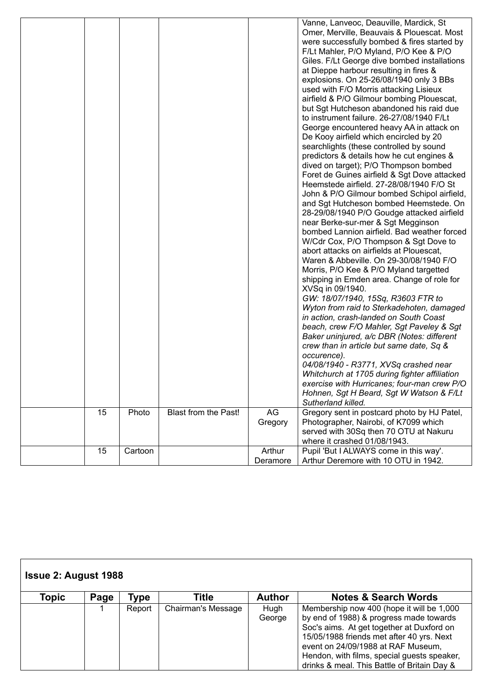|    |         |                      |          | Vanne, Lanveoc, Deauville, Mardick, St<br>Omer, Merville, Beauvais & Plouescat. Most<br>were successfully bombed & fires started by<br>F/Lt Mahler, P/O Myland, P/O Kee & P/O<br>Giles. F/Lt George dive bombed installations<br>at Dieppe harbour resulting in fires &<br>explosions. On 25-26/08/1940 only 3 BBs<br>used with F/O Morris attacking Lisieux<br>airfield & P/O Gilmour bombing Plouescat,<br>but Sgt Hutcheson abandoned his raid due<br>to instrument failure. 26-27/08/1940 F/Lt<br>George encountered heavy AA in attack on<br>De Kooy airfield which encircled by 20<br>searchlights (these controlled by sound<br>predictors & details how he cut engines &<br>dived on target); P/O Thompson bombed<br>Foret de Guines airfield & Sgt Dove attacked<br>Heemstede airfield. 27-28/08/1940 F/O St<br>John & P/O Gilmour bombed Schipol airfield,<br>and Sgt Hutcheson bombed Heemstede. On<br>28-29/08/1940 P/O Goudge attacked airfield<br>near Berke-sur-mer & Sgt Megginson<br>bombed Lannion airfield. Bad weather forced<br>W/Cdr Cox, P/O Thompson & Sgt Dove to<br>abort attacks on airfields at Plouescat,<br>Waren & Abbeville. On 29-30/08/1940 F/O<br>Morris, P/O Kee & P/O Myland targetted<br>shipping in Emden area. Change of role for<br>XVSq in 09/1940.<br>GW: 18/07/1940, 15Sq, R3603 FTR to<br>Wyton from raid to Sterkadehoten, damaged<br>in action, crash-landed on South Coast<br>beach, crew F/O Mahler, Sgt Paveley & Sgt<br>Baker uninjured, a/c DBR (Notes: different<br>crew than in article but same date, Sq &<br>occurence).<br>04/08/1940 - R3771, XVSq crashed near<br>Whitchurch at 1705 during fighter affiliation<br>exercise with Hurricanes; four-man crew P/O<br>Hohnen, Sgt H Beard, Sgt W Watson & F/Lt<br>Sutherland killed. |
|----|---------|----------------------|----------|---------------------------------------------------------------------------------------------------------------------------------------------------------------------------------------------------------------------------------------------------------------------------------------------------------------------------------------------------------------------------------------------------------------------------------------------------------------------------------------------------------------------------------------------------------------------------------------------------------------------------------------------------------------------------------------------------------------------------------------------------------------------------------------------------------------------------------------------------------------------------------------------------------------------------------------------------------------------------------------------------------------------------------------------------------------------------------------------------------------------------------------------------------------------------------------------------------------------------------------------------------------------------------------------------------------------------------------------------------------------------------------------------------------------------------------------------------------------------------------------------------------------------------------------------------------------------------------------------------------------------------------------------------------------------------------------------------------------------------------------------------------------------------------------|
| 15 | Photo   | Blast from the Past! | AG       | Gregory sent in postcard photo by HJ Patel,                                                                                                                                                                                                                                                                                                                                                                                                                                                                                                                                                                                                                                                                                                                                                                                                                                                                                                                                                                                                                                                                                                                                                                                                                                                                                                                                                                                                                                                                                                                                                                                                                                                                                                                                                 |
|    |         |                      | Gregory  | Photographer, Nairobi, of K7099 which<br>served with 30Sq then 70 OTU at Nakuru<br>where it crashed 01/08/1943.                                                                                                                                                                                                                                                                                                                                                                                                                                                                                                                                                                                                                                                                                                                                                                                                                                                                                                                                                                                                                                                                                                                                                                                                                                                                                                                                                                                                                                                                                                                                                                                                                                                                             |
| 15 | Cartoon |                      | Arthur   | Pupil 'But I ALWAYS come in this way'.                                                                                                                                                                                                                                                                                                                                                                                                                                                                                                                                                                                                                                                                                                                                                                                                                                                                                                                                                                                                                                                                                                                                                                                                                                                                                                                                                                                                                                                                                                                                                                                                                                                                                                                                                      |
|    |         |                      | Deramore | Arthur Deremore with 10 OTU in 1942.                                                                                                                                                                                                                                                                                                                                                                                                                                                                                                                                                                                                                                                                                                                                                                                                                                                                                                                                                                                                                                                                                                                                                                                                                                                                                                                                                                                                                                                                                                                                                                                                                                                                                                                                                        |

|       | <b>Issue 2: August 1988</b> |        |                           |                |                                                                                                                                                                                                                                                                                                                    |  |  |  |  |
|-------|-----------------------------|--------|---------------------------|----------------|--------------------------------------------------------------------------------------------------------------------------------------------------------------------------------------------------------------------------------------------------------------------------------------------------------------------|--|--|--|--|
| Topic | Page                        | Type   | Title                     | <b>Author</b>  | <b>Notes &amp; Search Words</b>                                                                                                                                                                                                                                                                                    |  |  |  |  |
|       |                             | Report | <b>Chairman's Message</b> | Hugh<br>George | Membership now 400 (hope it will be 1,000<br>by end of 1988) & progress made towards<br>Soc's aims. At get together at Duxford on<br>15/05/1988 friends met after 40 yrs. Next<br>event on 24/09/1988 at RAF Museum,<br>Hendon, with films, special guests speaker,<br>drinks & meal. This Battle of Britain Day & |  |  |  |  |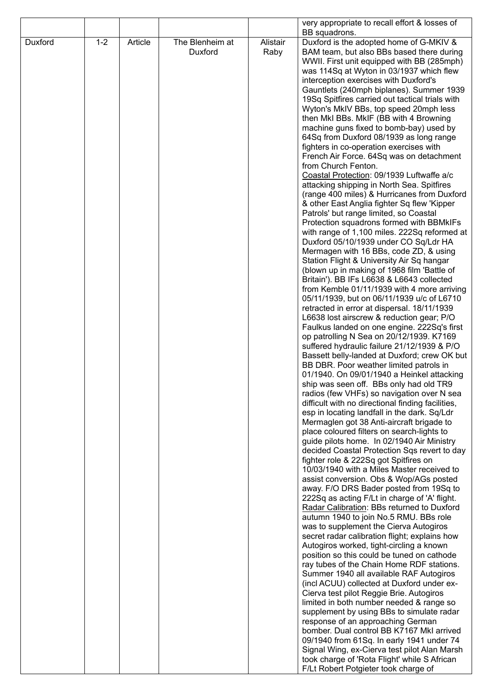|         |         |         |                            |                  | very appropriate to recall effort & losses of                                                         |
|---------|---------|---------|----------------------------|------------------|-------------------------------------------------------------------------------------------------------|
| Duxford | $1 - 2$ | Article | The Blenheim at<br>Duxford | Alistair<br>Raby | BB squadrons.<br>Duxford is the adopted home of G-MKIV &<br>BAM team, but also BBs based there during |
|         |         |         |                            |                  | WWII. First unit equipped with BB (285mph)<br>was 114Sq at Wyton in 03/1937 which flew                |
|         |         |         |                            |                  | interception exercises with Duxford's<br>Gauntlets (240mph biplanes). Summer 1939                     |
|         |         |         |                            |                  | 19Sq Spitfires carried out tactical trials with<br>Wyton's MkIV BBs, top speed 20mph less             |
|         |         |         |                            |                  | then MkI BBs. MkIF (BB with 4 Browning<br>machine guns fixed to bomb-bay) used by                     |
|         |         |         |                            |                  | 64Sq from Duxford 08/1939 as long range<br>fighters in co-operation exercises with                    |
|         |         |         |                            |                  | French Air Force. 64Sq was on detachment<br>from Church Fenton.                                       |
|         |         |         |                            |                  | Coastal Protection: 09/1939 Luftwaffe a/c<br>attacking shipping in North Sea. Spitfires               |
|         |         |         |                            |                  | (range 400 miles) & Hurricanes from Duxford<br>& other East Anglia fighter Sq flew 'Kipper            |
|         |         |         |                            |                  | Patrols' but range limited, so Coastal<br>Protection squadrons formed with BBMkIFs                    |
|         |         |         |                            |                  | with range of 1,100 miles. 222Sq reformed at                                                          |
|         |         |         |                            |                  | Duxford 05/10/1939 under CO Sq/Ldr HA<br>Mermagen with 16 BBs, code ZD, & using                       |
|         |         |         |                            |                  | Station Flight & University Air Sq hangar<br>(blown up in making of 1968 film 'Battle of              |
|         |         |         |                            |                  | Britain'). BB IFs L6638 & L6643 collected<br>from Kemble 01/11/1939 with 4 more arriving              |
|         |         |         |                            |                  | 05/11/1939, but on 06/11/1939 u/c of L6710<br>retracted in error at dispersal. 18/11/1939             |
|         |         |         |                            |                  | L6638 lost airscrew & reduction gear; P/O<br>Faulkus landed on one engine. 222Sq's first              |
|         |         |         |                            |                  | op patrolling N Sea on 20/12/1939. K7169<br>suffered hydraulic failure 21/12/1939 & P/O               |
|         |         |         |                            |                  | Bassett belly-landed at Duxford; crew OK but<br>BB DBR. Poor weather limited patrols in               |
|         |         |         |                            |                  | 01/1940. On 09/01/1940 a Heinkel attacking<br>ship was seen off. BBs only had old TR9                 |
|         |         |         |                            |                  | radios (few VHFs) so navigation over N sea<br>difficult with no directional finding facilities,       |
|         |         |         |                            |                  | esp in locating landfall in the dark. Sq/Ldr                                                          |
|         |         |         |                            |                  | Mermaglen got 38 Anti-aircraft brigade to<br>place coloured filters on search-lights to               |
|         |         |         |                            |                  | guide pilots home. In 02/1940 Air Ministry<br>decided Coastal Protection Sqs revert to day            |
|         |         |         |                            |                  | fighter role & 222Sq got Spitfires on<br>10/03/1940 with a Miles Master received to                   |
|         |         |         |                            |                  | assist conversion. Obs & Wop/AGs posted<br>away. F/O DRS Bader posted from 19Sq to                    |
|         |         |         |                            |                  | 222Sq as acting F/Lt in charge of 'A' flight.<br>Radar Calibration: BBs returned to Duxford           |
|         |         |         |                            |                  | autumn 1940 to join No.5 RMU. BBs role<br>was to supplement the Cierva Autogiros                      |
|         |         |         |                            |                  | secret radar calibration flight; explains how<br>Autogiros worked, tight-circling a known             |
|         |         |         |                            |                  | position so this could be tuned on cathode                                                            |
|         |         |         |                            |                  | ray tubes of the Chain Home RDF stations.<br>Summer 1940 all available RAF Autogiros                  |
|         |         |         |                            |                  | (incl ACUU) collected at Duxford under ex-<br>Cierva test pilot Reggie Brie. Autogiros                |
|         |         |         |                            |                  | limited in both number needed & range so<br>supplement by using BBs to simulate radar                 |
|         |         |         |                            |                  | response of an approaching German<br>bomber. Dual control BB K7167 MkI arrived                        |
|         |         |         |                            |                  | 09/1940 from 61Sq. In early 1941 under 74<br>Signal Wing, ex-Cierva test pilot Alan Marsh             |
|         |         |         |                            |                  | took charge of 'Rota Flight' while S African<br>F/Lt Robert Potgieter took charge of                  |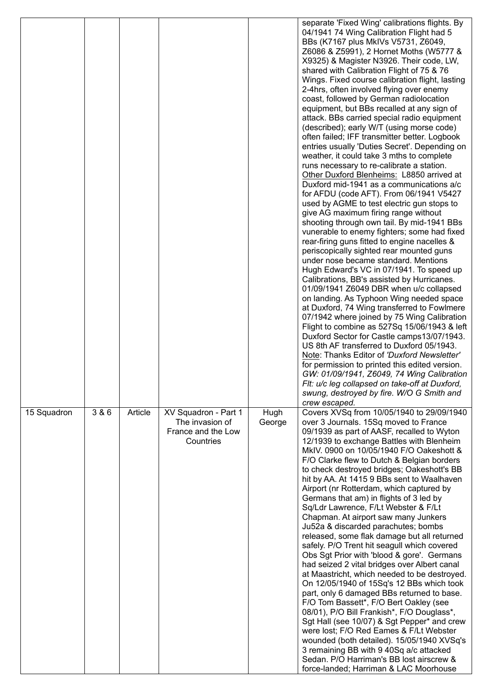|             |       |         |                                       |        | separate 'Fixed Wing' calibrations flights. By<br>04/1941 74 Wing Calibration Flight had 5     |
|-------------|-------|---------|---------------------------------------|--------|------------------------------------------------------------------------------------------------|
|             |       |         |                                       |        | BBs (K7167 plus MkIVs V5731, Z6049,<br>Z6086 & Z5991), 2 Hornet Moths (W5777 &                 |
|             |       |         |                                       |        | X9325) & Magister N3926. Their code, LW,<br>shared with Calibration Flight of 75 & 76          |
|             |       |         |                                       |        | Wings. Fixed course calibration flight, lasting                                                |
|             |       |         |                                       |        | 2-4hrs, often involved flying over enemy<br>coast, followed by German radiolocation            |
|             |       |         |                                       |        | equipment, but BBs recalled at any sign of                                                     |
|             |       |         |                                       |        | attack. BBs carried special radio equipment<br>(described); early W/T (using morse code)       |
|             |       |         |                                       |        | often failed; IFF transmitter better. Logbook<br>entries usually 'Duties Secret'. Depending on |
|             |       |         |                                       |        | weather, it could take 3 mths to complete                                                      |
|             |       |         |                                       |        | runs necessary to re-calibrate a station.<br>Other Duxford Blenheims: L8850 arrived at         |
|             |       |         |                                       |        | Duxford mid-1941 as a communications a/c                                                       |
|             |       |         |                                       |        | for AFDU (code AFT). From 06/1941 V5427<br>used by AGME to test electric gun stops to          |
|             |       |         |                                       |        | give AG maximum firing range without                                                           |
|             |       |         |                                       |        | shooting through own tail. By mid-1941 BBs<br>vunerable to enemy fighters; some had fixed      |
|             |       |         |                                       |        | rear-firing guns fitted to engine nacelles &<br>periscopically sighted rear mounted guns       |
|             |       |         |                                       |        | under nose became standard. Mentions                                                           |
|             |       |         |                                       |        | Hugh Edward's VC in 07/1941. To speed up<br>Calibrations, BB's assisted by Hurricanes.         |
|             |       |         |                                       |        | 01/09/1941 Z6049 DBR when u/c collapsed                                                        |
|             |       |         |                                       |        | on landing. As Typhoon Wing needed space<br>at Duxford, 74 Wing transferred to Fowlmere        |
|             |       |         |                                       |        | 07/1942 where joined by 75 Wing Calibration<br>Flight to combine as 527Sq 15/06/1943 & left    |
|             |       |         |                                       |        | Duxford Sector for Castle camps13/07/1943.                                                     |
|             |       |         |                                       |        | US 8th AF transferred to Duxford 05/1943.<br>Note: Thanks Editor of 'Duxford Newsletter'       |
|             |       |         |                                       |        | for permission to printed this edited version.<br>GW: 01/09/1941, Z6049, 74 Wing Calibration   |
|             |       |         |                                       |        | Fit: u/c leg collapsed on take-off at Duxford,                                                 |
|             |       |         |                                       |        | swung, destroyed by fire. W/O G Smith and<br>crew escaped.                                     |
| 15 Squadron | 3 & 6 | Article | XV Squadron - Part 1                  | Hugh   | Covers XVSq from 10/05/1940 to 29/09/1940                                                      |
|             |       |         | The invasion of<br>France and the Low | George | over 3 Journals. 15Sq moved to France<br>09/1939 as part of AASF, recalled to Wyton            |
|             |       |         | Countries                             |        | 12/1939 to exchange Battles with Blenheim<br>MkIV. 0900 on 10/05/1940 F/O Oakeshott &          |
|             |       |         |                                       |        | F/O Clarke flew to Dutch & Belgian borders                                                     |
|             |       |         |                                       |        | to check destroyed bridges; Oakeshott's BB<br>hit by AA. At 1415 9 BBs sent to Waalhaven       |
|             |       |         |                                       |        | Airport (nr Rotterdam, which captured by                                                       |
|             |       |         |                                       |        | Germans that am) in flights of 3 led by<br>Sq/Ldr Lawrence, F/Lt Webster & F/Lt                |
|             |       |         |                                       |        | Chapman. At airport saw many Junkers<br>Ju52a & discarded parachutes; bombs                    |
|             |       |         |                                       |        | released, some flak damage but all returned                                                    |
|             |       |         |                                       |        | safely. P/O Trent hit seagull which covered<br>Obs Sgt Prior with 'blood & gore'. Germans      |
|             |       |         |                                       |        | had seized 2 vital bridges over Albert canal                                                   |
|             |       |         |                                       |        | at Maastricht, which needed to be destroyed.<br>On 12/05/1940 of 15Sq's 12 BBs which took      |
|             |       |         |                                       |        | part, only 6 damaged BBs returned to base.<br>F/O Tom Bassett*, F/O Bert Oakley (see           |
|             |       |         |                                       |        | 08/01), P/O Bill Frankish*, F/O Douglass*,                                                     |
|             |       |         |                                       |        | Sgt Hall (see 10/07) & Sgt Pepper* and crew<br>were lost; F/O Red Eames & F/Lt Webster         |
|             |       |         |                                       |        | wounded (both detailed). 15/05/1940 XVSq's                                                     |
|             |       |         |                                       |        | 3 remaining BB with 9 40Sq a/c attacked<br>Sedan. P/O Harriman's BB lost airscrew &            |
|             |       |         |                                       |        | force-landed; Harriman & LAC Moorhouse                                                         |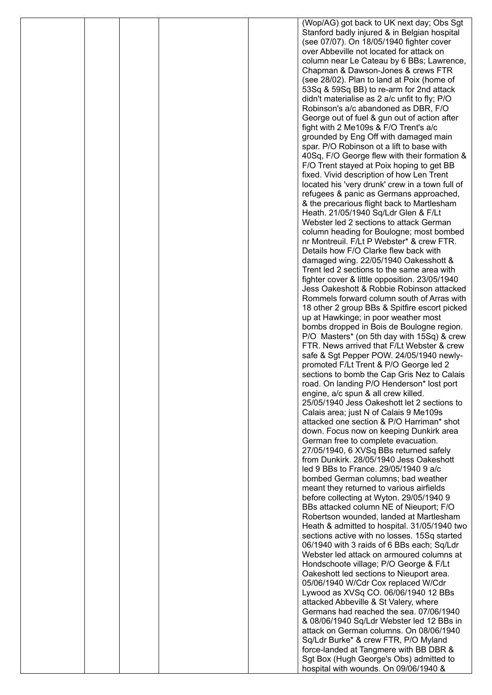|  |  | (Wop/AG) got back to UK next day; Obs Sgt                                                    |
|--|--|----------------------------------------------------------------------------------------------|
|  |  | Stanford badly injured & in Belgian hospital                                                 |
|  |  | (see 07/07). On 18/05/1940 fighter cover<br>over Abbeville not located for attack on         |
|  |  | column near Le Cateau by 6 BBs; Lawrence,                                                    |
|  |  | Chapman & Dawson-Jones & crews FTR                                                           |
|  |  | (see 28/02). Plan to land at Poix (home of                                                   |
|  |  | 53Sq & 59Sq BB) to re-arm for 2nd attack                                                     |
|  |  | didn't materialise as 2 a/c unfit to fly; P/O                                                |
|  |  | Robinson's a/c abandoned as DBR, F/O                                                         |
|  |  | George out of fuel & gun out of action after                                                 |
|  |  | fight with 2 Me109s & F/O Trent's a/c                                                        |
|  |  | grounded by Eng Off with damaged main                                                        |
|  |  | spar. P/O Robinson ot a lift to base with                                                    |
|  |  | 40Sq, F/O George flew with their formation &                                                 |
|  |  | F/O Trent stayed at Poix hoping to get BB                                                    |
|  |  | fixed. Vivid description of how Len Trent<br>located his 'very drunk' crew in a town full of |
|  |  | refugees & panic as Germans approached,                                                      |
|  |  | & the precarious flight back to Martlesham                                                   |
|  |  | Heath. 21/05/1940 Sq/Ldr Glen & F/Lt                                                         |
|  |  | Webster led 2 sections to attack German                                                      |
|  |  | column heading for Boulogne; most bombed                                                     |
|  |  | nr Montreuil. F/Lt P Webster* & crew FTR.                                                    |
|  |  | Details how F/O Clarke flew back with                                                        |
|  |  | damaged wing. 22/05/1940 Oakesshott &                                                        |
|  |  | Trent led 2 sections to the same area with                                                   |
|  |  | fighter cover & little opposition. 23/05/1940<br>Jess Oakeshott & Robbie Robinson attacked   |
|  |  | Rommels forward column south of Arras with                                                   |
|  |  | 18 other 2 group BBs & Spitfire escort picked                                                |
|  |  | up at Hawkinge; in poor weather most                                                         |
|  |  | bombs dropped in Bois de Boulogne region.                                                    |
|  |  | P/O Masters* (on 5th day with 15Sq) & crew                                                   |
|  |  | FTR. News arrived that F/Lt Webster & crew                                                   |
|  |  | safe & Sgt Pepper POW. 24/05/1940 newly-                                                     |
|  |  | promoted F/Lt Trent & P/O George led 2                                                       |
|  |  | sections to bomb the Cap Gris Nez to Calais                                                  |
|  |  | road. On landing P/O Henderson* lost port<br>engine, a/c spun & all crew killed.             |
|  |  | 25/05/1940 Jess Oakeshott let 2 sections to                                                  |
|  |  | Calais area; just N of Calais 9 Me109s                                                       |
|  |  | attacked one section & P/O Harriman* shot                                                    |
|  |  | down. Focus now on keeping Dunkirk area                                                      |
|  |  | German free to complete evacuation.                                                          |
|  |  | 27/05/1940, 6 XVSq BBs returned safely                                                       |
|  |  | from Dunkirk. 28/05/1940 Jess Oakeshott                                                      |
|  |  | led 9 BBs to France, 29/05/1940 9 a/c                                                        |
|  |  | bombed German columns; bad weather<br>meant they returned to various airfields               |
|  |  | before collecting at Wyton. 29/05/1940 9                                                     |
|  |  | BBs attacked column NE of Nieuport; F/O                                                      |
|  |  | Robertson wounded, landed at Martlesham                                                      |
|  |  | Heath & admitted to hospital. 31/05/1940 two                                                 |
|  |  | sections active with no losses. 15Sq started                                                 |
|  |  | 06/1940 with 3 raids of 6 BBs each; Sq/Ldr                                                   |
|  |  | Webster led attack on armoured columns at                                                    |
|  |  | Hondschoote village; P/O George & F/Lt                                                       |
|  |  | Oakeshott led sections to Nieuport area.<br>05/06/1940 W/Cdr Cox replaced W/Cdr              |
|  |  | Lywood as XVSq CO. 06/06/1940 12 BBs                                                         |
|  |  | attacked Abbeville & St Valery, where                                                        |
|  |  | Germans had reached the sea. 07/06/1940                                                      |
|  |  | & 08/06/1940 Sq/Ldr Webster led 12 BBs in                                                    |
|  |  | attack on German columns. On 08/06/1940                                                      |
|  |  | Sq/Ldr Burke* & crew FTR, P/O Myland                                                         |
|  |  | force-landed at Tangmere with BB DBR &                                                       |
|  |  | Sgt Box (Hugh George's Obs) admitted to                                                      |
|  |  | hospital with wounds. On 09/06/1940 &                                                        |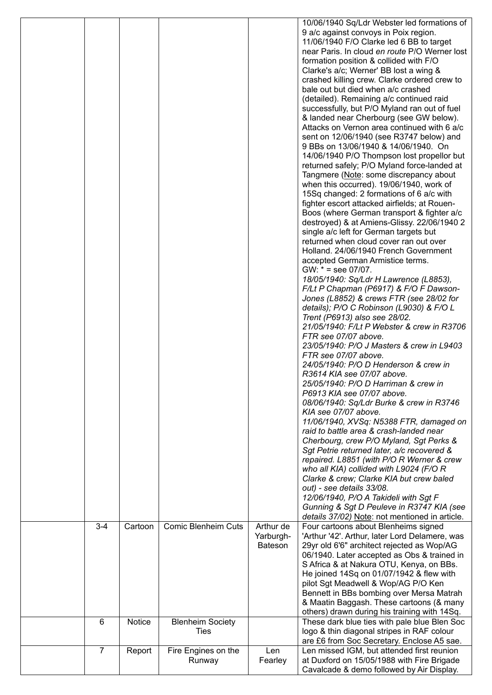|                |         |                                        |                                          | 10/06/1940 Sq/Ldr Webster led formations of<br>9 a/c against convoys in Poix region.<br>11/06/1940 F/O Clarke led 6 BB to target<br>near Paris. In cloud en route P/O Werner lost<br>formation position & collided with F/O<br>Clarke's a/c; Werner' BB lost a wing &<br>crashed killing crew. Clarke ordered crew to<br>bale out but died when a/c crashed<br>(detailed). Remaining a/c continued raid<br>successfully, but P/O Myland ran out of fuel<br>& landed near Cherbourg (see GW below).<br>Attacks on Vernon area continued with 6 a/c<br>sent on 12/06/1940 (see R3747 below) and<br>9 BBs on 13/06/1940 & 14/06/1940. On<br>14/06/1940 P/O Thompson lost propellor but<br>returned safely; P/O Myland force-landed at<br>Tangmere (Note: some discrepancy about<br>when this occurred). 19/06/1940, work of<br>15Sq changed: 2 formations of 6 a/c with<br>fighter escort attacked airfields; at Rouen-                                                                                                                                                                                                                                               |
|----------------|---------|----------------------------------------|------------------------------------------|--------------------------------------------------------------------------------------------------------------------------------------------------------------------------------------------------------------------------------------------------------------------------------------------------------------------------------------------------------------------------------------------------------------------------------------------------------------------------------------------------------------------------------------------------------------------------------------------------------------------------------------------------------------------------------------------------------------------------------------------------------------------------------------------------------------------------------------------------------------------------------------------------------------------------------------------------------------------------------------------------------------------------------------------------------------------------------------------------------------------------------------------------------------------|
|                |         |                                        |                                          | Holland. 24/06/1940 French Government<br>accepted German Armistice terms.<br>$GW: * = see 07/07.$<br>18/05/1940: Sq/Ldr H Lawrence (L8853),<br>F/Lt P Chapman (P6917) & F/O F Dawson-<br>Jones (L8852) & crews FTR (see 28/02 for<br>details); P/O C Robinson (L9030) & F/O L<br>Trent (P6913) also see 28/02.<br>21/05/1940: F/Lt P Webster & crew in R3706<br>FTR see 07/07 above.<br>23/05/1940: P/O J Masters & crew in L9403<br>FTR see 07/07 above.<br>24/05/1940: P/O D Henderson & crew in<br>R3614 KIA see 07/07 above.<br>25/05/1940: P/O D Harriman & crew in<br>P6913 KIA see 07/07 above.<br>08/06/1940: Sq/Ldr Burke & crew in R3746<br>KIA see 07/07 above.<br>11/06/1940, XVSq: N5388 FTR, damaged on<br>raid to battle area & crash-landed near<br>Cherbourg, crew P/O Myland, Sgt Perks &<br>Sgt Petrie returned later, a/c recovered &<br>repaired. L8851 (with P/O R Werner & crew<br>who all KIA) collided with L9024 (F/O R<br>Clarke & crew; Clarke KIA but crew baled<br>out) - see details 33/08.<br>12/06/1940, P/O A Takideli with Sgt F<br>Gunning & Sgt D Peuleve in R3747 KIA (see<br>details 37/02) Note: not mentioned in article. |
| $3 - 4$        | Cartoon | <b>Comic Blenheim Cuts</b>             | Arthur de<br>Yarburgh-<br><b>Bateson</b> | Four cartoons about Blenheims signed<br>'Arthur '42'. Arthur, later Lord Delamere, was<br>29yr old 6'6" architect rejected as Wop/AG<br>06/1940. Later accepted as Obs & trained in<br>S Africa & at Nakura OTU, Kenya, on BBs.<br>He joined 14Sq on 01/07/1942 & flew with<br>pilot Sgt Meadwell & Wop/AG P/O Ken<br>Bennett in BBs bombing over Mersa Matrah<br>& Maatin Baggash. These cartoons (& many<br>others) drawn during his training with 14Sq.                                                                                                                                                                                                                                                                                                                                                                                                                                                                                                                                                                                                                                                                                                         |
| 6              | Notice  | <b>Blenheim Society</b><br><b>Ties</b> |                                          | These dark blue ties with pale blue Blen Soc<br>logo & thin diagonal stripes in RAF colour<br>are £6 from Soc Secretary. Enclose A5 sae.                                                                                                                                                                                                                                                                                                                                                                                                                                                                                                                                                                                                                                                                                                                                                                                                                                                                                                                                                                                                                           |
| $\overline{7}$ | Report  | Fire Engines on the<br>Runway          | Len<br>Fearley                           | Len missed IGM, but attended first reunion<br>at Duxford on 15/05/1988 with Fire Brigade<br>Cavalcade & demo followed by Air Display.                                                                                                                                                                                                                                                                                                                                                                                                                                                                                                                                                                                                                                                                                                                                                                                                                                                                                                                                                                                                                              |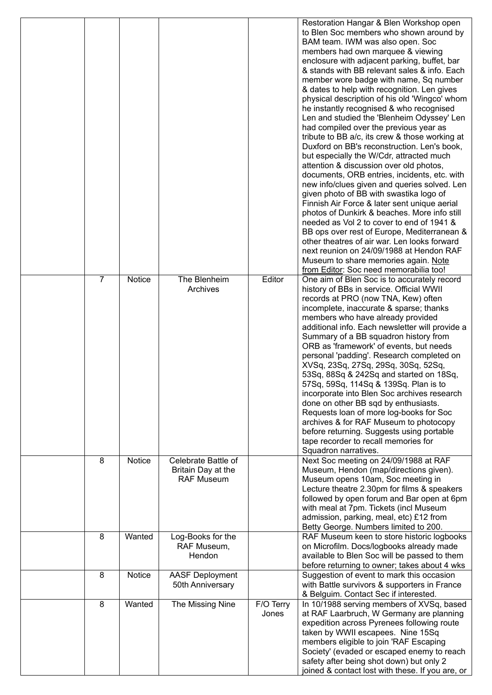|   |        |                        |           | Restoration Hangar & Blen Workshop open<br>to Blen Soc members who shown around by |
|---|--------|------------------------|-----------|------------------------------------------------------------------------------------|
|   |        |                        |           | BAM team. IWM was also open. Soc                                                   |
|   |        |                        |           | members had own marquee & viewing                                                  |
|   |        |                        |           | enclosure with adjacent parking, buffet, bar                                       |
|   |        |                        |           | & stands with BB relevant sales & info. Each                                       |
|   |        |                        |           | member wore badge with name, Sq number                                             |
|   |        |                        |           | & dates to help with recognition. Len gives                                        |
|   |        |                        |           | physical description of his old 'Wingco' whom                                      |
|   |        |                        |           | he instantly recognised & who recognised                                           |
|   |        |                        |           |                                                                                    |
|   |        |                        |           | Len and studied the 'Blenheim Odyssey' Len                                         |
|   |        |                        |           | had compiled over the previous year as                                             |
|   |        |                        |           | tribute to BB a/c, its crew & those working at                                     |
|   |        |                        |           | Duxford on BB's reconstruction. Len's book,                                        |
|   |        |                        |           | but especially the W/Cdr, attracted much                                           |
|   |        |                        |           | attention & discussion over old photos,                                            |
|   |        |                        |           | documents, ORB entries, incidents, etc. with                                       |
|   |        |                        |           | new info/clues given and queries solved. Len                                       |
|   |        |                        |           | given photo of BB with swastika logo of                                            |
|   |        |                        |           | Finnish Air Force & later sent unique aerial                                       |
|   |        |                        |           | photos of Dunkirk & beaches. More info still                                       |
|   |        |                        |           | needed as Vol 2 to cover to end of 1941 &                                          |
|   |        |                        |           | BB ops over rest of Europe, Mediterranean &                                        |
|   |        |                        |           | other theatres of air war. Len looks forward                                       |
|   |        |                        |           | next reunion on 24/09/1988 at Hendon RAF                                           |
|   |        |                        |           | Museum to share memories again. Note                                               |
|   |        |                        |           | from Editor: Soc need memorabilia too!                                             |
| 7 | Notice | The Blenheim           | Editor    | One aim of Blen Soc is to accurately record                                        |
|   |        | Archives               |           | history of BBs in service. Official WWII                                           |
|   |        |                        |           | records at PRO (now TNA, Kew) often                                                |
|   |        |                        |           | incomplete, inaccurate & sparse; thanks                                            |
|   |        |                        |           | members who have already provided                                                  |
|   |        |                        |           | additional info. Each newsletter will provide a                                    |
|   |        |                        |           | Summary of a BB squadron history from                                              |
|   |        |                        |           | ORB as 'framework' of events, but needs                                            |
|   |        |                        |           | personal 'padding'. Research completed on                                          |
|   |        |                        |           | XVSq, 23Sq, 27Sq, 29Sq, 30Sq, 52Sq,                                                |
|   |        |                        |           | 53Sq, 88Sq & 242Sq and started on 18Sq,                                            |
|   |        |                        |           | 57Sq, 59Sq, 114Sq & 139Sq. Plan is to                                              |
|   |        |                        |           | incorporate into Blen Soc archives research                                        |
|   |        |                        |           | done on other BB sqd by enthusiasts.                                               |
|   |        |                        |           | Requests loan of more log-books for Soc                                            |
|   |        |                        |           | archives & for RAF Museum to photocopy                                             |
|   |        |                        |           | before returning. Suggests using portable                                          |
|   |        |                        |           | tape recorder to recall memories for                                               |
|   |        |                        |           | Squadron narratives.                                                               |
| 8 | Notice | Celebrate Battle of    |           | Next Soc meeting on 24/09/1988 at RAF                                              |
|   |        | Britain Day at the     |           | Museum, Hendon (map/directions given).                                             |
|   |        | <b>RAF Museum</b>      |           | Museum opens 10am, Soc meeting in                                                  |
|   |        |                        |           | Lecture theatre 2.30pm for films & speakers                                        |
|   |        |                        |           | followed by open forum and Bar open at 6pm                                         |
|   |        |                        |           | with meal at 7pm. Tickets (incl Museum                                             |
|   |        |                        |           | admission, parking, meal, etc) £12 from                                            |
|   |        |                        |           | Betty George. Numbers limited to 200.                                              |
| 8 | Wanted | Log-Books for the      |           | RAF Museum keen to store historic logbooks                                         |
|   |        | RAF Museum,            |           | on Microfilm. Docs/logbooks already made                                           |
|   |        | Hendon                 |           | available to Blen Soc will be passed to them                                       |
|   |        |                        |           | before returning to owner; takes about 4 wks                                       |
| 8 | Notice | <b>AASF Deployment</b> |           | Suggestion of event to mark this occasion                                          |
|   |        | 50th Anniversary       |           | with Battle survivors & supporters in France                                       |
|   |        |                        |           | & Belguim. Contact Sec if interested.                                              |
| 8 | Wanted | The Missing Nine       | F/O Terry | In 10/1988 serving members of XVSq, based                                          |
|   |        |                        | Jones     | at RAF Laarbruch, W Germany are planning                                           |
|   |        |                        |           | expedition across Pyrenees following route                                         |
|   |        |                        |           | taken by WWII escapees. Nine 15Sq                                                  |
|   |        |                        |           | members eligible to join 'RAF Escaping                                             |
|   |        |                        |           | Society' (evaded or escaped enemy to reach                                         |
|   |        |                        |           | safety after being shot down) but only 2                                           |
|   |        |                        |           | joined & contact lost with these. If you are, or                                   |
|   |        |                        |           |                                                                                    |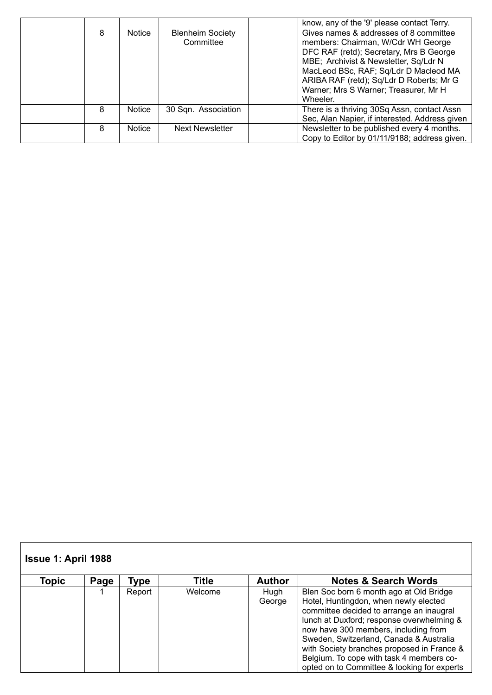|   |               |                                      | know, any of the '9' please contact Terry.                                                                                                                                                                                                                                                                 |
|---|---------------|--------------------------------------|------------------------------------------------------------------------------------------------------------------------------------------------------------------------------------------------------------------------------------------------------------------------------------------------------------|
| 8 | Notice        | <b>Blenheim Society</b><br>Committee | Gives names & addresses of 8 committee<br>members: Chairman, W/Cdr WH George<br>DFC RAF (retd); Secretary, Mrs B George<br>MBE; Archivist & Newsletter, Sq/Ldr N<br>MacLeod BSc, RAF; Sq/Ldr D Macleod MA<br>ARIBA RAF (retd); Sq/Ldr D Roberts; Mr G<br>Warner; Mrs S Warner; Treasurer, Mr H<br>Wheeler. |
| 8 | Notice        | 30 Sqn. Association                  | There is a thriving 30Sq Assn, contact Assn<br>Sec, Alan Napier, if interested. Address given                                                                                                                                                                                                              |
| 8 | <b>Notice</b> | <b>Next Newsletter</b>               | Newsletter to be published every 4 months.<br>Copy to Editor by 01/11/9188; address given.                                                                                                                                                                                                                 |

| <b>Issue 1: April 1988</b><br>Topic | Page | Type   | Title   | <b>Author</b>  | <b>Notes &amp; Search Words</b>                                                                                                                                                                                                                                                                                                                                                                       |
|-------------------------------------|------|--------|---------|----------------|-------------------------------------------------------------------------------------------------------------------------------------------------------------------------------------------------------------------------------------------------------------------------------------------------------------------------------------------------------------------------------------------------------|
|                                     |      | Report | Welcome | Hugh<br>George | Blen Soc born 6 month ago at Old Bridge<br>Hotel, Huntingdon, when newly elected<br>committee decided to arrange an inaugral<br>lunch at Duxford; response overwhelming &<br>now have 300 members, including from<br>Sweden, Switzerland, Canada & Australia<br>with Society branches proposed in France &<br>Belgium. To cope with task 4 members co-<br>opted on to Committee & looking for experts |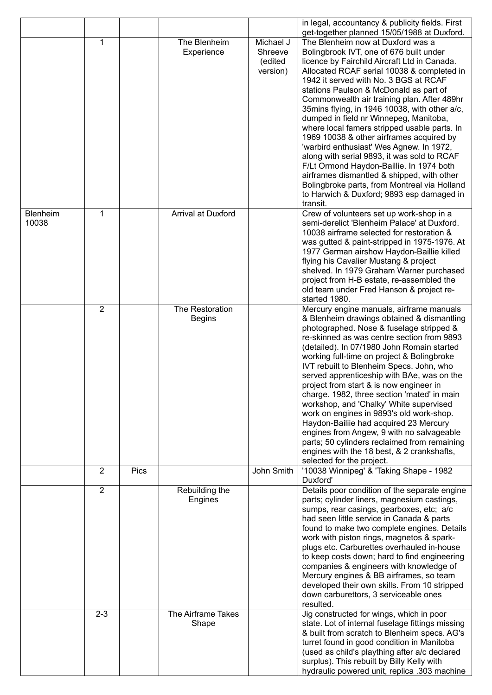|                   |                |      |                                  |                                             | in legal, accountancy & publicity fields. First<br>get-together planned 15/05/1988 at Duxford.                                                                                                                                                                                                                                                                                                                                                                                                                                                                                                                                                                                                                                                                                                    |
|-------------------|----------------|------|----------------------------------|---------------------------------------------|---------------------------------------------------------------------------------------------------------------------------------------------------------------------------------------------------------------------------------------------------------------------------------------------------------------------------------------------------------------------------------------------------------------------------------------------------------------------------------------------------------------------------------------------------------------------------------------------------------------------------------------------------------------------------------------------------------------------------------------------------------------------------------------------------|
|                   | 1              |      | The Blenheim<br>Experience       | Michael J<br>Shreeve<br>(edited<br>version) | The Blenheim now at Duxford was a<br>Bolingbrook IVT, one of 676 built under<br>licence by Fairchild Aircraft Ltd in Canada.<br>Allocated RCAF serial 10038 & completed in<br>1942 it served with No. 3 BGS at RCAF<br>stations Paulson & McDonald as part of<br>Commonwealth air training plan. After 489hr<br>35mins flying, in 1946 10038, with other a/c,<br>dumped in field nr Winnepeg, Manitoba,<br>where local famers stripped usable parts. In<br>1969 10038 & other airframes acquired by<br>'warbird enthusiast' Wes Agnew. In 1972,<br>along with serial 9893, it was sold to RCAF<br>F/Lt Ormond Haydon-Baillie. In 1974 both<br>airframes dismantled & shipped, with other<br>Bolingbroke parts, from Montreal via Holland<br>to Harwich & Duxford; 9893 esp damaged in<br>transit. |
| Blenheim<br>10038 | 1              |      | Arrival at Duxford               |                                             | Crew of volunteers set up work-shop in a<br>semi-derelict 'Blenheim Palace' at Duxford.<br>10038 airframe selected for restoration &<br>was gutted & paint-stripped in 1975-1976. At<br>1977 German airshow Haydon-Baillie killed<br>flying his Cavalier Mustang & project<br>shelved. In 1979 Graham Warner purchased<br>project from H-B estate, re-assembled the<br>old team under Fred Hanson & project re-<br>started 1980.                                                                                                                                                                                                                                                                                                                                                                  |
|                   | $\overline{2}$ |      | The Restoration<br><b>Begins</b> |                                             | Mercury engine manuals, airframe manuals<br>& Blenheim drawings obtained & dismantling<br>photographed. Nose & fuselage stripped &<br>re-skinned as was centre section from 9893<br>(detailed). In 07/1980 John Romain started<br>working full-time on project & Bolingbroke<br>IVT rebuilt to Blenheim Specs. John, who<br>served apprenticeship with BAe, was on the<br>project from start & is now engineer in<br>charge. 1982, three section 'mated' in main<br>workshop, and 'Chalky' White supervised<br>work on engines in 9893's old work-shop.<br>Haydon-Bailiie had acquired 23 Mercury<br>engines from Angew, 9 with no salvageable<br>parts; 50 cylinders reclaimed from remaining<br>engines with the 18 best, & 2 crankshafts,<br>selected for the project.                         |
|                   | $\overline{2}$ | Pics |                                  | John Smith                                  | '10038 Winnipeg' & 'Taking Shape - 1982<br>Duxford'                                                                                                                                                                                                                                                                                                                                                                                                                                                                                                                                                                                                                                                                                                                                               |
|                   | $\overline{2}$ |      | Rebuilding the<br>Engines        |                                             | Details poor condition of the separate engine<br>parts; cylinder liners, magnesium castings,<br>sumps, rear casings, gearboxes, etc; a/c<br>had seen little service in Canada & parts<br>found to make two complete engines. Details<br>work with piston rings, magnetos & spark-<br>plugs etc. Carburettes overhauled in-house<br>to keep costs down; hard to find engineering<br>companies & engineers with knowledge of<br>Mercury engines & BB airframes, so team<br>developed their own skills. From 10 stripped<br>down carburettors, 3 serviceable ones<br>resulted.                                                                                                                                                                                                                       |
|                   | $2 - 3$        |      | The Airframe Takes<br>Shape      |                                             | Jig constructed for wings, which in poor<br>state. Lot of internal fuselage fittings missing<br>& built from scratch to Blenheim specs. AG's<br>turret found in good condition in Manitoba<br>(used as child's plaything after a/c declared<br>surplus). This rebuilt by Billy Kelly with<br>hydraulic powered unit, replica .303 machine                                                                                                                                                                                                                                                                                                                                                                                                                                                         |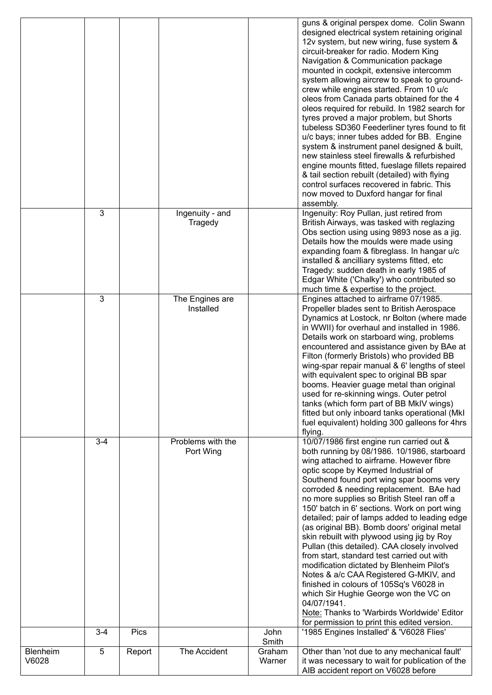|          |                         |                |                                |                         | guns & original perspex dome. Colin Swann<br>designed electrical system retaining original<br>12v system, but new wiring, fuse system &<br>circuit-breaker for radio. Modern King<br>Navigation & Communication package<br>mounted in cockpit, extensive intercomm<br>system allowing aircrew to speak to ground-<br>crew while engines started. From 10 u/c<br>oleos from Canada parts obtained for the 4<br>oleos required for rebuild. In 1982 search for<br>tyres proved a major problem, but Shorts<br>tubeless SD360 Feederliner tyres found to fit<br>u/c bays; inner tubes added for BB. Engine<br>system & instrument panel designed & built,<br>new stainless steel firewalls & refurbished<br>engine mounts fitted, fueslage fillets repaired<br>& tail section rebuilt (detailed) with flying<br>control surfaces recovered in fabric. This<br>now moved to Duxford hangar for final<br>assembly. |
|----------|-------------------------|----------------|--------------------------------|-------------------------|---------------------------------------------------------------------------------------------------------------------------------------------------------------------------------------------------------------------------------------------------------------------------------------------------------------------------------------------------------------------------------------------------------------------------------------------------------------------------------------------------------------------------------------------------------------------------------------------------------------------------------------------------------------------------------------------------------------------------------------------------------------------------------------------------------------------------------------------------------------------------------------------------------------|
|          | 3                       |                | Ingenuity - and<br>Tragedy     |                         | Ingenuity: Roy Pullan, just retired from<br>British Airways, was tasked with reglazing<br>Obs section using using 9893 nose as a jig.<br>Details how the moulds were made using<br>expanding foam & fibreglass. In hangar u/c<br>installed & ancilliary systems fitted, etc<br>Tragedy: sudden death in early 1985 of<br>Edgar White ('Chalky') who contributed so<br>much time & expertise to the project.                                                                                                                                                                                                                                                                                                                                                                                                                                                                                                   |
|          | $\overline{3}$          |                | The Engines are<br>Installed   |                         | Engines attached to airframe 07/1985.<br>Propeller blades sent to British Aerospace<br>Dynamics at Lostock, nr Bolton (where made<br>in WWII) for overhaul and installed in 1986.<br>Details work on starboard wing, problems<br>encountered and assistance given by BAe at<br>Filton (formerly Bristols) who provided BB<br>wing-spar repair manual & 6' lengths of steel<br>with equivalent spec to original BB spar<br>booms. Heavier guage metal than original<br>used for re-skinning wings. Outer petrol<br>tanks (which form part of BB MkIV wings)<br>fitted but only inboard tanks operational (MkI<br>fuel equivalent) holding 300 galleons for 4hrs<br>flying.                                                                                                                                                                                                                                     |
|          | $3 - 4$                 |                | Problems with the<br>Port Wing |                         | 10/07/1986 first engine run carried out &<br>both running by 08/1986. 10/1986, starboard<br>wing attached to airframe. However fibre<br>optic scope by Keymed Industrial of<br>Southend found port wing spar booms very<br>corroded & needing replacement. BAe had<br>no more supplies so British Steel ran off a<br>150' batch in 6' sections. Work on port wing<br>detailed; pair of lamps added to leading edge<br>(as original BB). Bomb doors' original metal<br>skin rebuilt with plywood using jig by Roy<br>Pullan (this detailed). CAA closely involved<br>from start, standard test carried out with<br>modification dictated by Blenheim Pilot's<br>Notes & a/c CAA Registered G-MKIV, and<br>finished in colours of 105Sq's V6028 in<br>which Sir Hughie George won the VC on<br>04/07/1941.<br>Note: Thanks to 'Warbirds Worldwide' Editor<br>for permission to print this edited version.       |
| Blenheim | $3-4$<br>$\overline{5}$ | Pics<br>Report | The Accident                   | John<br>Smith<br>Graham | '1985 Engines Installed' & 'V6028 Flies'<br>Other than 'not due to any mechanical fault'                                                                                                                                                                                                                                                                                                                                                                                                                                                                                                                                                                                                                                                                                                                                                                                                                      |
| V6028    |                         |                |                                | Warner                  | it was necessary to wait for publication of the<br>AIB accident report on V6028 before                                                                                                                                                                                                                                                                                                                                                                                                                                                                                                                                                                                                                                                                                                                                                                                                                        |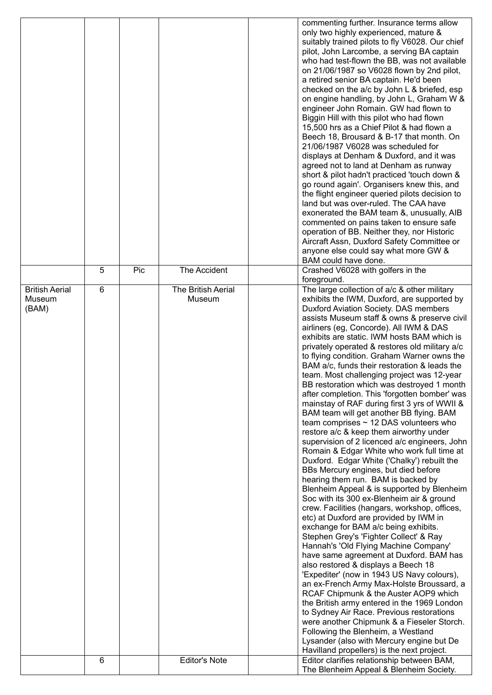|   |     |                              |                      | commenting further. Insurance terms allow<br>only two highly experienced, mature &<br>suitably trained pilots to fly V6028. Our chief<br>pilot, John Larcombe, a serving BA captain<br>who had test-flown the BB, was not available<br>on 21/06/1987 so V6028 flown by 2nd pilot,<br>a retired senior BA captain. He'd been<br>checked on the a/c by John L & briefed, esp<br>on engine handling, by John L, Graham W &<br>engineer John Romain. GW had flown to<br>Biggin Hill with this pilot who had flown<br>15,500 hrs as a Chief Pilot & had flown a<br>Beech 18, Brousard & B-17 that month. On<br>21/06/1987 V6028 was scheduled for<br>displays at Denham & Duxford, and it was<br>agreed not to land at Denham as runway<br>short & pilot hadn't practiced 'touch down &<br>go round again'. Organisers knew this, and<br>the flight engineer queried pilots decision to<br>land but was over-ruled. The CAA have<br>exonerated the BAM team &, unusually, AIB<br>commented on pains taken to ensure safe<br>operation of BB. Neither they, nor Historic<br>Aircraft Assn, Duxford Safety Committee or<br>anyone else could say what more GW &<br>BAM could have done.                                                                                                                                                                                                                                                                                                                                                                                                                                                                                                                                                                                                                                                |
|---|-----|------------------------------|----------------------|---------------------------------------------------------------------------------------------------------------------------------------------------------------------------------------------------------------------------------------------------------------------------------------------------------------------------------------------------------------------------------------------------------------------------------------------------------------------------------------------------------------------------------------------------------------------------------------------------------------------------------------------------------------------------------------------------------------------------------------------------------------------------------------------------------------------------------------------------------------------------------------------------------------------------------------------------------------------------------------------------------------------------------------------------------------------------------------------------------------------------------------------------------------------------------------------------------------------------------------------------------------------------------------------------------------------------------------------------------------------------------------------------------------------------------------------------------------------------------------------------------------------------------------------------------------------------------------------------------------------------------------------------------------------------------------------------------------------------------------------------------------------------------------------------------------------------------|
| 5 | Pic | The Accident                 |                      | Crashed V6028 with golfers in the                                                                                                                                                                                                                                                                                                                                                                                                                                                                                                                                                                                                                                                                                                                                                                                                                                                                                                                                                                                                                                                                                                                                                                                                                                                                                                                                                                                                                                                                                                                                                                                                                                                                                                                                                                                               |
| 6 |     | The British Aerial<br>Museum |                      | foreground.<br>The large collection of a/c & other military<br>exhibits the IWM, Duxford, are supported by<br>Duxford Aviation Society. DAS members<br>assists Museum staff & owns & preserve civil<br>airliners (eg, Concorde). All IWM & DAS<br>exhibits are static. IWM hosts BAM which is<br>privately operated & restores old military a/c<br>to flying condition. Graham Warner owns the<br>BAM a/c, funds their restoration & leads the<br>team. Most challenging project was 12-year<br>BB restoration which was destroyed 1 month<br>after completion. This 'forgotten bomber' was<br>mainstay of RAF during first 3 yrs of WWII &<br>BAM team will get another BB flying. BAM<br>team comprises $\sim$ 12 DAS volunteers who<br>restore a/c & keep them airworthy under<br>supervision of 2 licenced a/c engineers, John<br>Romain & Edgar White who work full time at<br>Duxford. Edgar White ('Chalky') rebuilt the<br>BBs Mercury engines, but died before<br>hearing them run. BAM is backed by<br>Blenheim Appeal & is supported by Blenheim<br>Soc with its 300 ex-Blenheim air & ground<br>crew. Facilities (hangars, workshop, offices,<br>etc) at Duxford are provided by IWM in<br>exchange for BAM a/c being exhibits.<br>Stephen Grey's 'Fighter Collect' & Ray<br>Hannah's 'Old Flying Machine Company'<br>have same agreement at Duxford. BAM has<br>also restored & displays a Beech 18<br>'Expediter' (now in 1943 US Navy colours),<br>an ex-French Army Max-Holste Broussard, a<br>RCAF Chipmunk & the Auster AOP9 which<br>the British army entered in the 1969 London<br>to Sydney Air Race. Previous restorations<br>were another Chipmunk & a Fieseler Storch.<br>Following the Blenheim, a Westland<br>Lysander (also with Mercury engine but De<br>Havilland propellers) is the next project. |
|   |     |                              |                      | Editor clarifies relationship between BAM,<br>The Blenheim Appeal & Blenheim Society.                                                                                                                                                                                                                                                                                                                                                                                                                                                                                                                                                                                                                                                                                                                                                                                                                                                                                                                                                                                                                                                                                                                                                                                                                                                                                                                                                                                                                                                                                                                                                                                                                                                                                                                                           |
|   | 6   |                              | <b>Editor's Note</b> |                                                                                                                                                                                                                                                                                                                                                                                                                                                                                                                                                                                                                                                                                                                                                                                                                                                                                                                                                                                                                                                                                                                                                                                                                                                                                                                                                                                                                                                                                                                                                                                                                                                                                                                                                                                                                                 |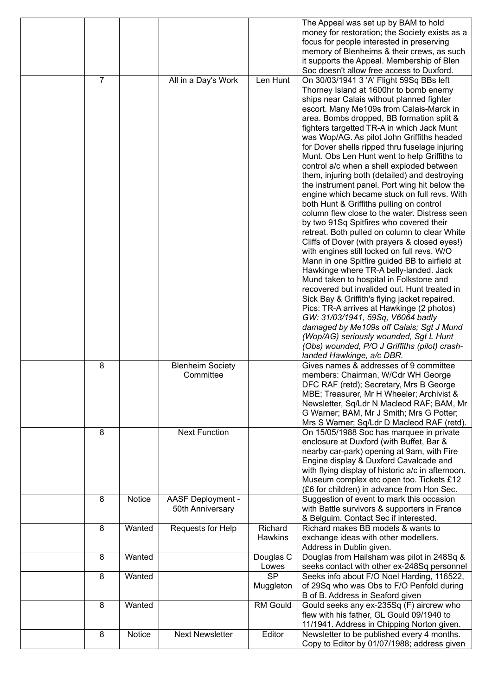|   |        |                         |                        | The Appeal was set up by BAM to hold                                                    |
|---|--------|-------------------------|------------------------|-----------------------------------------------------------------------------------------|
|   |        |                         |                        | money for restoration; the Society exists as a                                          |
|   |        |                         |                        | focus for people interested in preserving                                               |
|   |        |                         |                        | memory of Blenheims & their crews, as such                                              |
|   |        |                         |                        | it supports the Appeal. Membership of Blen<br>Soc doesn't allow free access to Duxford. |
| 7 |        | All in a Day's Work     | Len Hunt               | On 30/03/1941 3 'A' Flight 59Sq BBs left                                                |
|   |        |                         |                        | Thorney Island at 1600hr to bomb enemy                                                  |
|   |        |                         |                        | ships near Calais without planned fighter                                               |
|   |        |                         |                        | escort. Many Me109s from Calais-Marck in                                                |
|   |        |                         |                        | area. Bombs dropped, BB formation split &                                               |
|   |        |                         |                        | fighters targetted TR-A in which Jack Munt                                              |
|   |        |                         |                        | was Wop/AG. As pilot John Griffiths headed                                              |
|   |        |                         |                        | for Dover shells ripped thru fuselage injuring                                          |
|   |        |                         |                        | Munt. Obs Len Hunt went to help Griffiths to                                            |
|   |        |                         |                        | control a/c when a shell exploded between                                               |
|   |        |                         |                        | them, injuring both (detailed) and destroying                                           |
|   |        |                         |                        | the instrument panel. Port wing hit below the                                           |
|   |        |                         |                        | engine which became stuck on full revs. With                                            |
|   |        |                         |                        | both Hunt & Griffiths pulling on control                                                |
|   |        |                         |                        | column flew close to the water. Distress seen                                           |
|   |        |                         |                        | by two 91Sq Spitfires who covered their                                                 |
|   |        |                         |                        | retreat. Both pulled on column to clear White                                           |
|   |        |                         |                        | Cliffs of Dover (with prayers & closed eyes!)                                           |
|   |        |                         |                        | with engines still locked on full revs. W/O                                             |
|   |        |                         |                        | Mann in one Spitfire guided BB to airfield at                                           |
|   |        |                         |                        | Hawkinge where TR-A belly-landed. Jack                                                  |
|   |        |                         |                        | Mund taken to hospital in Folkstone and                                                 |
|   |        |                         |                        | recovered but invalided out. Hunt treated in                                            |
|   |        |                         |                        | Sick Bay & Griffith's flying jacket repaired.                                           |
|   |        |                         |                        | Pics: TR-A arrives at Hawkinge (2 photos)                                               |
|   |        |                         |                        | GW: 31/03/1941, 59Sq, V6064 badly                                                       |
|   |        |                         |                        | damaged by Me109s off Calais; Sgt J Mund                                                |
|   |        |                         |                        | (Wop/AG) seriously wounded, Sgt L Hunt                                                  |
|   |        |                         |                        | (Obs) wounded, P/O J Griffiths (pilot) crash-                                           |
|   |        |                         |                        | landed Hawkinge, a/c DBR.                                                               |
| 8 |        | <b>Blenheim Society</b> |                        | Gives names & addresses of 9 committee                                                  |
|   |        | Committee               |                        | members: Chairman, W/Cdr WH George                                                      |
|   |        |                         |                        | DFC RAF (retd); Secretary, Mrs B George                                                 |
|   |        |                         |                        | MBE; Treasurer, Mr H Wheeler; Archivist &                                               |
|   |        |                         |                        | Newsletter, Sq/Ldr N Macleod RAF; BAM, Mr                                               |
|   |        |                         |                        | G Warner; BAM, Mr J Smith; Mrs G Potter;                                                |
|   |        |                         |                        | Mrs S Warner; Sq/Ldr D Macleod RAF (retd).                                              |
| 8 |        | <b>Next Function</b>    |                        | On 15/05/1988 Soc has marquee in private                                                |
|   |        |                         |                        | enclosure at Duxford (with Buffet, Bar &                                                |
|   |        |                         |                        | nearby car-park) opening at 9am, with Fire                                              |
|   |        |                         |                        | Engine display & Duxford Cavalcade and                                                  |
|   |        |                         |                        | with flying display of historic a/c in afternoon.                                       |
|   |        |                         |                        | Museum complex etc open too. Tickets £12                                                |
| 8 | Notice | AASF Deployment -       |                        | (£6 for children) in advance from Hon Sec.<br>Suggestion of event to mark this occasion |
|   |        | 50th Anniversary        |                        | with Battle survivors & supporters in France                                            |
|   |        |                         |                        | & Belguim. Contact Sec if interested.                                                   |
| 8 | Wanted | Requests for Help       | Richard                | Richard makes BB models & wants to                                                      |
|   |        |                         | Hawkins                | exchange ideas with other modellers.                                                    |
|   |        |                         |                        | Address in Dublin given.                                                                |
| 8 | Wanted |                         | Douglas C              | Douglas from Hailsham was pilot in 248Sq &                                              |
|   |        |                         | Lowes                  | seeks contact with other ex-248Sq personnel                                             |
| 8 | Wanted |                         | $\overline{\text{SP}}$ | Seeks info about F/O Noel Harding, 116522,                                              |
|   |        |                         | Muggleton              | of 29Sq who was Obs to F/O Penfold during                                               |
|   |        |                         |                        | B of B. Address in Seaford given                                                        |
| 8 | Wanted |                         | <b>RM Gould</b>        | Gould seeks any ex-235Sq (F) aircrew who                                                |
|   |        |                         |                        | flew with his father, GL Gould 09/1940 to                                               |
|   |        |                         |                        | 11/1941. Address in Chipping Norton given.                                              |
| 8 | Notice | <b>Next Newsletter</b>  | Editor                 | Newsletter to be published every 4 months.                                              |
|   |        |                         |                        | Copy to Editor by 01/07/1988; address given                                             |